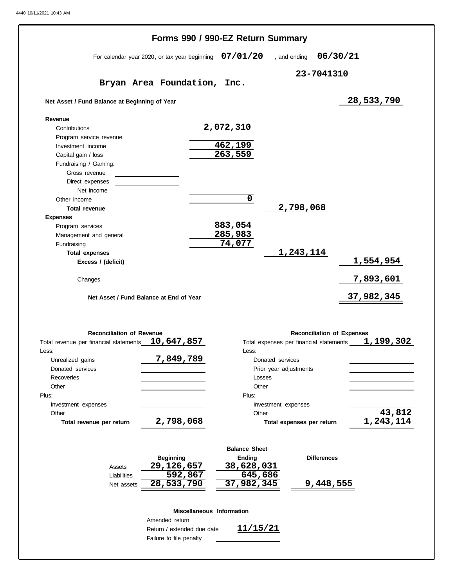|                                               |                                               | Forms 990 / 990-EZ Return Summary |                                         |                  |
|-----------------------------------------------|-----------------------------------------------|-----------------------------------|-----------------------------------------|------------------|
|                                               | For calendar year 2020, or tax year beginning | 07/01/20                          | , and ending                            | 06/30/21         |
|                                               |                                               |                                   | 23-7041310                              |                  |
|                                               | Bryan Area Foundation,                        | Inc.                              |                                         |                  |
| Net Asset / Fund Balance at Beginning of Year |                                               |                                   |                                         | 28,533,790       |
| Revenue                                       |                                               |                                   |                                         |                  |
| Contributions                                 |                                               | 2,072,310                         |                                         |                  |
| Program service revenue                       |                                               |                                   |                                         |                  |
| Investment income                             |                                               | 462,199                           |                                         |                  |
| Capital gain / loss                           |                                               | 263,559                           |                                         |                  |
| Fundraising / Gaming:                         |                                               |                                   |                                         |                  |
| Gross revenue                                 |                                               |                                   |                                         |                  |
| Direct expenses                               |                                               |                                   |                                         |                  |
| Net income                                    |                                               |                                   |                                         |                  |
| Other income                                  |                                               | $\mathbf 0$                       |                                         |                  |
| <b>Total revenue</b>                          |                                               |                                   | 2,798,068                               |                  |
| <b>Expenses</b>                               |                                               |                                   |                                         |                  |
| Program services                              |                                               | 883,054                           |                                         |                  |
| Management and general                        |                                               | 285,983                           |                                         |                  |
| Fundraising                                   |                                               | 74,077                            |                                         |                  |
| <b>Total expenses</b>                         |                                               |                                   | 1,243,114                               |                  |
| Excess / (deficit)                            |                                               |                                   |                                         | 1,554,954        |
|                                               |                                               |                                   |                                         |                  |
| Changes                                       |                                               |                                   |                                         | <u>7,893,601</u> |
|                                               |                                               |                                   |                                         |                  |
|                                               | Net Asset / Fund Balance at End of Year       |                                   |                                         | 37,982,345       |
|                                               |                                               |                                   |                                         |                  |
| <b>Reconciliation of Revenue</b>              |                                               |                                   | <b>Reconciliation of Expenses</b>       |                  |
| Total revenue per financial statements        | 10,647,857                                    |                                   | Total expenses per financial statements | 1,199,302        |
| Less:                                         |                                               | Less:                             |                                         |                  |
|                                               | 7,849,789                                     |                                   |                                         |                  |
| Unrealized gains<br>Donated services          |                                               | Donated services                  |                                         |                  |
|                                               |                                               |                                   | Prior year adjustments                  |                  |
| Recoveries                                    |                                               | Losses                            |                                         |                  |
| Other                                         |                                               | Other                             |                                         |                  |
| Plus:                                         |                                               | Plus:                             |                                         |                  |
| Investment expenses                           |                                               |                                   | Investment expenses                     |                  |
| Other                                         |                                               | Other                             |                                         | 43,812           |
| Total revenue per return                      | 2,798,068                                     |                                   | Total expenses per return               | 1, 243, 114      |
|                                               |                                               | <b>Balance Sheet</b>              |                                         |                  |
|                                               | <b>Beginning</b>                              | Ending                            | <b>Differences</b>                      |                  |
| Assets                                        | 29,126,657                                    | 38,628,031                        |                                         |                  |
| Liabilities                                   | 592,867                                       | $\sqrt{645,686}$                  |                                         |                  |
| Net assets                                    | 28,533,790                                    | 37,982,345                        | 9,448,555                               |                  |
|                                               |                                               |                                   |                                         |                  |
|                                               | Miscellaneous Information                     |                                   |                                         |                  |
|                                               | Amended return                                |                                   |                                         |                  |
|                                               | Return / extended due date                    | 11/15/21                          |                                         |                  |
|                                               |                                               |                                   |                                         |                  |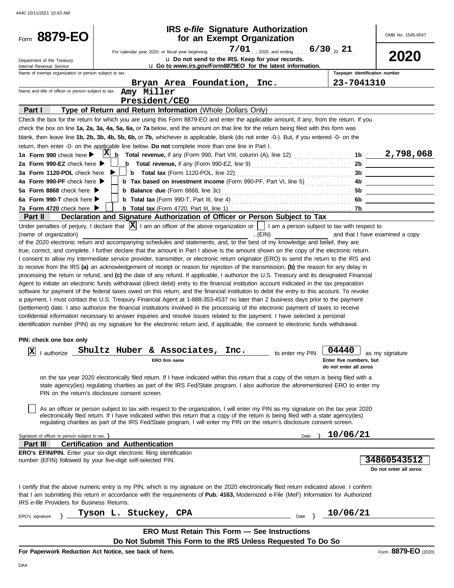| Form 8879-EO                                                                                              |                                         | <b>IRS</b> e-file Signature Authorization<br>for an Exempt Organization                                                                                                                                                                                                                                                                                                                                                                                                                                                                                                                                                                                                                                                                                                                                                                                                                                                                                                                                                                                                                                                                                                                                                                                                                                                                                                                                                                                                                                                                                                                                                                                                                                                                                                                                                                                                                                              |           |                    |                                                            | OMB No. 1545-0047                                  |
|-----------------------------------------------------------------------------------------------------------|-----------------------------------------|----------------------------------------------------------------------------------------------------------------------------------------------------------------------------------------------------------------------------------------------------------------------------------------------------------------------------------------------------------------------------------------------------------------------------------------------------------------------------------------------------------------------------------------------------------------------------------------------------------------------------------------------------------------------------------------------------------------------------------------------------------------------------------------------------------------------------------------------------------------------------------------------------------------------------------------------------------------------------------------------------------------------------------------------------------------------------------------------------------------------------------------------------------------------------------------------------------------------------------------------------------------------------------------------------------------------------------------------------------------------------------------------------------------------------------------------------------------------------------------------------------------------------------------------------------------------------------------------------------------------------------------------------------------------------------------------------------------------------------------------------------------------------------------------------------------------------------------------------------------------------------------------------------------------|-----------|--------------------|------------------------------------------------------------|----------------------------------------------------|
| Department of the Treasury<br>Internal Revenue Service                                                    |                                         | For calendar year 2020, or fiscal year beginning<br>u Do not send to the IRS. Keep for your records.<br>u Go to www.irs.gov/Form8879EO for the latest information.                                                                                                                                                                                                                                                                                                                                                                                                                                                                                                                                                                                                                                                                                                                                                                                                                                                                                                                                                                                                                                                                                                                                                                                                                                                                                                                                                                                                                                                                                                                                                                                                                                                                                                                                                   | 7/01      | , 2020, and ending | $6/30_{20}$ 21                                             | <b>2020</b>                                        |
| Name of exempt organization or person subject to tax                                                      |                                         |                                                                                                                                                                                                                                                                                                                                                                                                                                                                                                                                                                                                                                                                                                                                                                                                                                                                                                                                                                                                                                                                                                                                                                                                                                                                                                                                                                                                                                                                                                                                                                                                                                                                                                                                                                                                                                                                                                                      |           |                    | Taxpayer identification number                             |                                                    |
|                                                                                                           |                                         | Bryan Area Foundation, Inc.                                                                                                                                                                                                                                                                                                                                                                                                                                                                                                                                                                                                                                                                                                                                                                                                                                                                                                                                                                                                                                                                                                                                                                                                                                                                                                                                                                                                                                                                                                                                                                                                                                                                                                                                                                                                                                                                                          |           |                    | 23-7041310                                                 |                                                    |
| Name and title of officer or person subject to tax                                                        |                                         | Amy Miller                                                                                                                                                                                                                                                                                                                                                                                                                                                                                                                                                                                                                                                                                                                                                                                                                                                                                                                                                                                                                                                                                                                                                                                                                                                                                                                                                                                                                                                                                                                                                                                                                                                                                                                                                                                                                                                                                                           |           |                    |                                                            |                                                    |
|                                                                                                           |                                         | President/CEO                                                                                                                                                                                                                                                                                                                                                                                                                                                                                                                                                                                                                                                                                                                                                                                                                                                                                                                                                                                                                                                                                                                                                                                                                                                                                                                                                                                                                                                                                                                                                                                                                                                                                                                                                                                                                                                                                                        |           |                    |                                                            |                                                    |
| Part I                                                                                                    |                                         | Type of Return and Return Information (Whole Dollars Only)                                                                                                                                                                                                                                                                                                                                                                                                                                                                                                                                                                                                                                                                                                                                                                                                                                                                                                                                                                                                                                                                                                                                                                                                                                                                                                                                                                                                                                                                                                                                                                                                                                                                                                                                                                                                                                                           |           |                    |                                                            |                                                    |
|                                                                                                           |                                         | Check the box for the return for which you are using this Form 8879-EO and enter the applicable amount, if any, from the return. If you                                                                                                                                                                                                                                                                                                                                                                                                                                                                                                                                                                                                                                                                                                                                                                                                                                                                                                                                                                                                                                                                                                                                                                                                                                                                                                                                                                                                                                                                                                                                                                                                                                                                                                                                                                              |           |                    |                                                            |                                                    |
|                                                                                                           |                                         | check the box on line 1a, 2a, 3a, 4a, 5a, 6a, or 7a below, and the amount on that line for the return being filed with this form was                                                                                                                                                                                                                                                                                                                                                                                                                                                                                                                                                                                                                                                                                                                                                                                                                                                                                                                                                                                                                                                                                                                                                                                                                                                                                                                                                                                                                                                                                                                                                                                                                                                                                                                                                                                 |           |                    |                                                            |                                                    |
|                                                                                                           |                                         | blank, then leave line 1b, 2b, 3b, 4b, 5b, 6b, or 7b, whichever is applicable, blank (do not enter -0-). But, if you entered -0- on the                                                                                                                                                                                                                                                                                                                                                                                                                                                                                                                                                                                                                                                                                                                                                                                                                                                                                                                                                                                                                                                                                                                                                                                                                                                                                                                                                                                                                                                                                                                                                                                                                                                                                                                                                                              |           |                    |                                                            |                                                    |
|                                                                                                           |                                         | return, then enter -0- on the applicable line below. Do not complete more than one line in Part I.                                                                                                                                                                                                                                                                                                                                                                                                                                                                                                                                                                                                                                                                                                                                                                                                                                                                                                                                                                                                                                                                                                                                                                                                                                                                                                                                                                                                                                                                                                                                                                                                                                                                                                                                                                                                                   |           |                    |                                                            |                                                    |
| 1a Form 990 check here $\blacktriangleright$                                                              |                                         | $X_{b}$ Total revenue, if any (Form 990, Part VIII, column (A), line 12) $\ldots$                                                                                                                                                                                                                                                                                                                                                                                                                                                                                                                                                                                                                                                                                                                                                                                                                                                                                                                                                                                                                                                                                                                                                                                                                                                                                                                                                                                                                                                                                                                                                                                                                                                                                                                                                                                                                                    |           |                    |                                                            | $1b$ 2,798,068                                     |
| 2a Form 990-EZ check here                                                                                 |                                         | <b>b</b> Total revenue, if any (Form 990-EZ, line 9) $\ldots$ $\ldots$ $\ldots$ $\ldots$ $\ldots$ $\ldots$                                                                                                                                                                                                                                                                                                                                                                                                                                                                                                                                                                                                                                                                                                                                                                                                                                                                                                                                                                                                                                                                                                                                                                                                                                                                                                                                                                                                                                                                                                                                                                                                                                                                                                                                                                                                           |           |                    | 2b                                                         |                                                    |
| 3a Form 1120-POL check here                                                                               |                                         |                                                                                                                                                                                                                                                                                                                                                                                                                                                                                                                                                                                                                                                                                                                                                                                                                                                                                                                                                                                                                                                                                                                                                                                                                                                                                                                                                                                                                                                                                                                                                                                                                                                                                                                                                                                                                                                                                                                      |           |                    | 3b                                                         |                                                    |
| 4a Form 990-PF check here >                                                                               |                                         | <b>b</b> Tax based on investment income (Form 990-PF, Part VI, line 5)                                                                                                                                                                                                                                                                                                                                                                                                                                                                                                                                                                                                                                                                                                                                                                                                                                                                                                                                                                                                                                                                                                                                                                                                                                                                                                                                                                                                                                                                                                                                                                                                                                                                                                                                                                                                                                               |           |                    | 4b                                                         |                                                    |
| 5a Form 8868 check here $\blacktriangleright$                                                             |                                         |                                                                                                                                                                                                                                                                                                                                                                                                                                                                                                                                                                                                                                                                                                                                                                                                                                                                                                                                                                                                                                                                                                                                                                                                                                                                                                                                                                                                                                                                                                                                                                                                                                                                                                                                                                                                                                                                                                                      |           |                    | 5b                                                         |                                                    |
| 6a Form 990-T check here                                                                                  |                                         |                                                                                                                                                                                                                                                                                                                                                                                                                                                                                                                                                                                                                                                                                                                                                                                                                                                                                                                                                                                                                                                                                                                                                                                                                                                                                                                                                                                                                                                                                                                                                                                                                                                                                                                                                                                                                                                                                                                      |           |                    | 6b                                                         |                                                    |
| 7a Form 4720 check here $\blacktriangleright$<br><b>Part II</b>                                           |                                         | Declaration and Signature Authorization of Officer or Person Subject to Tax                                                                                                                                                                                                                                                                                                                                                                                                                                                                                                                                                                                                                                                                                                                                                                                                                                                                                                                                                                                                                                                                                                                                                                                                                                                                                                                                                                                                                                                                                                                                                                                                                                                                                                                                                                                                                                          |           |                    |                                                            |                                                    |
|                                                                                                           |                                         | Under penalties of perjury, I declare that $ X $ I am an officer of the above organization or $\Box$ I am a person subject to tax with respect to                                                                                                                                                                                                                                                                                                                                                                                                                                                                                                                                                                                                                                                                                                                                                                                                                                                                                                                                                                                                                                                                                                                                                                                                                                                                                                                                                                                                                                                                                                                                                                                                                                                                                                                                                                    |           |                    |                                                            |                                                    |
| (name of organization)<br>PIN: check one box only<br> X<br>PIN on the return's disclosure consent screen. |                                         | of the 2020 electronic return and accompanying schedules and statements, and, to the best of my knowledge and belief, they are<br>true, correct, and complete. I further declare that the amount in Part I above is the amount shown on the copy of the electronic return.<br>I consent to allow my intermediate service provider, transmitter, or electronic return originator (ERO) to send the return to the IRS and<br>to receive from the IRS (a) an acknowledgement of receipt or reason for rejection of the transmission, (b) the reason for any delay in<br>processing the return or refund, and (c) the date of any refund. If applicable, I authorize the U.S. Treasury and its designated Financial<br>Agent to initiate an electronic funds withdrawal (direct debit) entry to the financial institution account indicated in the tax preparation<br>software for payment of the federal taxes owed on this return, and the financial institution to debit the entry to this account. To revoke<br>a payment, I must contact the U.S. Treasury Financial Agent at 1-888-353-4537 no later than 2 business days prior to the payment<br>(settlement) date. I also authorize the financial institutions involved in the processing of the electronic payment of taxes to receive<br>confidential information necessary to answer inquiries and resolve issues related to the payment. I have selected a personal<br>identification number (PIN) as my signature for the electronic return and, if applicable, the consent to electronic funds withdrawal.<br>I authorize Shultz Huber & Associates, Inc.<br>ERO firm name<br>on the tax year 2020 electronically filed return. If I have indicated within this return that a copy of the return is being filed with a<br>state agency(ies) regulating charities as part of the IRS Fed/State program, I also authorize the aforementioned ERO to enter my | , $(EIN)$ | to enter my PIN    | 04440<br>Enter five numbers, but<br>do not enter all zeros | and that I have examined a copy<br>as my signature |
|                                                                                                           |                                         | As an officer or person subject to tax with respect to the organization, I will enter my PIN as my signature on the tax year 2020<br>electronically filed return. If I have indicated within this return that a copy of the return is being filed with a state agency(ies)<br>regulating charities as part of the IRS Fed/State program, I will enter my PIN on the return's disclosure consent screen.                                                                                                                                                                                                                                                                                                                                                                                                                                                                                                                                                                                                                                                                                                                                                                                                                                                                                                                                                                                                                                                                                                                                                                                                                                                                                                                                                                                                                                                                                                              |           |                    |                                                            |                                                    |
| Signature of officer or person subject to tax $\}$                                                        |                                         |                                                                                                                                                                                                                                                                                                                                                                                                                                                                                                                                                                                                                                                                                                                                                                                                                                                                                                                                                                                                                                                                                                                                                                                                                                                                                                                                                                                                                                                                                                                                                                                                                                                                                                                                                                                                                                                                                                                      |           | Date               | 10/06/21                                                   |                                                    |
| Part III                                                                                                  | <b>Certification and Authentication</b> |                                                                                                                                                                                                                                                                                                                                                                                                                                                                                                                                                                                                                                                                                                                                                                                                                                                                                                                                                                                                                                                                                                                                                                                                                                                                                                                                                                                                                                                                                                                                                                                                                                                                                                                                                                                                                                                                                                                      |           |                    |                                                            |                                                    |
| <b>ERO's EFIN/PIN.</b> Enter your six-digit electronic filing identification                              |                                         |                                                                                                                                                                                                                                                                                                                                                                                                                                                                                                                                                                                                                                                                                                                                                                                                                                                                                                                                                                                                                                                                                                                                                                                                                                                                                                                                                                                                                                                                                                                                                                                                                                                                                                                                                                                                                                                                                                                      |           |                    |                                                            |                                                    |
| number (EFIN) followed by your five-digit self-selected PIN.                                              |                                         |                                                                                                                                                                                                                                                                                                                                                                                                                                                                                                                                                                                                                                                                                                                                                                                                                                                                                                                                                                                                                                                                                                                                                                                                                                                                                                                                                                                                                                                                                                                                                                                                                                                                                                                                                                                                                                                                                                                      |           |                    |                                                            | 34860543512<br>Do not enter all zeros              |
| IRS e-file Providers for Business Returns.                                                                |                                         | I certify that the above numeric entry is my PIN, which is my signature on the 2020 electronically filed return indicated above. I confirm<br>that I am submitting this return in accordance with the requirements of Pub. 4163, Modernized e-File (MeF) Information for Authorized                                                                                                                                                                                                                                                                                                                                                                                                                                                                                                                                                                                                                                                                                                                                                                                                                                                                                                                                                                                                                                                                                                                                                                                                                                                                                                                                                                                                                                                                                                                                                                                                                                  |           |                    |                                                            |                                                    |
| ERO's signature                                                                                           | Tyson L. Stuckey, CPA                   |                                                                                                                                                                                                                                                                                                                                                                                                                                                                                                                                                                                                                                                                                                                                                                                                                                                                                                                                                                                                                                                                                                                                                                                                                                                                                                                                                                                                                                                                                                                                                                                                                                                                                                                                                                                                                                                                                                                      |           | Date               | 10/06/21                                                   |                                                    |
|                                                                                                           |                                         |                                                                                                                                                                                                                                                                                                                                                                                                                                                                                                                                                                                                                                                                                                                                                                                                                                                                                                                                                                                                                                                                                                                                                                                                                                                                                                                                                                                                                                                                                                                                                                                                                                                                                                                                                                                                                                                                                                                      |           |                    |                                                            |                                                    |
|                                                                                                           |                                         | <b>ERO Must Retain This Form - See Instructions</b><br>Do Not Submit This Form to the IRS Unless Requested To Do So                                                                                                                                                                                                                                                                                                                                                                                                                                                                                                                                                                                                                                                                                                                                                                                                                                                                                                                                                                                                                                                                                                                                                                                                                                                                                                                                                                                                                                                                                                                                                                                                                                                                                                                                                                                                  |           |                    |                                                            |                                                    |

**For Paperwork Reduction Act Notice, see back of form.**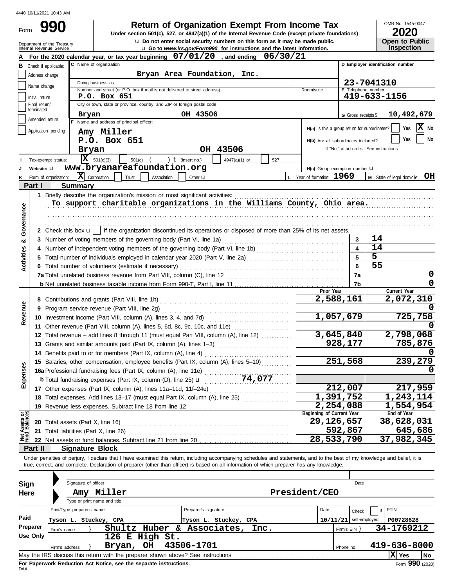Form

Department of the Treasury

 $\bf{u}$  Do not enter social security numbers on this form as it may be made public. **990 2020 2010 2020 2020 2020 2020 2020 2020 2020 2020 2020 2020 2020 2020 2020** 

OMB No. 1545-0047

| ZUZU                  |  |  |  |  |  |  |  |  |  |
|-----------------------|--|--|--|--|--|--|--|--|--|
| <b>Open to Public</b> |  |  |  |  |  |  |  |  |  |
| Insnection            |  |  |  |  |  |  |  |  |  |

|                                                       | un unu          | Internal Revenue Service                                                                                                                                                                                                                                  |                                                      |           |                                                                                                                                                                      |                      | <b>u</b> Go to www.irs.gov/Form990 for instructions and the latest information. |     |                |                                                 |                                          |                     | <b>Inspection</b>                |
|-------------------------------------------------------|-----------------|-----------------------------------------------------------------------------------------------------------------------------------------------------------------------------------------------------------------------------------------------------------|------------------------------------------------------|-----------|----------------------------------------------------------------------------------------------------------------------------------------------------------------------|----------------------|---------------------------------------------------------------------------------|-----|----------------|-------------------------------------------------|------------------------------------------|---------------------|----------------------------------|
|                                                       |                 | For the 2020 calendar year, or tax year beginning 07/01/20, and ending 06/30/21                                                                                                                                                                           |                                                      |           |                                                                                                                                                                      |                      |                                                                                 |     |                |                                                 |                                          |                     |                                  |
| в                                                     |                 | Check if applicable:                                                                                                                                                                                                                                      | C Name of organization                               |           |                                                                                                                                                                      |                      |                                                                                 |     |                |                                                 |                                          |                     | D Employer identification number |
|                                                       | Address change  |                                                                                                                                                                                                                                                           |                                                      |           |                                                                                                                                                                      |                      | Bryan Area Foundation, Inc.                                                     |     |                |                                                 |                                          |                     |                                  |
|                                                       |                 |                                                                                                                                                                                                                                                           | Doing business as                                    |           |                                                                                                                                                                      |                      |                                                                                 |     |                |                                                 |                                          | 23-7041310          |                                  |
|                                                       | Name change     |                                                                                                                                                                                                                                                           |                                                      |           | Number and street (or P.O. box if mail is not delivered to street address)                                                                                           |                      |                                                                                 |     |                | Room/suite                                      |                                          | E Telephone number  |                                  |
|                                                       | Initial return  |                                                                                                                                                                                                                                                           | P.O. Box 651                                         |           |                                                                                                                                                                      |                      |                                                                                 |     |                |                                                 |                                          |                     | 419-633-1156                     |
|                                                       | Final return/   |                                                                                                                                                                                                                                                           |                                                      |           | City or town, state or province, country, and ZIP or foreign postal code                                                                                             |                      |                                                                                 |     |                |                                                 |                                          |                     |                                  |
|                                                       | terminated      | Bryan                                                                                                                                                                                                                                                     |                                                      |           |                                                                                                                                                                      | OH 43506             |                                                                                 |     |                |                                                 |                                          | G Gross receipts \$ | 10,492,679                       |
|                                                       | Amended return  |                                                                                                                                                                                                                                                           | F Name and address of principal officer:             |           |                                                                                                                                                                      |                      |                                                                                 |     |                |                                                 |                                          |                     |                                  |
|                                                       |                 | Application pending                                                                                                                                                                                                                                       | Amy Miller                                           |           |                                                                                                                                                                      |                      |                                                                                 |     |                | $H(a)$ Is this a group return for subordinates? |                                          |                     | X No<br>Yes                      |
| P.O. Box 651<br>H(b) Are all subordinates included?   |                 |                                                                                                                                                                                                                                                           |                                                      |           |                                                                                                                                                                      |                      |                                                                                 |     |                |                                                 |                                          | No<br>Yes           |                                  |
|                                                       |                 |                                                                                                                                                                                                                                                           | Bryan                                                |           |                                                                                                                                                                      |                      | OH 43506                                                                        |     |                |                                                 | If "No," attach a list. See instructions |                     |                                  |
|                                                       |                 |                                                                                                                                                                                                                                                           |                                                      |           |                                                                                                                                                                      |                      |                                                                                 |     |                |                                                 |                                          |                     |                                  |
|                                                       |                 | Tax-exempt status:                                                                                                                                                                                                                                        | $ \mathbf{X} $ 501(c)(3)                             |           | 501(c) $($ $)$ $($ $)$ $($ insert no.)                                                                                                                               |                      | 4947(a)(1) or                                                                   | 527 |                |                                                 |                                          |                     |                                  |
|                                                       | Website: U      |                                                                                                                                                                                                                                                           |                                                      |           | www.bryanareafoundation.org                                                                                                                                          |                      |                                                                                 |     |                | H(c) Group exemption number U                   |                                          |                     |                                  |
| κ                                                     |                 | Form of organization:                                                                                                                                                                                                                                     | $ \mathbf{X} $ Corporation                           | Trust     | Association                                                                                                                                                          | Other <b>u</b>       |                                                                                 |     |                | L Year of formation: 1969                       |                                          |                     | M State of legal domicile: OH    |
|                                                       | Part I          | <b>Summary</b>                                                                                                                                                                                                                                            |                                                      |           |                                                                                                                                                                      |                      |                                                                                 |     |                |                                                 |                                          |                     |                                  |
|                                                       |                 | 1 Briefly describe the organization's mission or most significant activities:                                                                                                                                                                             |                                                      |           |                                                                                                                                                                      |                      |                                                                                 |     |                |                                                 |                                          |                     |                                  |
|                                                       |                 |                                                                                                                                                                                                                                                           |                                                      |           |                                                                                                                                                                      |                      | To support charitable organizations in the Williams County, Ohio area.          |     |                |                                                 |                                          |                     |                                  |
|                                                       |                 |                                                                                                                                                                                                                                                           |                                                      |           |                                                                                                                                                                      |                      |                                                                                 |     |                |                                                 |                                          |                     |                                  |
| Governance                                            |                 |                                                                                                                                                                                                                                                           |                                                      |           |                                                                                                                                                                      |                      |                                                                                 |     |                |                                                 |                                          |                     |                                  |
|                                                       |                 | 2 Check this box $\mathbf{u}$   if the organization discontinued its operations or disposed of more than 25% of its net assets.                                                                                                                           |                                                      |           |                                                                                                                                                                      |                      |                                                                                 |     |                |                                                 |                                          |                     |                                  |
|                                                       |                 |                                                                                                                                                                                                                                                           |                                                      |           |                                                                                                                                                                      |                      |                                                                                 |     |                |                                                 | 3                                        | 14                  |                                  |
| න්                                                    |                 |                                                                                                                                                                                                                                                           |                                                      |           |                                                                                                                                                                      |                      |                                                                                 |     |                |                                                 |                                          | 14                  |                                  |
| Activities                                            |                 |                                                                                                                                                                                                                                                           |                                                      |           |                                                                                                                                                                      |                      |                                                                                 |     |                |                                                 | 5                                        |                     |                                  |
|                                                       |                 |                                                                                                                                                                                                                                                           |                                                      |           |                                                                                                                                                                      |                      |                                                                                 |     |                |                                                 |                                          | 5                   |                                  |
|                                                       |                 |                                                                                                                                                                                                                                                           | 6 Total number of volunteers (estimate if necessary) |           |                                                                                                                                                                      |                      |                                                                                 |     |                |                                                 |                                          | 55<br>6             |                                  |
|                                                       |                 |                                                                                                                                                                                                                                                           |                                                      |           |                                                                                                                                                                      |                      |                                                                                 |     |                |                                                 | 7a                                       |                     | 0                                |
|                                                       |                 |                                                                                                                                                                                                                                                           |                                                      |           |                                                                                                                                                                      |                      |                                                                                 |     |                |                                                 |                                          | 7b                  | 0                                |
|                                                       |                 |                                                                                                                                                                                                                                                           |                                                      |           |                                                                                                                                                                      |                      |                                                                                 |     |                | Prior Year                                      |                                          |                     | Current Year                     |
|                                                       |                 |                                                                                                                                                                                                                                                           |                                                      |           |                                                                                                                                                                      |                      |                                                                                 |     |                |                                                 | 2,588,161                                |                     | 2,072,310                        |
| Revenue                                               | 9               |                                                                                                                                                                                                                                                           | Program service revenue (Part VIII, line 2g)         |           |                                                                                                                                                                      |                      |                                                                                 |     |                |                                                 |                                          |                     |                                  |
|                                                       |                 | 10 Investment income (Part VIII, column (A), lines 3, 4, and 7d) [                                                                                                                                                                                        |                                                      |           |                                                                                                                                                                      |                      |                                                                                 |     |                |                                                 | 1,057,679                                |                     | 725,758                          |
|                                                       |                 |                                                                                                                                                                                                                                                           |                                                      |           |                                                                                                                                                                      |                      |                                                                                 |     |                |                                                 |                                          |                     |                                  |
|                                                       |                 |                                                                                                                                                                                                                                                           |                                                      |           | 11 Other revenue (Part VIII, column (A), lines 5, 6d, 8c, 9c, 10c, and 11e)<br>12 Total revenue - add lines 8 through 11 (must equal Part VIII, column (A), line 12) |                      |                                                                                 |     |                |                                                 | 3,645,840                                |                     | 2,798,068                        |
|                                                       |                 | 13 Grants and similar amounts paid (Part IX, column (A), lines 1-3)                                                                                                                                                                                       |                                                      |           |                                                                                                                                                                      |                      |                                                                                 |     |                | 928,177                                         |                                          |                     | 785,876                          |
|                                                       |                 | 14 Benefits paid to or for members (Part IX, column (A), line 4)                                                                                                                                                                                          |                                                      |           |                                                                                                                                                                      |                      |                                                                                 |     |                |                                                 |                                          |                     |                                  |
|                                                       |                 | 15 Salaries, other compensation, employee benefits (Part IX, column (A), lines 5-10)                                                                                                                                                                      |                                                      |           |                                                                                                                                                                      |                      |                                                                                 |     |                |                                                 | 251,568                                  |                     | 239,279                          |
| enses                                                 |                 | 15 Salaries, other components, street, y<br>16a Professional fundraising fees (Part IX, column (A), line 11e)<br>$(2.4 \text{ N} \cdot \text{column} / \text{D})$ line 25) <b>u</b><br>$(2.4 \text{ N} \cdot \text{column} / \text{D})$ line 25) <b>u</b> |                                                      |           |                                                                                                                                                                      |                      |                                                                                 |     |                |                                                 |                                          |                     |                                  |
|                                                       |                 |                                                                                                                                                                                                                                                           |                                                      |           |                                                                                                                                                                      |                      |                                                                                 |     |                |                                                 |                                          |                     |                                  |
| Exp                                                   |                 |                                                                                                                                                                                                                                                           |                                                      |           |                                                                                                                                                                      |                      |                                                                                 |     |                |                                                 |                                          |                     |                                  |
|                                                       |                 | 17 Other expenses (Part IX, column (A), lines 11a-11d, 11f-24e)                                                                                                                                                                                           |                                                      |           |                                                                                                                                                                      |                      |                                                                                 |     |                |                                                 | 212,007                                  |                     | 217,959                          |
|                                                       |                 | 18 Total expenses. Add lines 13-17 (must equal Part IX, column (A), line 25)                                                                                                                                                                              |                                                      |           |                                                                                                                                                                      |                      |                                                                                 |     |                |                                                 | 1,391,752                                |                     | 1,243,114                        |
|                                                       |                 | 19 Revenue less expenses. Subtract line 18 from line 12                                                                                                                                                                                                   |                                                      |           |                                                                                                                                                                      |                      |                                                                                 |     |                |                                                 | 2,254,088                                |                     | 1,554,954                        |
| Net Assets or<br>Fund Balances                        |                 |                                                                                                                                                                                                                                                           |                                                      |           |                                                                                                                                                                      |                      |                                                                                 |     |                | Beginning of Current Year                       |                                          |                     | End of Year                      |
|                                                       |                 |                                                                                                                                                                                                                                                           |                                                      |           |                                                                                                                                                                      |                      |                                                                                 |     |                | 29,126,657                                      |                                          |                     | 38,628,031                       |
|                                                       |                 | 21 Total liabilities (Part X, line 26)                                                                                                                                                                                                                    |                                                      |           |                                                                                                                                                                      |                      |                                                                                 |     |                |                                                 | 592,867                                  |                     | 645,686                          |
|                                                       |                 |                                                                                                                                                                                                                                                           |                                                      |           |                                                                                                                                                                      |                      |                                                                                 |     |                |                                                 | 28,533,790                               |                     | 37,982,345                       |
|                                                       | Part II         | <b>Signature Block</b>                                                                                                                                                                                                                                    |                                                      |           |                                                                                                                                                                      |                      |                                                                                 |     |                |                                                 |                                          |                     |                                  |
|                                                       |                 | Under penalties of perjury, I declare that I have examined this return, including accompanying schedules and statements, and to the best of my knowledge and belief, it is                                                                                |                                                      |           |                                                                                                                                                                      |                      |                                                                                 |     |                |                                                 |                                          |                     |                                  |
|                                                       |                 | true, correct, and complete. Declaration of preparer (other than officer) is based on all information of which preparer has any knowledge.                                                                                                                |                                                      |           |                                                                                                                                                                      |                      |                                                                                 |     |                |                                                 |                                          |                     |                                  |
|                                                       |                 |                                                                                                                                                                                                                                                           |                                                      |           |                                                                                                                                                                      |                      |                                                                                 |     |                |                                                 |                                          |                     |                                  |
| Sign                                                  |                 | Signature of officer                                                                                                                                                                                                                                      |                                                      |           |                                                                                                                                                                      |                      |                                                                                 |     |                |                                                 |                                          | Date                |                                  |
| Here                                                  |                 |                                                                                                                                                                                                                                                           | Amy Miller                                           |           |                                                                                                                                                                      |                      |                                                                                 |     |                | President/CEO                                   |                                          |                     |                                  |
|                                                       |                 |                                                                                                                                                                                                                                                           | Type or print name and title                         |           |                                                                                                                                                                      |                      |                                                                                 |     |                |                                                 |                                          |                     |                                  |
|                                                       |                 | Print/Type preparer's name                                                                                                                                                                                                                                |                                                      |           |                                                                                                                                                                      | Preparer's signature |                                                                                 |     |                | Date                                            |                                          |                     |                                  |
|                                                       |                 |                                                                                                                                                                                                                                                           |                                                      |           |                                                                                                                                                                      |                      |                                                                                 |     |                |                                                 | Check                                    |                     | <b>PTIN</b>                      |
| Paid                                                  |                 | Tyson L. Stuckey, CPA                                                                                                                                                                                                                                     |                                                      |           |                                                                                                                                                                      |                      | Tyson L. Stuckey, CPA                                                           |     |                |                                                 | $10/11/21$ self-employed                 |                     | P00728628                        |
| Preparer<br>Shultz Huber & Associates,<br>Firm's name |                 |                                                                                                                                                                                                                                                           |                                                      |           |                                                                                                                                                                      | Inc.                 |                                                                                 |     | Firm's $EIN$ } |                                                 | 34-1769212                               |                     |                                  |
|                                                       | <b>Use Only</b> |                                                                                                                                                                                                                                                           |                                                      |           | 126 E High St.                                                                                                                                                       |                      |                                                                                 |     |                |                                                 |                                          |                     |                                  |
|                                                       |                 | Firm's address                                                                                                                                                                                                                                            |                                                      | Bryan, OH |                                                                                                                                                                      | 43506-1701           |                                                                                 |     |                |                                                 | Phone no.                                |                     | 419-636-8000                     |
|                                                       |                 | May the IRS discuss this return with the preparer shown above? See instructions                                                                                                                                                                           |                                                      |           |                                                                                                                                                                      |                      |                                                                                 |     |                |                                                 |                                          |                     | $ \mathbf{X} $ Yes<br><b>No</b>  |

| Sign<br>Here | Signature of officer<br>Miller<br>Amy                                           |                       | Date<br>President/CEO |                            |                         |  |  |  |
|--------------|---------------------------------------------------------------------------------|-----------------------|-----------------------|----------------------------|-------------------------|--|--|--|
|              | Type or print name and title                                                    |                       |                       |                            |                         |  |  |  |
|              | Print/Type preparer's name                                                      | Preparer's signature  | Date                  | Check                      | PTIN                    |  |  |  |
| Paid         | Tyson L. Stuckey, CPA                                                           | Tyson L. Stuckey, CPA |                       | $10/11/21$ self-employed   | P00728628               |  |  |  |
| Preparer     | Shultz Huber<br>&.<br>Firm's name                                               | Associates,<br>Inc.   |                       | 34-1769212<br>Firm's EIN Y |                         |  |  |  |
| Use Only     | 126 E High St.                                                                  |                       |                       |                            |                         |  |  |  |
|              | <b>OH</b><br>Bryan,<br>Firm's address                                           | 43506-1701            |                       | Phone no.                  | 419-636-8000            |  |  |  |
|              | May the IRS discuss this return with the preparer shown above? See instructions |                       |                       |                            | Ixl<br><b>No</b><br>Yes |  |  |  |
|              | For Paperwork Reduction Act Notice, see the separate instructions.              |                       |                       |                            | $Form$ 990 (2020)       |  |  |  |

DAA **For Paperwork Reduction Act Notice, see the separate instructions.**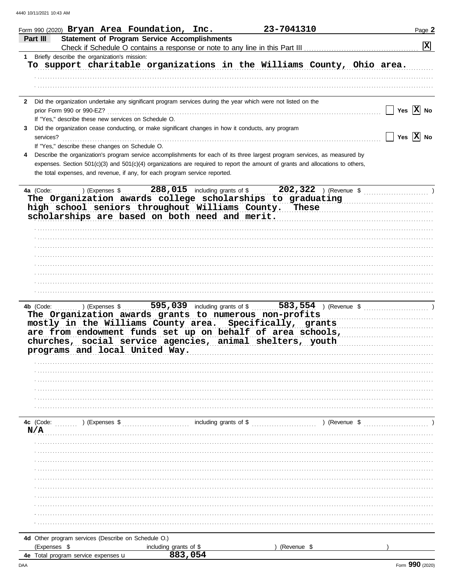| Form 990 (2020) $Bryan$ Area Foundation, Inc.                                                      |                                                     | 23-7041310                                                                                                                     | Page 2                |
|----------------------------------------------------------------------------------------------------|-----------------------------------------------------|--------------------------------------------------------------------------------------------------------------------------------|-----------------------|
| Part III                                                                                           | <b>Statement of Program Service Accomplishments</b> |                                                                                                                                |                       |
|                                                                                                    |                                                     |                                                                                                                                | $\mathbf{x}$          |
| 1 Briefly describe the organization's mission:                                                     |                                                     |                                                                                                                                |                       |
|                                                                                                    |                                                     | To support charitable organizations in the Williams County, Ohio area.                                                         |                       |
|                                                                                                    |                                                     |                                                                                                                                |                       |
|                                                                                                    |                                                     |                                                                                                                                |                       |
|                                                                                                    |                                                     |                                                                                                                                |                       |
|                                                                                                    |                                                     |                                                                                                                                |                       |
|                                                                                                    |                                                     | 2 Did the organization undertake any significant program services during the year which were not listed on the                 |                       |
| prior Form 990 or 990-EZ?                                                                          |                                                     |                                                                                                                                | Yes $X$ No            |
| If "Yes," describe these new services on Schedule O.                                               |                                                     |                                                                                                                                |                       |
| Did the organization cease conducting, or make significant changes in how it conducts, any program |                                                     |                                                                                                                                |                       |
| services?                                                                                          |                                                     |                                                                                                                                | Yes $ \mathbf{X} $ No |
| If "Yes," describe these changes on Schedule O.                                                    |                                                     |                                                                                                                                |                       |
|                                                                                                    |                                                     | Describe the organization's program service accomplishments for each of its three largest program services, as measured by     |                       |
|                                                                                                    |                                                     | expenses. Section 501(c)(3) and 501(c)(4) organizations are required to report the amount of grants and allocations to others, |                       |
| the total expenses, and revenue, if any, for each program service reported.                        |                                                     |                                                                                                                                |                       |
|                                                                                                    |                                                     |                                                                                                                                |                       |
|                                                                                                    |                                                     |                                                                                                                                |                       |
| 4a (Code:<br>) (Expenses \$                                                                        | $288,015$ including grants of \$                    | 202,322 ) (Revenue \$ (202,322)                                                                                                |                       |
|                                                                                                    |                                                     | The Organization awards college scholarships to graduating                                                                     |                       |
|                                                                                                    |                                                     | high school seniors throughout Williams County. These                                                                          |                       |
|                                                                                                    |                                                     | scholarships are based on both need and merit.                                                                                 |                       |
|                                                                                                    |                                                     |                                                                                                                                |                       |
|                                                                                                    |                                                     |                                                                                                                                |                       |
|                                                                                                    |                                                     |                                                                                                                                |                       |
|                                                                                                    |                                                     |                                                                                                                                |                       |
|                                                                                                    |                                                     |                                                                                                                                |                       |
|                                                                                                    |                                                     |                                                                                                                                |                       |
|                                                                                                    |                                                     |                                                                                                                                |                       |
|                                                                                                    |                                                     |                                                                                                                                |                       |
|                                                                                                    |                                                     |                                                                                                                                |                       |
|                                                                                                    |                                                     |                                                                                                                                |                       |
| 4b (Code:<br>) (Expenses \$                                                                        | $\overline{595}$ , 039 including grants of \$       |                                                                                                                                |                       |
|                                                                                                    |                                                     | The Organization awards grants to numerous non-profits                                                                         |                       |
|                                                                                                    |                                                     | mostly in the Williams County area. Specifically, grants                                                                       |                       |
|                                                                                                    |                                                     | are from endowment funds set up on behalf of area schools,                                                                     |                       |
|                                                                                                    |                                                     | churches, social service agencies, animal shelters, youth                                                                      |                       |
| programs and local United Way.                                                                     |                                                     |                                                                                                                                |                       |
|                                                                                                    |                                                     |                                                                                                                                |                       |
|                                                                                                    |                                                     |                                                                                                                                |                       |
|                                                                                                    |                                                     |                                                                                                                                |                       |
|                                                                                                    |                                                     |                                                                                                                                |                       |
|                                                                                                    |                                                     |                                                                                                                                |                       |
|                                                                                                    |                                                     |                                                                                                                                |                       |
|                                                                                                    |                                                     |                                                                                                                                |                       |
|                                                                                                    |                                                     |                                                                                                                                |                       |
| 4c (Code:<br>) (Expenses \$                                                                        |                                                     | including grants of \$<br>) (Revenue \$                                                                                        |                       |
| N/A                                                                                                |                                                     |                                                                                                                                |                       |
|                                                                                                    |                                                     |                                                                                                                                |                       |
|                                                                                                    |                                                     |                                                                                                                                |                       |
|                                                                                                    |                                                     |                                                                                                                                |                       |
|                                                                                                    |                                                     |                                                                                                                                |                       |
|                                                                                                    |                                                     |                                                                                                                                |                       |
|                                                                                                    |                                                     |                                                                                                                                |                       |
|                                                                                                    |                                                     |                                                                                                                                |                       |
|                                                                                                    |                                                     |                                                                                                                                |                       |
|                                                                                                    |                                                     |                                                                                                                                |                       |
|                                                                                                    |                                                     |                                                                                                                                |                       |
|                                                                                                    |                                                     |                                                                                                                                |                       |
|                                                                                                    |                                                     |                                                                                                                                |                       |
| 4d Other program services (Describe on Schedule O.)                                                |                                                     |                                                                                                                                |                       |
| (Expenses \$                                                                                       | including grants of \$                              | (Revenue \$                                                                                                                    |                       |
| 4e Total program service expenses u                                                                | 883,054                                             |                                                                                                                                |                       |
|                                                                                                    |                                                     |                                                                                                                                |                       |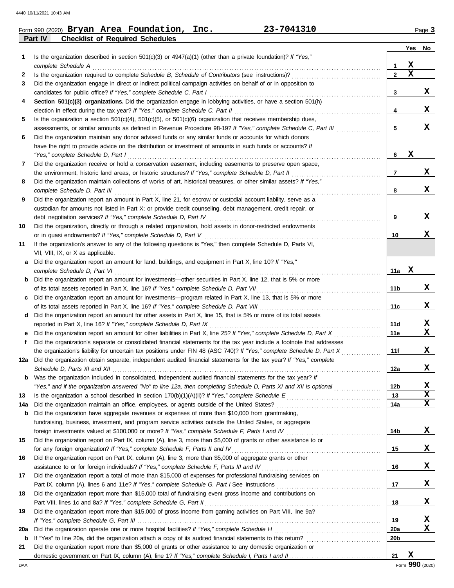| Form 990 (2020) Bryan Area Foundation,                   | Inc. | 23-7041310 | $P$ aqe $3$ |
|----------------------------------------------------------|------|------------|-------------|
| <b>Part IV</b><br><b>Checklist of Required Schedules</b> |      |            |             |

| 1   | Is the organization described in section $501(c)(3)$ or $4947(a)(1)$ (other than a private foundation)? If "Yes,"<br>complete Schedule A                                                        | 1               | X           |                  |
|-----|-------------------------------------------------------------------------------------------------------------------------------------------------------------------------------------------------|-----------------|-------------|------------------|
| 2   |                                                                                                                                                                                                 | $\overline{2}$  | $\mathbf x$ |                  |
| 3   | Did the organization engage in direct or indirect political campaign activities on behalf of or in opposition to                                                                                |                 |             |                  |
|     | candidates for public office? If "Yes," complete Schedule C, Part I                                                                                                                             | 3               |             | x                |
| 4   | Section 501(c)(3) organizations. Did the organization engage in lobbying activities, or have a section 501(h)                                                                                   |                 |             |                  |
|     | election in effect during the tax year? If "Yes," complete Schedule C, Part II                                                                                                                  | 4               |             | X                |
| 5   | Is the organization a section $501(c)(4)$ , $501(c)(5)$ , or $501(c)(6)$ organization that receives membership dues,                                                                            |                 |             |                  |
|     | assessments, or similar amounts as defined in Revenue Procedure 98-19? If "Yes," complete Schedule C, Part III                                                                                  | 5               |             | x                |
| 6   | Did the organization maintain any donor advised funds or any similar funds or accounts for which donors                                                                                         |                 |             |                  |
|     | have the right to provide advice on the distribution or investment of amounts in such funds or accounts? If                                                                                     |                 |             |                  |
|     | "Yes," complete Schedule D, Part I                                                                                                                                                              | 6               | X           |                  |
| 7   | Did the organization receive or hold a conservation easement, including easements to preserve open space,                                                                                       |                 |             |                  |
|     | the environment, historic land areas, or historic structures? If "Yes," complete Schedule D, Part II                                                                                            | 7               |             | x                |
| 8   | Did the organization maintain collections of works of art, historical treasures, or other similar assets? If "Yes,"                                                                             |                 |             |                  |
|     | complete Schedule D, Part III                                                                                                                                                                   | 8               |             | x                |
| 9   | Did the organization report an amount in Part X, line 21, for escrow or custodial account liability, serve as a                                                                                 |                 |             |                  |
|     | custodian for amounts not listed in Part X; or provide credit counseling, debt management, credit repair, or                                                                                    |                 |             |                  |
|     | debt negotiation services? If "Yes," complete Schedule D, Part IV                                                                                                                               | 9               |             | X                |
| 10  | Did the organization, directly or through a related organization, hold assets in donor-restricted endowments                                                                                    |                 |             |                  |
|     | or in quasi endowments? If "Yes," complete Schedule D, Part V                                                                                                                                   | 10              |             | x                |
| 11  | If the organization's answer to any of the following questions is "Yes," then complete Schedule D, Parts VI,                                                                                    |                 |             |                  |
|     | VII, VIII, IX, or X as applicable.                                                                                                                                                              |                 |             |                  |
| а   | Did the organization report an amount for land, buildings, and equipment in Part X, line 10? If "Yes,"                                                                                          |                 |             |                  |
|     | complete Schedule D, Part VI                                                                                                                                                                    | 11a             | х           |                  |
| b   | Did the organization report an amount for investments—other securities in Part X, line 12, that is 5% or more                                                                                   |                 |             |                  |
|     | of its total assets reported in Part X, line 16? If "Yes," complete Schedule D, Part VII                                                                                                        | 11b             |             | x                |
| c   | Did the organization report an amount for investments—program related in Part X, line 13, that is 5% or more                                                                                    |                 |             |                  |
|     |                                                                                                                                                                                                 | 11c             |             | x                |
| d   | Did the organization report an amount for other assets in Part X, line 15, that is 5% or more of its total assets                                                                               |                 |             |                  |
|     | reported in Part X, line 16? If "Yes," complete Schedule D, Part IX                                                                                                                             | 11d             |             | X                |
|     | Did the organization report an amount for other liabilities in Part X, line 25? If "Yes," complete Schedule D, Part X                                                                           | 11e             |             | $\mathbf x$      |
| f   | Did the organization's separate or consolidated financial statements for the tax year include a footnote that addresses                                                                         |                 |             |                  |
|     | the organization's liability for uncertain tax positions under FIN 48 (ASC 740)? If "Yes," complete Schedule D, Part X                                                                          | 11f             |             | x                |
|     | 12a Did the organization obtain separate, independent audited financial statements for the tax year? If "Yes," complete                                                                         |                 |             |                  |
|     |                                                                                                                                                                                                 | 12a             |             | x                |
|     | <b>b</b> Was the organization included in consolidated, independent audited financial statements for the tax year? If                                                                           |                 |             |                  |
|     | "Yes," and if the organization answered "No" to line 12a, then completing Schedule D, Parts XI and XII is optional                                                                              | 12b             |             | X<br>$\mathbf x$ |
| 13  |                                                                                                                                                                                                 | 13              |             | $\mathbf x$      |
| 14a | Did the organization maintain an office, employees, or agents outside of the United States?<br>Did the organization have aggregate revenues or expenses of more than \$10,000 from grantmaking, | 14a             |             |                  |
| b   | fundraising, business, investment, and program service activities outside the United States, or aggregate                                                                                       |                 |             |                  |
|     |                                                                                                                                                                                                 | 14b             |             | X                |
| 15  | Did the organization report on Part IX, column (A), line 3, more than \$5,000 of grants or other assistance to or                                                                               |                 |             |                  |
|     | for any foreign organization? If "Yes," complete Schedule F, Parts II and IV                                                                                                                    | 15              |             | X                |
| 16  | Did the organization report on Part IX, column (A), line 3, more than \$5,000 of aggregate grants or other                                                                                      |                 |             |                  |
|     | assistance to or for foreign individuals? If "Yes," complete Schedule F, Parts III and IV [[[[[[[[[[[[[[[[[[[                                                                                   | 16              |             | X                |
| 17  | Did the organization report a total of more than \$15,000 of expenses for professional fundraising services on                                                                                  |                 |             |                  |
|     |                                                                                                                                                                                                 | 17              |             | X                |
| 18  | Did the organization report more than \$15,000 total of fundraising event gross income and contributions on                                                                                     |                 |             |                  |
|     | Part VIII, lines 1c and 8a? If "Yes," complete Schedule G, Part II                                                                                                                              | 18              |             | x                |
| 19  | Did the organization report more than \$15,000 of gross income from gaming activities on Part VIII, line 9a?                                                                                    |                 |             |                  |
|     |                                                                                                                                                                                                 | 19              |             | X                |
| 20a | Did the organization operate one or more hospital facilities? If "Yes," complete Schedule H                                                                                                     | <b>20a</b>      |             | X                |
| b   |                                                                                                                                                                                                 | 20 <sub>b</sub> |             |                  |
| 21  | Did the organization report more than \$5,000 of grants or other assistance to any domestic organization or                                                                                     |                 |             |                  |
|     |                                                                                                                                                                                                 | 21              | $\mathbf x$ |                  |

**Yes No**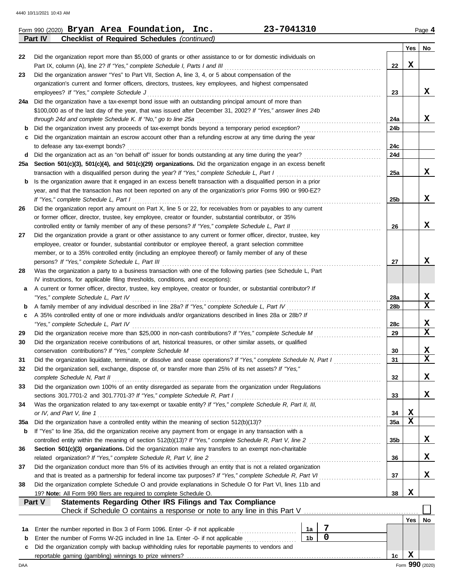|     | Part IV<br><b>Checklist of Required Schedules (continued)</b>                                                       |                 |     |                 |  |  |  |
|-----|---------------------------------------------------------------------------------------------------------------------|-----------------|-----|-----------------|--|--|--|
|     |                                                                                                                     |                 | Yes | No              |  |  |  |
| 22  | Did the organization report more than \$5,000 of grants or other assistance to or for domestic individuals on       |                 |     |                 |  |  |  |
|     | Part IX, column (A), line 2? If "Yes," complete Schedule I, Parts I and III                                         | 22              | х   |                 |  |  |  |
| 23  | Did the organization answer "Yes" to Part VII, Section A, line 3, 4, or 5 about compensation of the                 |                 |     |                 |  |  |  |
|     | organization's current and former officers, directors, trustees, key employees, and highest compensated             |                 |     |                 |  |  |  |
|     | employees? If "Yes," complete Schedule J                                                                            | 23              |     | X               |  |  |  |
| 24a | Did the organization have a tax-exempt bond issue with an outstanding principal amount of more than                 |                 |     |                 |  |  |  |
|     | \$100,000 as of the last day of the year, that was issued after December 31, 2002? If "Yes," answer lines 24b       |                 |     |                 |  |  |  |
|     | through 24d and complete Schedule K. If "No," go to line 25a                                                        | 24a             |     | X               |  |  |  |
| b   | Did the organization invest any proceeds of tax-exempt bonds beyond a temporary period exception?                   | 24b             |     |                 |  |  |  |
| с   | Did the organization maintain an escrow account other than a refunding escrow at any time during the year           |                 |     |                 |  |  |  |
|     | to defease any tax-exempt bonds?                                                                                    | 24c             |     |                 |  |  |  |
| d   | Did the organization act as an "on behalf of" issuer for bonds outstanding at any time during the year?             | 24d             |     |                 |  |  |  |
| 25а | Section 501(c)(3), 501(c)(4), and 501(c)(29) organizations. Did the organization engage in an excess benefit        |                 |     |                 |  |  |  |
|     | transaction with a disqualified person during the year? If "Yes," complete Schedule L, Part I                       | 25a             |     | x               |  |  |  |
| b   | Is the organization aware that it engaged in an excess benefit transaction with a disqualified person in a prior    |                 |     |                 |  |  |  |
|     | year, and that the transaction has not been reported on any of the organization's prior Forms 990 or 990-EZ?        |                 |     |                 |  |  |  |
|     | If "Yes," complete Schedule L, Part I                                                                               | 25 <sub>b</sub> |     | X               |  |  |  |
| 26  | Did the organization report any amount on Part X, line 5 or 22, for receivables from or payables to any current     |                 |     |                 |  |  |  |
|     | or former officer, director, trustee, key employee, creator or founder, substantial contributor, or 35%             |                 |     |                 |  |  |  |
|     | controlled entity or family member of any of these persons? If "Yes," complete Schedule L, Part II                  | 26              |     | X               |  |  |  |
| 27  | Did the organization provide a grant or other assistance to any current or former officer, director, trustee, key   |                 |     |                 |  |  |  |
|     | employee, creator or founder, substantial contributor or employee thereof, a grant selection committee              |                 |     |                 |  |  |  |
|     | member, or to a 35% controlled entity (including an employee thereof) or family member of any of these              |                 |     |                 |  |  |  |
|     | persons? If "Yes," complete Schedule L, Part III                                                                    | 27              |     | X               |  |  |  |
| 28  | Was the organization a party to a business transaction with one of the following parties (see Schedule L, Part      |                 |     |                 |  |  |  |
|     | IV instructions, for applicable filing thresholds, conditions, and exceptions):                                     |                 |     |                 |  |  |  |
| а   | A current or former officer, director, trustee, key employee, creator or founder, or substantial contributor? If    |                 |     |                 |  |  |  |
|     | "Yes," complete Schedule L, Part IV                                                                                 | 28a             |     | X               |  |  |  |
| b   | A family member of any individual described in line 28a? If "Yes," complete Schedule L, Part IV                     |                 |     |                 |  |  |  |
| c   | A 35% controlled entity of one or more individuals and/or organizations described in lines 28a or 28b? If           |                 |     |                 |  |  |  |
|     | "Yes," complete Schedule L, Part IV                                                                                 | 28c             |     | X               |  |  |  |
| 29  |                                                                                                                     | 29              |     | X               |  |  |  |
| 30  | Did the organization receive contributions of art, historical treasures, or other similar assets, or qualified      |                 |     |                 |  |  |  |
|     | conservation contributions? If "Yes," complete Schedule M                                                           | 30              |     | x               |  |  |  |
| 31  | Did the organization liquidate, terminate, or dissolve and cease operations? If "Yes," complete Schedule N, Part I  | 31              |     | $\mathbf{x}$    |  |  |  |
|     | Did the organization sell, exchange, dispose of, or transfer more than 25% of its net assets? If "Yes,"             |                 |     |                 |  |  |  |
|     | complete Schedule N, Part II                                                                                        | 32              |     | X               |  |  |  |
| 33  | Did the organization own 100% of an entity disregarded as separate from the organization under Regulations          |                 |     |                 |  |  |  |
|     | sections 301.7701-2 and 301.7701-3? If "Yes," complete Schedule R, Part I                                           | 33              |     | x               |  |  |  |
| 34  | Was the organization related to any tax-exempt or taxable entity? If "Yes," complete Schedule R, Part II, III,      |                 |     |                 |  |  |  |
|     | or IV, and Part V, line 1                                                                                           | 34              | X   |                 |  |  |  |
| 35a | Did the organization have a controlled entity within the meaning of section 512(b)(13)?                             | <b>35a</b>      | X   |                 |  |  |  |
| b   | If "Yes" to line 35a, did the organization receive any payment from or engage in any transaction with a             |                 |     |                 |  |  |  |
|     | controlled entity within the meaning of section 512(b)(13)? If "Yes," complete Schedule R, Part V, line 2           | 35 <sub>b</sub> |     | X               |  |  |  |
| 36  | Section 501(c)(3) organizations. Did the organization make any transfers to an exempt non-charitable                |                 |     |                 |  |  |  |
|     | related organization? If "Yes," complete Schedule R, Part V, line 2                                                 | 36              |     | X               |  |  |  |
| 37  | Did the organization conduct more than 5% of its activities through an entity that is not a related organization    |                 |     |                 |  |  |  |
|     | and that is treated as a partnership for federal income tax purposes? If "Yes," complete Schedule R, Part VI        | 37              |     | x               |  |  |  |
| 38  | Did the organization complete Schedule O and provide explanations in Schedule O for Part VI, lines 11b and          |                 |     |                 |  |  |  |
|     | 19? Note: All Form 990 filers are required to complete Schedule O.                                                  | 38              | х   |                 |  |  |  |
|     | Part V<br><b>Statements Regarding Other IRS Filings and Tax Compliance</b>                                          |                 |     |                 |  |  |  |
|     | Check if Schedule O contains a response or note to any line in this Part V                                          |                 |     |                 |  |  |  |
|     |                                                                                                                     |                 | Yes | No              |  |  |  |
| 1а  | 7<br>Enter the number reported in Box 3 of Form 1096. Enter -0- if not applicable<br>1a                             |                 |     |                 |  |  |  |
| b   | $\overline{0}$<br>Enter the number of Forms W-2G included in line 1a. Enter -0- if not applicable<br>1 <sub>b</sub> |                 |     |                 |  |  |  |
| c   | Did the organization comply with backup withholding rules for reportable payments to vendors and                    |                 |     |                 |  |  |  |
|     |                                                                                                                     | 1c              | X   |                 |  |  |  |
| DAA |                                                                                                                     |                 |     | Form 990 (2020) |  |  |  |

Form 990 (2020) Page **4 Bryan Area Foundation, Inc. 23-7041310**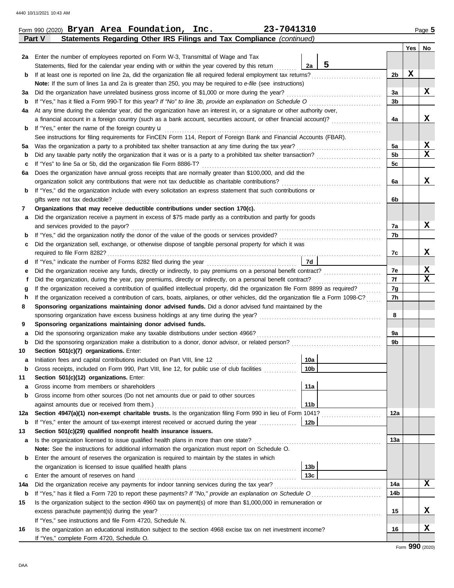| 23-7041310<br>Form 990 (2020) Bryan Area Foundation, Inc.<br>Page 5 |                                                                                                                                         |                                    |                |     |             |  |  |  |  |  |
|---------------------------------------------------------------------|-----------------------------------------------------------------------------------------------------------------------------------------|------------------------------------|----------------|-----|-------------|--|--|--|--|--|
|                                                                     | Statements Regarding Other IRS Filings and Tax Compliance (continued)<br>Part V                                                         |                                    |                |     |             |  |  |  |  |  |
|                                                                     |                                                                                                                                         |                                    |                | Yes | No          |  |  |  |  |  |
|                                                                     | 2a Enter the number of employees reported on Form W-3, Transmittal of Wage and Tax                                                      |                                    |                |     |             |  |  |  |  |  |
|                                                                     | Statements, filed for the calendar year ending with or within the year covered by this return                                           | 5<br>2a                            |                |     |             |  |  |  |  |  |
| b                                                                   | If at least one is reported on line 2a, did the organization file all required federal employment tax returns?                          |                                    | 2b             | X   |             |  |  |  |  |  |
|                                                                     | Note: If the sum of lines 1a and 2a is greater than 250, you may be required to e-file (see instructions)                               |                                    |                |     |             |  |  |  |  |  |
| За                                                                  | Did the organization have unrelated business gross income of \$1,000 or more during the year?                                           |                                    |                |     |             |  |  |  |  |  |
| b                                                                   | If "Yes," has it filed a Form 990-T for this year? If "No" to line 3b, provide an explanation on Schedule O                             |                                    | 3b             |     |             |  |  |  |  |  |
| 4a                                                                  | At any time during the calendar year, did the organization have an interest in, or a signature or other authority over,                 |                                    |                |     |             |  |  |  |  |  |
|                                                                     | a financial account in a foreign country (such as a bank account, securities account, or other financial account)?                      |                                    | 4a             |     | X           |  |  |  |  |  |
| b                                                                   | If "Yes," enter the name of the foreign country <b>u</b>                                                                                |                                    |                |     |             |  |  |  |  |  |
|                                                                     | See instructions for filing requirements for FinCEN Form 114, Report of Foreign Bank and Financial Accounts (FBAR).                     |                                    |                |     |             |  |  |  |  |  |
| 5а                                                                  | Was the organization a party to a prohibited tax shelter transaction at any time during the tax year?                                   |                                    | 5a             |     | X           |  |  |  |  |  |
| b                                                                   | Did any taxable party notify the organization that it was or is a party to a prohibited tax shelter transaction?                        |                                    | 5 <sub>b</sub> |     | $\mathbf x$ |  |  |  |  |  |
| с                                                                   | If "Yes" to line 5a or 5b, did the organization file Form 8886-T?                                                                       |                                    |                |     |             |  |  |  |  |  |
| 6а                                                                  | Does the organization have annual gross receipts that are normally greater than \$100,000, and did the                                  |                                    |                |     |             |  |  |  |  |  |
|                                                                     | organization solicit any contributions that were not tax deductible as charitable contributions?                                        |                                    | 6a             |     | x           |  |  |  |  |  |
| b                                                                   | If "Yes," did the organization include with every solicitation an express statement that such contributions or                          |                                    |                |     |             |  |  |  |  |  |
|                                                                     | gifts were not tax deductible?                                                                                                          |                                    | 6b             |     |             |  |  |  |  |  |
| 7                                                                   | Organizations that may receive deductible contributions under section 170(c).                                                           |                                    |                |     |             |  |  |  |  |  |
| а                                                                   | Did the organization receive a payment in excess of \$75 made partly as a contribution and partly for goods                             |                                    |                |     |             |  |  |  |  |  |
|                                                                     | and services provided to the payor?                                                                                                     |                                    | 7a             |     | x           |  |  |  |  |  |
| $\mathbf b$                                                         | If "Yes," did the organization notify the donor of the value of the goods or services provided?                                         |                                    | 7b             |     |             |  |  |  |  |  |
| c                                                                   | Did the organization sell, exchange, or otherwise dispose of tangible personal property for which it was                                |                                    |                |     |             |  |  |  |  |  |
|                                                                     |                                                                                                                                         |                                    |                |     |             |  |  |  |  |  |
| d                                                                   | <b>7d</b>                                                                                                                               |                                    |                |     |             |  |  |  |  |  |
|                                                                     | Did the organization receive any funds, directly or indirectly, to pay premiums on a personal benefit contract?<br>е                    |                                    |                |     |             |  |  |  |  |  |
|                                                                     | Did the organization, during the year, pay premiums, directly or indirectly, on a personal benefit contract?                            |                                    |                |     |             |  |  |  |  |  |
|                                                                     | If the organization received a contribution of qualified intellectual property, did the organization file Form 8899 as required?<br>g   |                                    |                |     |             |  |  |  |  |  |
|                                                                     | If the organization received a contribution of cars, boats, airplanes, or other vehicles, did the organization file a Form 1098-C?<br>h |                                    |                |     |             |  |  |  |  |  |
| 8                                                                   | Sponsoring organizations maintaining donor advised funds. Did a donor advised fund maintained by the                                    |                                    |                |     |             |  |  |  |  |  |
|                                                                     | sponsoring organization have excess business holdings at any time during the year?                                                      |                                    | 8              |     |             |  |  |  |  |  |
| 9                                                                   | Sponsoring organizations maintaining donor advised funds.                                                                               |                                    |                |     |             |  |  |  |  |  |
| а                                                                   | Did the sponsoring organization make any taxable distributions under section 4966?                                                      |                                    | 9a             |     |             |  |  |  |  |  |
| b                                                                   |                                                                                                                                         |                                    | 9b             |     |             |  |  |  |  |  |
| 10                                                                  | Section 501(c)(7) organizations. Enter:                                                                                                 |                                    |                |     |             |  |  |  |  |  |
|                                                                     | Initiation fees and capital contributions included on Part VIII, line 12 [11] [11] [11] [12] [11] [11] [12] [1                          | 10a                                |                |     |             |  |  |  |  |  |
| b                                                                   | Gross receipts, included on Form 990, Part VIII, line 12, for public use of club facilities                                             | 10 <sub>b</sub>                    |                |     |             |  |  |  |  |  |
| 11                                                                  | Section 501(c)(12) organizations. Enter:                                                                                                |                                    |                |     |             |  |  |  |  |  |
| а                                                                   | Gross income from members or shareholders                                                                                               | 11a                                |                |     |             |  |  |  |  |  |
| b                                                                   | Gross income from other sources (Do not net amounts due or paid to other sources                                                        |                                    |                |     |             |  |  |  |  |  |
|                                                                     | against amounts due or received from them.)                                                                                             | 11 <sub>b</sub>                    |                |     |             |  |  |  |  |  |
| 12a                                                                 | Section 4947(a)(1) non-exempt charitable trusts. Is the organization filing Form 990 in lieu of Form 1041?                              |                                    | 12a            |     |             |  |  |  |  |  |
| b                                                                   | If "Yes," enter the amount of tax-exempt interest received or accrued during the year <i>minimizion</i> .                               | 12b                                |                |     |             |  |  |  |  |  |
| 13                                                                  | Section 501(c)(29) qualified nonprofit health insurance issuers.                                                                        |                                    |                |     |             |  |  |  |  |  |
| а                                                                   | Is the organization licensed to issue qualified health plans in more than one state?                                                    |                                    | 13a            |     |             |  |  |  |  |  |
|                                                                     | Note: See the instructions for additional information the organization must report on Schedule O.                                       |                                    |                |     |             |  |  |  |  |  |
| b                                                                   | Enter the amount of reserves the organization is required to maintain by the states in which                                            |                                    |                |     |             |  |  |  |  |  |
|                                                                     |                                                                                                                                         |                                    |                |     |             |  |  |  |  |  |
|                                                                     |                                                                                                                                         | 13 <sub>b</sub><br>13 <sub>c</sub> |                |     |             |  |  |  |  |  |
| c                                                                   | Enter the amount of reserves on hand                                                                                                    |                                    | 14a            |     | X           |  |  |  |  |  |
| 14a                                                                 | Did the organization receive any payments for indoor tanning services during the tax year?                                              |                                    |                |     |             |  |  |  |  |  |
| b                                                                   | If "Yes," has it filed a Form 720 to report these payments? If "No," provide an explanation on Schedule O                               |                                    | 14b            |     |             |  |  |  |  |  |
| 15                                                                  | Is the organization subject to the section 4960 tax on payment(s) of more than \$1,000,000 in remuneration or                           |                                    |                |     |             |  |  |  |  |  |
|                                                                     | excess parachute payment(s) during the year?                                                                                            |                                    | 15             |     | X           |  |  |  |  |  |
|                                                                     | If "Yes," see instructions and file Form 4720, Schedule N.                                                                              |                                    |                |     |             |  |  |  |  |  |
| 16                                                                  | Is the organization an educational institution subject to the section 4968 excise tax on net investment income?                         |                                    | 16             |     | X           |  |  |  |  |  |
|                                                                     | If "Yes," complete Form 4720, Schedule O.                                                                                               |                                    |                |     |             |  |  |  |  |  |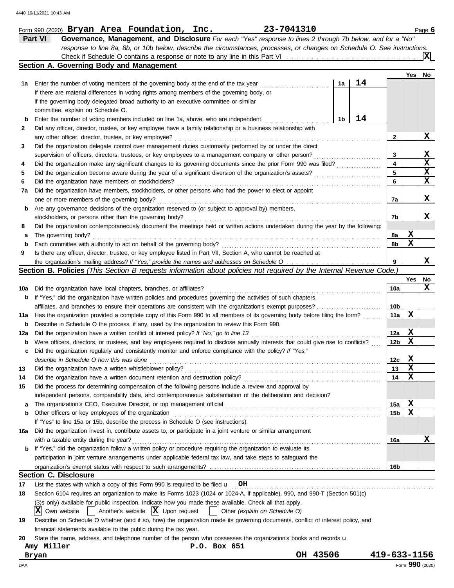|     |            | Form 990 (2020) Bryan Area Foundation, Inc.                                                                                                                                                  |  |  |                                                        |              |  | 23-7041310                    |          |                |    |                 |     |     | Page 6          |
|-----|------------|----------------------------------------------------------------------------------------------------------------------------------------------------------------------------------------------|--|--|--------------------------------------------------------|--------------|--|-------------------------------|----------|----------------|----|-----------------|-----|-----|-----------------|
|     | Part VI    | Governance, Management, and Disclosure For each "Yes" response to lines 2 through 7b below, and for a "No"                                                                                   |  |  |                                                        |              |  |                               |          |                |    |                 |     |     |                 |
|     |            | response to line 8a, 8b, or 10b below, describe the circumstances, processes, or changes on Schedule O. See instructions.                                                                    |  |  |                                                        |              |  |                               |          |                |    |                 |     |     |                 |
|     |            |                                                                                                                                                                                              |  |  |                                                        |              |  |                               |          |                |    |                 |     |     |                 |
|     |            | Section A. Governing Body and Management                                                                                                                                                     |  |  |                                                        |              |  |                               |          |                |    |                 |     |     |                 |
|     |            |                                                                                                                                                                                              |  |  |                                                        |              |  |                               |          |                |    |                 |     | Yes | No              |
| 1а  |            | Enter the number of voting members of the governing body at the end of the tax year                                                                                                          |  |  |                                                        |              |  |                               |          | 1a             | 14 |                 |     |     |                 |
|     |            | If there are material differences in voting rights among members of the governing body, or                                                                                                   |  |  |                                                        |              |  |                               |          |                |    |                 |     |     |                 |
|     |            | if the governing body delegated broad authority to an executive committee or similar                                                                                                         |  |  |                                                        |              |  |                               |          |                |    |                 |     |     |                 |
|     |            | committee, explain on Schedule O.                                                                                                                                                            |  |  |                                                        |              |  |                               |          |                |    |                 |     |     |                 |
| b   |            | Enter the number of voting members included on line 1a, above, who are independent                                                                                                           |  |  |                                                        |              |  |                               |          | 1 <sub>b</sub> | 14 |                 |     |     |                 |
| 2   |            | Did any officer, director, trustee, or key employee have a family relationship or a business relationship with                                                                               |  |  |                                                        |              |  |                               |          |                |    |                 |     |     |                 |
|     |            | any other officer, director, trustee, or key employee?                                                                                                                                       |  |  |                                                        |              |  |                               |          |                |    | 2               |     |     | X               |
| 3   |            | Did the organization delegate control over management duties customarily performed by or under the direct                                                                                    |  |  |                                                        |              |  |                               |          |                |    |                 |     |     |                 |
|     |            | supervision of officers, directors, trustees, or key employees to a management company or other person?                                                                                      |  |  |                                                        |              |  |                               |          |                |    | 3               |     |     | x               |
| 4   |            | Did the organization make any significant changes to its governing documents since the prior Form 990 was filed?                                                                             |  |  |                                                        |              |  |                               |          |                |    | 4               |     |     | $\mathbf x$     |
| 5   |            | Did the organization become aware during the year of a significant diversion of the organization's assets?                                                                                   |  |  |                                                        |              |  |                               |          |                |    | 5               |     |     | $\mathbf x$     |
| 6   |            | Did the organization have members or stockholders?                                                                                                                                           |  |  |                                                        |              |  |                               |          |                |    | 6               |     |     | $\mathbf x$     |
| 7a  |            | Did the organization have members, stockholders, or other persons who had the power to elect or appoint                                                                                      |  |  |                                                        |              |  |                               |          |                |    |                 |     |     |                 |
|     |            | one or more members of the governing body?                                                                                                                                                   |  |  |                                                        |              |  |                               |          |                |    | 7a              |     |     | X               |
|     |            | Are any governance decisions of the organization reserved to (or subject to approval by) members,                                                                                            |  |  |                                                        |              |  |                               |          |                |    |                 |     |     |                 |
| b   |            |                                                                                                                                                                                              |  |  |                                                        |              |  |                               |          |                |    | 7b              |     |     | x               |
|     |            | stockholders, or persons other than the governing body?<br>Did the organization contemporaneously document the meetings held or written actions undertaken during the year by the following: |  |  |                                                        |              |  |                               |          |                |    |                 |     |     |                 |
| 8   |            |                                                                                                                                                                                              |  |  |                                                        |              |  |                               |          |                |    |                 |     | X   |                 |
| а   |            | The governing body?                                                                                                                                                                          |  |  |                                                        |              |  |                               |          |                |    | 8а              |     | X   |                 |
| b   |            | Each committee with authority to act on behalf of the governing body?                                                                                                                        |  |  |                                                        |              |  |                               |          |                |    | 8b              |     |     |                 |
| 9   |            | Is there any officer, director, trustee, or key employee listed in Part VII, Section A, who cannot be reached at                                                                             |  |  |                                                        |              |  |                               |          |                |    |                 |     |     | x               |
|     |            |                                                                                                                                                                                              |  |  |                                                        |              |  |                               |          |                |    | 9               |     |     |                 |
|     |            | Section B. Policies (This Section B requests information about policies not required by the Internal Revenue Code.)                                                                          |  |  |                                                        |              |  |                               |          |                |    |                 |     |     |                 |
|     |            |                                                                                                                                                                                              |  |  |                                                        |              |  |                               |          |                |    |                 |     | Yes | No<br>X         |
| 10a |            | Did the organization have local chapters, branches, or affiliates?                                                                                                                           |  |  |                                                        |              |  |                               |          |                |    | 10a             |     |     |                 |
| b   |            | If "Yes," did the organization have written policies and procedures governing the activities of such chapters,                                                                               |  |  |                                                        |              |  |                               |          |                |    |                 |     |     |                 |
|     |            | affiliates, and branches to ensure their operations are consistent with the organization's exempt purposes?                                                                                  |  |  |                                                        |              |  |                               |          |                |    |                 | 10b | X   |                 |
| 11a |            | Has the organization provided a complete copy of this Form 990 to all members of its governing body before filing the form?                                                                  |  |  |                                                        |              |  |                               |          |                |    |                 | 11a |     |                 |
| b   |            | Describe in Schedule O the process, if any, used by the organization to review this Form 990.                                                                                                |  |  |                                                        |              |  |                               |          |                |    |                 |     |     |                 |
| 12a |            | Did the organization have a written conflict of interest policy? If "No," go to line 13                                                                                                      |  |  |                                                        |              |  |                               |          |                |    | 12a             |     | X   |                 |
| b   |            | Were officers, directors, or trustees, and key employees required to disclose annually interests that could give rise to conflicts?                                                          |  |  |                                                        |              |  |                               |          |                |    | 12 <sub>b</sub> |     | X   |                 |
| c   |            | Did the organization regularly and consistently monitor and enforce compliance with the policy? If "Yes,"                                                                                    |  |  |                                                        |              |  |                               |          |                |    |                 |     |     |                 |
|     |            | describe in Schedule O how this was done                                                                                                                                                     |  |  |                                                        |              |  |                               |          |                |    | 12 <sub>c</sub> |     | X   |                 |
| 13  |            | Did the organization have a written whistleblower policy?                                                                                                                                    |  |  |                                                        |              |  |                               |          |                |    | 13              |     | X   |                 |
| 14  |            | Did the organization have a written document retention and destruction policy?                                                                                                               |  |  |                                                        |              |  |                               |          |                |    | 14              |     | x   |                 |
| 15  |            | Did the process for determining compensation of the following persons include a review and approval by                                                                                       |  |  |                                                        |              |  |                               |          |                |    |                 |     |     |                 |
|     |            | independent persons, comparability data, and contemporaneous substantiation of the deliberation and decision?                                                                                |  |  |                                                        |              |  |                               |          |                |    |                 |     |     |                 |
| a   |            | The organization's CEO, Executive Director, or top management official                                                                                                                       |  |  |                                                        |              |  |                               |          |                |    | 15a             |     | X   |                 |
| b   |            | Other officers or key employees of the organization                                                                                                                                          |  |  |                                                        |              |  |                               |          |                |    | 15b             |     | X   |                 |
|     |            | If "Yes" to line 15a or 15b, describe the process in Schedule O (see instructions).                                                                                                          |  |  |                                                        |              |  |                               |          |                |    |                 |     |     |                 |
| 16a |            | Did the organization invest in, contribute assets to, or participate in a joint venture or similar arrangement                                                                               |  |  |                                                        |              |  |                               |          |                |    |                 |     |     |                 |
|     |            | with a taxable entity during the year?                                                                                                                                                       |  |  |                                                        |              |  |                               |          |                |    | 16a             |     |     | х               |
|     |            | If "Yes," did the organization follow a written policy or procedure requiring the organization to evaluate its                                                                               |  |  |                                                        |              |  |                               |          |                |    |                 |     |     |                 |
|     |            | participation in joint venture arrangements under applicable federal tax law, and take steps to safeguard the                                                                                |  |  |                                                        |              |  |                               |          |                |    |                 |     |     |                 |
|     |            |                                                                                                                                                                                              |  |  |                                                        |              |  |                               |          |                |    | 16 <sub>b</sub> |     |     |                 |
|     |            | <b>Section C. Disclosure</b>                                                                                                                                                                 |  |  |                                                        |              |  |                               |          |                |    |                 |     |     |                 |
| 17  |            | List the states with which a copy of this Form 990 is required to be filed $\mathbf{u}$ OH                                                                                                   |  |  |                                                        |              |  |                               |          |                |    |                 |     |     |                 |
| 18  |            | Section 6104 requires an organization to make its Forms 1023 (1024 or 1024-A, if applicable), 990, and 990-T (Section 501(c)                                                                 |  |  |                                                        |              |  |                               |          |                |    |                 |     |     |                 |
|     |            | (3)s only) available for public inspection. Indicate how you made these available. Check all that apply.                                                                                     |  |  |                                                        |              |  |                               |          |                |    |                 |     |     |                 |
|     | ΙXΙ        | Own website                                                                                                                                                                                  |  |  | $\vert$ Another's website $\vert X \vert$ Upon request |              |  | Other (explain on Schedule O) |          |                |    |                 |     |     |                 |
| 19  |            | Describe on Schedule O whether (and if so, how) the organization made its governing documents, conflict of interest policy, and                                                              |  |  |                                                        |              |  |                               |          |                |    |                 |     |     |                 |
|     |            | financial statements available to the public during the tax year.                                                                                                                            |  |  |                                                        |              |  |                               |          |                |    |                 |     |     |                 |
| 20  |            | State the name, address, and telephone number of the person who possesses the organization's books and records u                                                                             |  |  |                                                        |              |  |                               |          |                |    |                 |     |     |                 |
|     | Amy Miller |                                                                                                                                                                                              |  |  |                                                        | P.O. Box 651 |  |                               |          |                |    |                 |     |     |                 |
|     | Bryan      |                                                                                                                                                                                              |  |  |                                                        |              |  |                               | OH 43506 |                |    | 419-633-1156    |     |     |                 |
| DAA |            |                                                                                                                                                                                              |  |  |                                                        |              |  |                               |          |                |    |                 |     |     | Form 990 (2020) |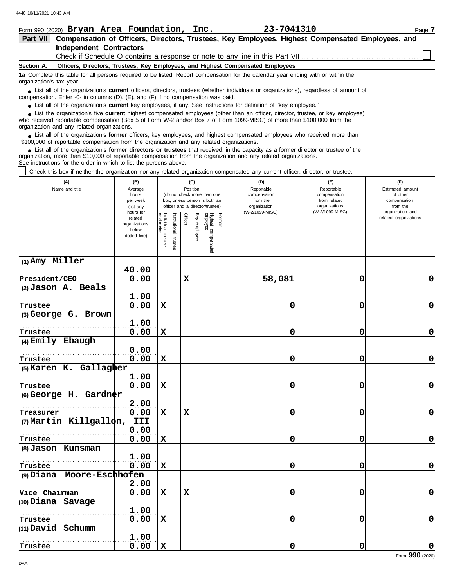| Form 990 (2020) Bryan Area Foundation, Inc.                                                                                                                                                                                                                                                                                   |  |  | 23-7041310                                                                      |  | Page 7 |  |  |  |  |
|-------------------------------------------------------------------------------------------------------------------------------------------------------------------------------------------------------------------------------------------------------------------------------------------------------------------------------|--|--|---------------------------------------------------------------------------------|--|--------|--|--|--|--|
| Compensation of Officers, Directors, Trustees, Key Employees, Highest Compensated Employees, and<br><b>Part VII</b>                                                                                                                                                                                                           |  |  |                                                                                 |  |        |  |  |  |  |
| <b>Independent Contractors</b>                                                                                                                                                                                                                                                                                                |  |  |                                                                                 |  |        |  |  |  |  |
|                                                                                                                                                                                                                                                                                                                               |  |  |                                                                                 |  |        |  |  |  |  |
| Section A.                                                                                                                                                                                                                                                                                                                    |  |  | Officers, Directors, Trustees, Key Employees, and Highest Compensated Employees |  |        |  |  |  |  |
| 1a Complete this table for all persons required to be listed. Report compensation for the calendar year ending with or within the<br>organization's tax year.                                                                                                                                                                 |  |  |                                                                                 |  |        |  |  |  |  |
| • List all of the organization's <b>current</b> officers, directors, trustees (whether individuals or organizations), regardless of amount of<br>compensation. Enter -0- in columns (D), (E), and (F) if no compensation was paid.                                                                                            |  |  |                                                                                 |  |        |  |  |  |  |
| • List all of the organization's current key employees, if any. See instructions for definition of "key employee."                                                                                                                                                                                                            |  |  |                                                                                 |  |        |  |  |  |  |
| • List the organization's five current highest compensated employees (other than an officer, director, trustee, or key employee)<br>who received reportable compensation (Box 5 of Form W-2 and/or Box 7 of Form 1099-MISC) of more than \$100,000 from the<br>organization and any related organizations.                    |  |  |                                                                                 |  |        |  |  |  |  |
| • List all of the organization's former officers, key employees, and highest compensated employees who received more than<br>\$100,000 of reportable compensation from the organization and any related organizations.                                                                                                        |  |  |                                                                                 |  |        |  |  |  |  |
| • List all of the organization's former directors or trustees that received, in the capacity as a former director or trustee of the<br>organization, more than \$10,000 of reportable compensation from the organization and any related organizations.<br>See instructions for the order in which to list the persons above. |  |  |                                                                                 |  |        |  |  |  |  |
| Check this box if neither the organization nor any related organization compensated any current officer, director, or trustee.                                                                                                                                                                                                |  |  |                                                                                 |  |        |  |  |  |  |
| (A)<br>(F)<br>(B)<br>(C)<br>(D)<br>(E)<br>الملفئة المحمد حجموها الأ<br>Dealise.<br><b>Departed</b><br><b>Denemakie</b><br>Fationated annount<br>$\Lambda$                                                                                                                                                                     |  |  |                                                                                 |  |        |  |  |  |  |

| v.<br>Name and title      | יש<br>Average<br>hours<br>per week<br>(list any                | Position<br>(do not check more than one<br>box, unless person is both an<br>officer and a director/trustee) |                      |             |              |                                           | יש)<br>Reportable<br>compensation<br>from the<br>organization | ₩.,<br>Reportable<br>compensation<br>from related<br>organizations | VZ.<br>Estimated amount<br>of other<br>compensation<br>from the |
|---------------------------|----------------------------------------------------------------|-------------------------------------------------------------------------------------------------------------|----------------------|-------------|--------------|-------------------------------------------|---------------------------------------------------------------|--------------------------------------------------------------------|-----------------------------------------------------------------|
|                           | hours for<br>related<br>organizations<br>below<br>dotted line) | Individual<br>or director<br>trustee                                                                        | nstitutional trustee | Officer     | Key employee | Former<br>Highest compensated<br>employee | (W-2/1099-MISC)                                               | (W-2/1099-MISC)                                                    | organization and<br>related organizations                       |
| $(1)$ Amy Miller          |                                                                |                                                                                                             |                      |             |              |                                           |                                                               |                                                                    |                                                                 |
|                           | 40.00                                                          |                                                                                                             |                      |             |              |                                           |                                                               |                                                                    |                                                                 |
| President/CEO             | 0.00                                                           |                                                                                                             |                      | $\mathbf x$ |              |                                           | 58,081                                                        | 0                                                                  | 0                                                               |
| (2) Jason A. Beals        |                                                                |                                                                                                             |                      |             |              |                                           |                                                               |                                                                    |                                                                 |
|                           | 1.00                                                           |                                                                                                             |                      |             |              |                                           |                                                               |                                                                    |                                                                 |
| Trustee                   | 0.00                                                           | $\mathbf x$                                                                                                 |                      |             |              |                                           | 0                                                             | 0                                                                  | $\pmb{0}$                                                       |
| (3) George G. Brown       |                                                                |                                                                                                             |                      |             |              |                                           |                                                               |                                                                    |                                                                 |
|                           | 1.00                                                           |                                                                                                             |                      |             |              |                                           |                                                               |                                                                    |                                                                 |
| Trustee                   | 0.00                                                           | X                                                                                                           |                      |             |              |                                           | 0                                                             | 0                                                                  | 0                                                               |
| (4) Emily Ebaugh          |                                                                |                                                                                                             |                      |             |              |                                           |                                                               |                                                                    |                                                                 |
|                           | 0.00                                                           |                                                                                                             |                      |             |              |                                           |                                                               |                                                                    |                                                                 |
| Trustee                   | 0.00                                                           | $\mathbf x$                                                                                                 |                      |             |              |                                           | 0                                                             | 0                                                                  | 0                                                               |
| (5) Karen K. Gallagher    |                                                                |                                                                                                             |                      |             |              |                                           |                                                               |                                                                    |                                                                 |
|                           | 1.00                                                           |                                                                                                             |                      |             |              |                                           |                                                               |                                                                    |                                                                 |
| Trustee                   | 0.00                                                           | $\mathbf x$                                                                                                 |                      |             |              |                                           | 0                                                             | 0                                                                  | $\pmb{0}$                                                       |
| $(6)$ George H. Gardner   |                                                                |                                                                                                             |                      |             |              |                                           |                                                               |                                                                    |                                                                 |
|                           | 2.00                                                           |                                                                                                             |                      |             |              |                                           |                                                               |                                                                    |                                                                 |
| Treasurer                 | 0.00                                                           | $\mathbf x$                                                                                                 |                      | $\mathbf x$ |              |                                           | 0                                                             | 0                                                                  | 0                                                               |
| (7) Martin Killgallon,    | III                                                            |                                                                                                             |                      |             |              |                                           |                                                               |                                                                    |                                                                 |
|                           | 0.00                                                           |                                                                                                             |                      |             |              |                                           |                                                               |                                                                    |                                                                 |
| Trustee                   | 0.00                                                           | $\mathbf x$                                                                                                 |                      |             |              |                                           | 0                                                             | 0                                                                  | $\pmb{0}$                                                       |
| (8) Jason Kunsman         |                                                                |                                                                                                             |                      |             |              |                                           |                                                               |                                                                    |                                                                 |
|                           | 1.00                                                           |                                                                                                             |                      |             |              |                                           |                                                               |                                                                    |                                                                 |
| Trustee                   | 0.00                                                           | $\mathbf x$                                                                                                 |                      |             |              |                                           | 0                                                             | 0                                                                  | 0                                                               |
| (9) Diana Moore-Eschhofen |                                                                |                                                                                                             |                      |             |              |                                           |                                                               |                                                                    |                                                                 |
|                           | 2.00                                                           |                                                                                                             |                      |             |              |                                           |                                                               |                                                                    |                                                                 |
| Vice Chairman             | 0.00                                                           | $\mathbf x$                                                                                                 |                      | $\mathbf x$ |              |                                           | 0                                                             | 0                                                                  | 0                                                               |
| (10) Diana Savage         | 1.00                                                           |                                                                                                             |                      |             |              |                                           |                                                               |                                                                    |                                                                 |
|                           |                                                                |                                                                                                             |                      |             |              |                                           |                                                               |                                                                    | $\mathbf 0$                                                     |
| Trustee                   | 0.00                                                           | X                                                                                                           |                      |             |              |                                           | 0                                                             | 0                                                                  |                                                                 |
| (11) David Schumm         |                                                                |                                                                                                             |                      |             |              |                                           |                                                               |                                                                    |                                                                 |
|                           | 1.00<br>0.00                                                   | $\mathbf x$                                                                                                 |                      |             |              |                                           | 0                                                             | 0                                                                  | 0                                                               |
| Trustee                   |                                                                |                                                                                                             |                      |             |              |                                           |                                                               |                                                                    |                                                                 |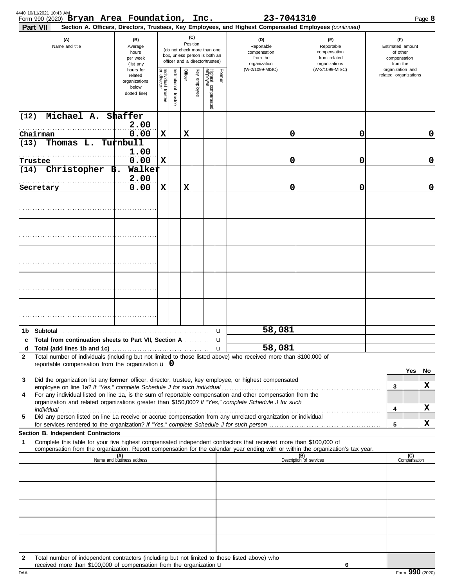|      | Form 990 (2020) Bryan Area Foundation, Inc.<br>Part VII                                                                                                                                                              |                                                                |                                   |                       |             |              |                                                                                                 |        | 23-7041310<br>Section A. Officers, Directors, Trustees, Key Employees, and Highest Compensated Employees (continued) |                                                                    |                       |                                                                 | Page 8 |
|------|----------------------------------------------------------------------------------------------------------------------------------------------------------------------------------------------------------------------|----------------------------------------------------------------|-----------------------------------|-----------------------|-------------|--------------|-------------------------------------------------------------------------------------------------|--------|----------------------------------------------------------------------------------------------------------------------|--------------------------------------------------------------------|-----------------------|-----------------------------------------------------------------|--------|
|      | (A)<br>Name and title                                                                                                                                                                                                | (B)<br>Average<br>hours<br>per week<br>(list any               |                                   |                       | Position    | (C)          | (do not check more than one<br>box, unless person is both an<br>officer and a director/trustee) |        | (D)<br>Reportable<br>compensation<br>from the<br>organization                                                        | (F)<br>Reportable<br>compensation<br>from related<br>organizations |                       | (F)<br>Estimated amount<br>of other<br>compensation<br>from the |        |
|      |                                                                                                                                                                                                                      | hours for<br>related<br>organizations<br>below<br>dotted line) | Individual trustee<br>or director | Institutional trustee | Officer     | Key employee | Highest compensated<br>employee                                                                 | Former | (W-2/1099-MISC)                                                                                                      | (W-2/1099-MISC)                                                    | related organizations | organization and                                                |        |
| (12) | Michael A. Shaffer                                                                                                                                                                                                   |                                                                |                                   |                       |             |              |                                                                                                 |        |                                                                                                                      |                                                                    |                       |                                                                 |        |
| (13) | Chairman<br>Thomas L.                                                                                                                                                                                                | 2.00<br>0.00<br>Turnbull                                       | $\mathbf x$                       |                       | $\mathbf x$ |              |                                                                                                 |        | 0                                                                                                                    | 0                                                                  |                       |                                                                 | 0      |
|      | Trustee                                                                                                                                                                                                              | 1.00<br>0.00                                                   | $\mathbf x$                       |                       |             |              |                                                                                                 |        | 0                                                                                                                    | 0                                                                  |                       |                                                                 | 0      |
| (14) | Christopher $\overrightarrow{B}$ .                                                                                                                                                                                   | Walker                                                         |                                   |                       |             |              |                                                                                                 |        |                                                                                                                      |                                                                    |                       |                                                                 |        |
|      | Secretary                                                                                                                                                                                                            | 2.00<br>0.00                                                   | $\mathbf x$                       |                       | $\mathbf x$ |              |                                                                                                 |        | 0                                                                                                                    | 0                                                                  |                       |                                                                 | 0      |
|      |                                                                                                                                                                                                                      |                                                                |                                   |                       |             |              |                                                                                                 |        |                                                                                                                      |                                                                    |                       |                                                                 |        |
|      |                                                                                                                                                                                                                      |                                                                |                                   |                       |             |              |                                                                                                 |        |                                                                                                                      |                                                                    |                       |                                                                 |        |
|      |                                                                                                                                                                                                                      |                                                                |                                   |                       |             |              |                                                                                                 |        |                                                                                                                      |                                                                    |                       |                                                                 |        |
|      |                                                                                                                                                                                                                      |                                                                |                                   |                       |             |              |                                                                                                 |        |                                                                                                                      |                                                                    |                       |                                                                 |        |
|      |                                                                                                                                                                                                                      |                                                                |                                   |                       |             |              |                                                                                                 |        |                                                                                                                      |                                                                    |                       |                                                                 |        |
|      |                                                                                                                                                                                                                      |                                                                |                                   |                       |             |              |                                                                                                 | u      | 58,081                                                                                                               |                                                                    |                       |                                                                 |        |
| d    | Total from continuation sheets to Part VII, Section A  u                                                                                                                                                             |                                                                |                                   |                       |             |              |                                                                                                 |        | 58,081                                                                                                               |                                                                    |                       |                                                                 |        |
| 2    | Total number of individuals (including but not limited to those listed above) who received more than \$100,000 of                                                                                                    |                                                                |                                   |                       |             |              |                                                                                                 |        |                                                                                                                      |                                                                    |                       |                                                                 |        |
|      | reportable compensation from the organization $\bf{u}$ 0                                                                                                                                                             |                                                                |                                   |                       |             |              |                                                                                                 |        |                                                                                                                      |                                                                    |                       | Yes                                                             | No     |
| 3    | Did the organization list any <b>former</b> officer, director, trustee, key employee, or highest compensated                                                                                                         |                                                                |                                   |                       |             |              |                                                                                                 |        |                                                                                                                      |                                                                    | 3                     |                                                                 | X      |
| 4    | For any individual listed on line 1a, is the sum of reportable compensation and other compensation from the<br>organization and related organizations greater than \$150,000? If "Yes," complete Schedule J for such |                                                                |                                   |                       |             |              |                                                                                                 |        |                                                                                                                      |                                                                    |                       |                                                                 |        |
| 5    | Did any person listed on line 1a receive or accrue compensation from any unrelated organization or individual                                                                                                        |                                                                |                                   |                       |             |              |                                                                                                 |        |                                                                                                                      |                                                                    | 4                     |                                                                 | X      |
|      |                                                                                                                                                                                                                      |                                                                |                                   |                       |             |              |                                                                                                 |        |                                                                                                                      |                                                                    | 5                     |                                                                 | X      |
| 1    | Section B. Independent Contractors<br>Complete this table for your five highest compensated independent contractors that received more than \$100,000 of                                                             |                                                                |                                   |                       |             |              |                                                                                                 |        |                                                                                                                      |                                                                    |                       |                                                                 |        |
|      | compensation from the organization. Report compensation for the calendar year ending with or within the organization's tax year.                                                                                     | (A)<br>Name and business address                               |                                   |                       |             |              |                                                                                                 |        |                                                                                                                      | (B)<br>Description of services                                     |                       | (C)<br>Compensation                                             |        |
|      |                                                                                                                                                                                                                      |                                                                |                                   |                       |             |              |                                                                                                 |        |                                                                                                                      |                                                                    |                       |                                                                 |        |
|      |                                                                                                                                                                                                                      |                                                                |                                   |                       |             |              |                                                                                                 |        |                                                                                                                      |                                                                    |                       |                                                                 |        |
|      |                                                                                                                                                                                                                      |                                                                |                                   |                       |             |              |                                                                                                 |        |                                                                                                                      |                                                                    |                       |                                                                 |        |
|      |                                                                                                                                                                                                                      |                                                                |                                   |                       |             |              |                                                                                                 |        |                                                                                                                      |                                                                    |                       |                                                                 |        |
| 2    | Total number of independent contractors (including but not limited to those listed above) who                                                                                                                        |                                                                |                                   |                       |             |              |                                                                                                 |        |                                                                                                                      |                                                                    |                       |                                                                 |        |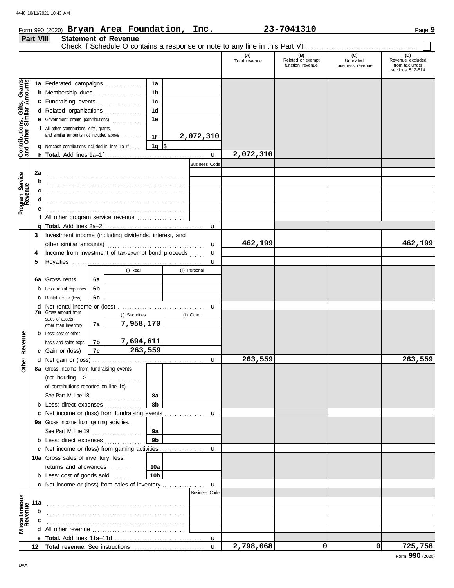### Form 990 (2020) Page **9 Bryan Area Foundation, Inc. 23-7041310**

|                                                                                                 | Part VIII              |                                                                                                                                                                                                                                                                                                                                                                                |                | <b>Statement of Revenue</b>                                                                                                                                                                                                     |                                                                                               |                                   |                   |                      |                                              |                                      |                                                               |
|-------------------------------------------------------------------------------------------------|------------------------|--------------------------------------------------------------------------------------------------------------------------------------------------------------------------------------------------------------------------------------------------------------------------------------------------------------------------------------------------------------------------------|----------------|---------------------------------------------------------------------------------------------------------------------------------------------------------------------------------------------------------------------------------|-----------------------------------------------------------------------------------------------|-----------------------------------|-------------------|----------------------|----------------------------------------------|--------------------------------------|---------------------------------------------------------------|
|                                                                                                 |                        |                                                                                                                                                                                                                                                                                                                                                                                |                |                                                                                                                                                                                                                                 |                                                                                               |                                   |                   | (A)<br>Total revenue | (B)<br>Related or exempt<br>function revenue | (C)<br>Unrelated<br>business revenue | (D)<br>Revenue excluded<br>from tax under<br>sections 512-514 |
| Gifts, Grants<br>illar Amounts<br>Contributions,<br>and Other Sim<br>Program Service<br>Revenue | 2a<br>b<br>c<br>d<br>е | 1a Federated campaigns<br><b>b</b> Membership dues <i>[[[[[[[[[[[[[[[[[[[[[[[[[[[]]]</i> ]]]<br>c Fundraising events<br>d Related organizations<br>e Government grants (contributions)<br>f All other contributions, gifts, grants,<br>and similar amounts not included above<br><b>g</b> Noncash contributions included in lines 1a-1f<br>f All other program service revenue |                | a sa kabilang sa kalawang sa kalawang sa kalawang sa kalawang sa kalawang sa kalawang sa kalawang sa kalawang<br>Kabilang sa kalawang sa kalawang sa kalawang sa kalawang sa kalawang sa kalawang sa kalawang sa kalawang sa ka | 1a<br>1 <sub>b</sub><br>1 <sub>c</sub><br>1 <sub>d</sub><br>1e<br>1f<br>$\vert$ 1g $\vert$ \$ | 2,072,310<br><b>Business Code</b> | $\mathbf{u}$<br>u | 2,072,310            |                                              |                                      |                                                               |
|                                                                                                 | 3<br>4<br>5            | Investment income (including dividends, interest, and<br>Income from investment of tax-exempt bond proceeds<br>(i) Real<br>(ii) Personal                                                                                                                                                                                                                                       |                |                                                                                                                                                                                                                                 |                                                                                               |                                   |                   | 462,199              |                                              |                                      | 462,199                                                       |
|                                                                                                 |                        | 6a Gross rents<br><b>b</b> Less: rental expenses                                                                                                                                                                                                                                                                                                                               | 6a<br>6b<br>6c |                                                                                                                                                                                                                                 |                                                                                               |                                   |                   |                      |                                              |                                      |                                                               |
|                                                                                                 |                        | <b>c</b> Rental inc. or (loss)<br><b>7a</b> Gross amount from<br>sales of assets                                                                                                                                                                                                                                                                                               |                | (i) Securities<br>7,958,170                                                                                                                                                                                                     |                                                                                               | (ii) Other                        | u                 |                      |                                              |                                      |                                                               |
| Revenue                                                                                         |                        | other than inventory<br><b>b</b> Less: cost or other<br>basis and sales exps.<br>c Gain or (loss)                                                                                                                                                                                                                                                                              | 7a<br>7b<br>7c | 7,694,611<br>263,559                                                                                                                                                                                                            |                                                                                               |                                   |                   |                      |                                              |                                      |                                                               |
| <u>her</u><br>δ                                                                                 |                        | 8a Gross income from fundraising events<br>of contributions reported on line 1c).<br>See Part IV, line 18                                                                                                                                                                                                                                                                      |                |                                                                                                                                                                                                                                 | 8а                                                                                            |                                   | u                 | 263,559              |                                              |                                      | 263,559                                                       |
|                                                                                                 |                        | <b>b</b> Less: direct expenses<br>9a Gross income from gaming activities.<br>See Part IV, line 19                                                                                                                                                                                                                                                                              |                |                                                                                                                                                                                                                                 | 8b<br>9а                                                                                      |                                   | u                 |                      |                                              |                                      |                                                               |
|                                                                                                 |                        | 9 <sub>b</sub><br><b>b</b> Less: direct expenses<br>c Net income or (loss) from gaming activities<br>10a Gross sales of inventory, less<br>returns and allowances<br>10a                                                                                                                                                                                                       |                |                                                                                                                                                                                                                                 |                                                                                               |                                   | u                 |                      |                                              |                                      |                                                               |
|                                                                                                 | 11a                    | <b>b</b> Less: cost of goods sold<br>c Net income or (loss) from sales of inventory                                                                                                                                                                                                                                                                                            |                |                                                                                                                                                                                                                                 | 10 <sub>b</sub>                                                                               | <b>Business Code</b>              | u                 |                      |                                              |                                      |                                                               |
| Miscellaneous<br>Revenue                                                                        | b<br>с                 |                                                                                                                                                                                                                                                                                                                                                                                |                |                                                                                                                                                                                                                                 |                                                                                               |                                   |                   |                      |                                              |                                      |                                                               |
|                                                                                                 | 12 <sup>12</sup>       |                                                                                                                                                                                                                                                                                                                                                                                |                |                                                                                                                                                                                                                                 |                                                                                               |                                   | u<br>$\mathbf{u}$ | 2,798,068            | 0                                            | 0                                    | 725,758                                                       |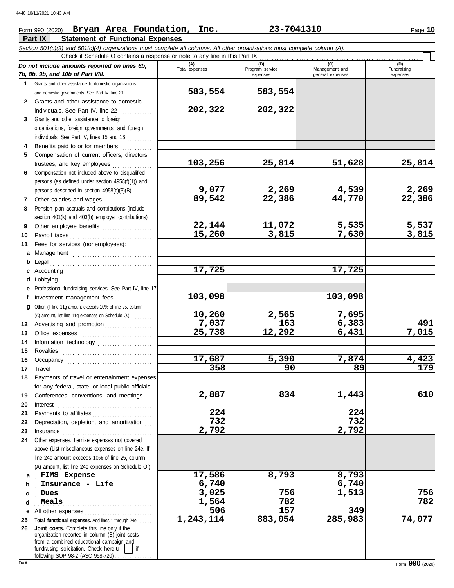## Form 990 (2020) Page **10 Bryan Area Foundation, Inc. 23-7041310**

|    | Part IX<br><b>Statement of Functional Expenses</b>                                                                                                                                                                                  |                       |                                    |                                           |                                |
|----|-------------------------------------------------------------------------------------------------------------------------------------------------------------------------------------------------------------------------------------|-----------------------|------------------------------------|-------------------------------------------|--------------------------------|
|    | Section 501(c)(3) and 501(c)(4) organizations must complete all columns. All other organizations must complete column (A).                                                                                                          |                       |                                    |                                           |                                |
|    | Check if Schedule O contains a response or note to any line in this Part IX                                                                                                                                                         |                       |                                    |                                           |                                |
|    | Do not include amounts reported on lines 6b,<br>7b, 8b, 9b, and 10b of Part VIII.                                                                                                                                                   | (A)<br>Total expenses | (B)<br>Program service<br>expenses | (C)<br>Management and<br>general expenses | (D)<br>Fundraising<br>expenses |
| 1. | Grants and other assistance to domestic organizations                                                                                                                                                                               |                       |                                    |                                           |                                |
|    | and domestic governments. See Part IV, line 21                                                                                                                                                                                      | 583,554               | 583,554                            |                                           |                                |
| 2  | Grants and other assistance to domestic                                                                                                                                                                                             |                       |                                    |                                           |                                |
|    | individuals. See Part IV, line 22                                                                                                                                                                                                   | 202,322               | 202,322                            |                                           |                                |
| 3  | Grants and other assistance to foreign                                                                                                                                                                                              |                       |                                    |                                           |                                |
|    | organizations, foreign governments, and foreign                                                                                                                                                                                     |                       |                                    |                                           |                                |
|    | individuals. See Part IV, lines 15 and 16                                                                                                                                                                                           |                       |                                    |                                           |                                |
|    | Benefits paid to or for members                                                                                                                                                                                                     |                       |                                    |                                           |                                |
| 5. | Compensation of current officers, directors,                                                                                                                                                                                        |                       |                                    |                                           |                                |
|    | trustees, and key employees                                                                                                                                                                                                         | 103,256               | 25,814                             | 51,628                                    | 25,814                         |
| 6  | Compensation not included above to disqualified                                                                                                                                                                                     |                       |                                    |                                           |                                |
|    | persons (as defined under section 4958(f)(1)) and                                                                                                                                                                                   |                       |                                    |                                           |                                |
|    | persons described in section 4958(c)(3)(B)                                                                                                                                                                                          | 9,077<br>89,542       | 2,269<br>22,386                    | 4,539<br>44,770                           | $\frac{2,269}{22,386}$         |
| 7  | Other salaries and wages                                                                                                                                                                                                            |                       |                                    |                                           |                                |
| 8  | Pension plan accruals and contributions (include                                                                                                                                                                                    |                       |                                    |                                           |                                |
|    | section 401(k) and 403(b) employer contributions)                                                                                                                                                                                   |                       | 11,072                             | 5,535                                     | 5,537                          |
| 9  | Other employee benefits                                                                                                                                                                                                             | 22,144<br>15,260      | 3,815                              | 7,630                                     | 3,815                          |
| 10 | Payroll taxes                                                                                                                                                                                                                       |                       |                                    |                                           |                                |
| 11 | Fees for services (nonemployees):                                                                                                                                                                                                   |                       |                                    |                                           |                                |
| a  |                                                                                                                                                                                                                                     |                       |                                    |                                           |                                |
| b  | Legal                                                                                                                                                                                                                               | 17,725                |                                    | 17,725                                    |                                |
|    | Lobbying                                                                                                                                                                                                                            |                       |                                    |                                           |                                |
|    | Professional fundraising services. See Part IV, line 17                                                                                                                                                                             |                       |                                    |                                           |                                |
|    | Investment management fees                                                                                                                                                                                                          | 103,098               |                                    | 103,098                                   |                                |
| a  | Other. (If line 11g amount exceeds 10% of line 25, column                                                                                                                                                                           |                       |                                    |                                           |                                |
|    | (A) amount, list line 11g expenses on Schedule O.)                                                                                                                                                                                  | 10,260                | 2,565                              | <u>7,695</u>                              |                                |
| 12 | Advertising and promotion                                                                                                                                                                                                           | 7,037                 | 163                                | 6,383                                     | 491                            |
| 13 | Office expenses                                                                                                                                                                                                                     | 25,738                | 12, 292                            | 6,431                                     | 7,015                          |
| 14 | Information technology                                                                                                                                                                                                              |                       |                                    |                                           |                                |
| 15 |                                                                                                                                                                                                                                     |                       |                                    |                                           |                                |
| 16 |                                                                                                                                                                                                                                     | 17,687                | 5,390                              | 7,874                                     | 4,423                          |
| 17 | Travel                                                                                                                                                                                                                              | $\overline{358}$      | 90                                 | $\overline{89}$                           | $\overline{179}$               |
| 18 | Payments of travel or entertainment expenses                                                                                                                                                                                        |                       |                                    |                                           |                                |
|    | for any federal, state, or local public officials                                                                                                                                                                                   |                       |                                    |                                           |                                |
| 19 | Conferences, conventions, and meetings                                                                                                                                                                                              | 2,887                 | 834                                | 1,443                                     | 610                            |
| 20 | Interest                                                                                                                                                                                                                            |                       |                                    |                                           |                                |
| 21 | Payments to affiliates                                                                                                                                                                                                              | 224                   |                                    | 224                                       |                                |
| 22 | Depreciation, depletion, and amortization                                                                                                                                                                                           | 732                   |                                    | 732                                       |                                |
| 23 | Insurance <b>continuous</b> contains a series of the series of the series of the series of the series of the series of the series of the series of the series of the series of the series of the series of the series of the series | 2,792                 |                                    | 2,792                                     |                                |
| 24 | Other expenses. Itemize expenses not covered                                                                                                                                                                                        |                       |                                    |                                           |                                |
|    | above (List miscellaneous expenses on line 24e. If                                                                                                                                                                                  |                       |                                    |                                           |                                |
|    | line 24e amount exceeds 10% of line 25, column                                                                                                                                                                                      |                       |                                    |                                           |                                |
|    | (A) amount, list line 24e expenses on Schedule O.)                                                                                                                                                                                  |                       |                                    |                                           |                                |
| a  | FIMS Expense                                                                                                                                                                                                                        | 17,586                | 8,793                              | 8,793                                     |                                |
| b  | Insurance - Life                                                                                                                                                                                                                    | 6,740                 |                                    | 6,740                                     |                                |
| c  | Dues                                                                                                                                                                                                                                | 3,025                 | 756                                | 1,513                                     | 756                            |
| d  | Meals                                                                                                                                                                                                                               | 1,564                 | $\overline{782}$                   |                                           | 782                            |
| е  | All other expenses                                                                                                                                                                                                                  | 506                   | 157                                | 349                                       |                                |
| 25 | Total functional expenses. Add lines 1 through 24e                                                                                                                                                                                  | 1,243,114             | 883,054                            | 285,983                                   | 74,077                         |
| 26 | Joint costs. Complete this line only if the<br>organization reported in column (B) joint costs<br>from a combined educational campaign and                                                                                          |                       |                                    |                                           |                                |

fundraising solicitation. Check here  $\mathbf{u}$  | if

following SOP 98-2 (ASC 958-720) . . . . . . . . . . . . .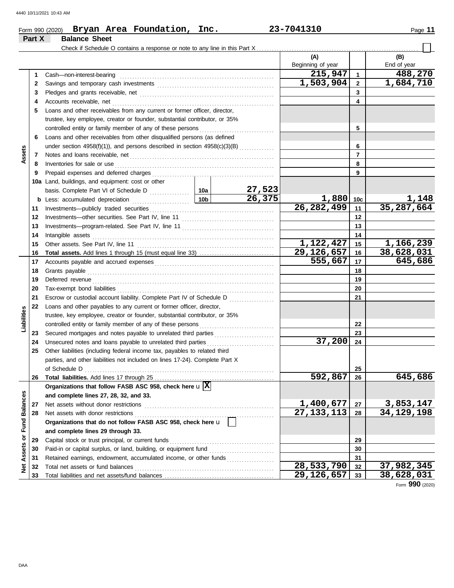| Page |  |
|------|--|
|------|--|

### Form 990 (2020) Page **11 Bryan Area Foundation, Inc. 23-7041310 Part X Balance Sheet** Check if Schedule O contains a response or note to any line in this Part X. **(A) (B)** Beginning of year | End of year **215,947 488,270** Cash—non-interest-bearing . . . . . . . . . . . . . . . . . . . . . . . . . . . . . . . . . . . . . . . . . . . . . . . . . . . . . . . . . . . . . . **1 1 1,503,904 1,684,710 2** 2 Savings and temporary cash investments **contain the container and the set of the set of the set of the set of the set of the set of the set of the set of the set of the set of the set of the set of the set of the set of 3 3** Pledges and grants receivable, net . . . . . . . . . . . . . . . . . . . . . . . . . . . . . . . . . . . . . . . . . . . . . . . . . . . . . . **4 4** Accounts receivable, net . . . . . . . . . . . . . . . . . . . . . . . . . . . . . . . . . . . . . . . . . . . . . . . . . . . . . . . . . . . . . . . . . **5** Loans and other receivables from any current or former officer, director, trustee, key employee, creator or founder, substantial contributor, or 35% controlled entity or family member of any of these persons **5 6** Loans and other receivables from other disqualified persons (as defined **6** under section  $4958(f)(1)$ , and persons described in section  $4958(c)(3)(B)$  ............. **Assets 7 7** Notes and loans receivable, net . . . . . . . . . . . . . . . . . . . . . . . . . . . . . . . . . . . . . . . . . . . . . . . . . . . . . . . . . . **8 8** Inventories for sale or use . . . . . . . . . . . . . . . . . . . . . . . . . . . . . . . . . . . . . . . . . . . . . . . . . . . . . . . . . . . . . . . . Prepaid expenses and deferred charges . . . . . . . . . . . . . . . . . . . . . . . . . . . . . . . . . . . . . . . . . . . . . . . . . **9 9 10a** Land, buildings, and equipment: cost or other **27,523** basis. Complete Part VI of Schedule D . . . . . . . . . . . . 10a **26,375 1,880 1,148 10c b** Less: accumulated depreciation . . . . . . . . . . . . . . . . . . . . . . . **10b 26,282,499 35,287,664** Investments—publicly traded securities . . . . . . . . . . . . . . . . . . . . . . . . . . . . . . . . . . . . . . . . . . . . . . . . . . **11 11 12 12** Investments—other securities. See Part IV, line 11 . . . . . . . . . . . . . . . . . . . . . . . . . . . . . . . . . . . . . **13 13** Investments—program-related. See Part IV, line 11 . . . . . . . . . . . . . . . . . . . . . . . . . . . . . . . . . . . . . 14 Intangible assets Intangible assets . . . . . . . . . . . . . . . . . . . . . . . . . . . . . . . . . . . . . . . . . . . . . . . . . . . . . . . . . . . . . . . . . . . . . . . . . **14 1,122,427 1,166,239 15 15** Other assets. See Part IV, line 11 . . . . . . . . . . . . . . . . . . . . . . . . . . . . . . . . . . . . . . . . . . . . . . . . . . . . . . . **Total assets.** Add lines 1 through 15 (must equal line 33) . . . . . . . . . . . . . . . . . . . . . . . . . . . . . . **29,126,657 38,628,031 16 16 555,667 645,686 17** Accounts payable and accrued expenses . . . . . . . . . . . . . . . . . . . . . . . . . . . . . . . . . . . . . . . . . . . . . . . . **17 18** Grants payable . . . . . . . . . . . . . . . . . . . . . . . . . . . . . . . . . . . . . . . . . . . . . . . . . . . . . . . . . . . . . . . . . . . . . . . . . . . **18 19 19** Deferred revenue . . . . . . . . . . . . . . . . . . . . . . . . . . . . . . . . . . . . . . . . . . . . . . . . . . . . . . . . . . . . . . . . . . . . . . . . . **20 20** Tax-exempt bond liabilities . . . . . . . . . . . . . . . . . . . . . . . . . . . . . . . . . . . . . . . . . . . . . . . . . . . . . . . . . . . . . . . **21** Escrow or custodial account liability. Complete Part IV of Schedule D . . . . . . . . . . . . . . . . . . **21 22** Loans and other payables to any current or former officer, director, **Liabilities** trustee, key employee, creator or founder, substantial contributor, or 35% **22** controlled entity or family member of any of these persons Secured mortgages and notes payable to unrelated third parties . . . . . . . . . . . . . . . . . . . . . . . . **23 23** Unsecured notes and loans payable to unrelated third parties . . . . . . . . . . . . . . . . . . . . . . . . . . . **37,200 24 24 25** Other liabilities (including federal income tax, payables to related third parties, and other liabilities not included on lines 17-24). Complete Part X of Schedule D . . . . . . . . . . . . . . . . . . . . . . . . . . . . . . . . . . . . . . . . . . . . . . . . . . . . . . . . . . . . . . . . . . . . . . . . . . . . **25 592,867 645,686 26** Total liabilities. Add lines 17 through 25 **26 Organizations that follow FASB ASC 958, check here** u **X** Net Assets or Fund Balances **Net Assets or Fund Balances and complete lines 27, 28, 32, and 33. 27** Net assets without donor restrictions . . . . . . . . . . . . . . . . . . . . . . . . . . . . . . . . . . . . . . . . . . . . . . . . . . . . **1,400,677 3,853,147 27 27,133,113 34,129,198 28 28** Net assets with donor restrictions . . . . . . . . . . . . . . . . . . . . . . . . . . . . . . . . . . . . . . . . . . . . . . . . . . . . . . . . **Organizations that do not follow FASB ASC 958, check here** u **and complete lines 29 through 33.** Capital stock or trust principal, or current funds . . . . . . . . . . . . . . . . . . . . . . . . . . . . . . . . . . . . . . . . . . **29 29** Paid-in or capital surplus, or land, building, or equipment fund ........................... **30 30 31** Retained earnings, endowment, accumulated income, or other funds . . . . . . . . . . . . . . . . . . . **31 28,533,790** 32 37,982,345<br>**29,126,657** 33 38,628,031 Total net assets or fund balances . . . . . . . . . . . . . . . . . . . . . . . . . . . . . . . . . . . . . . . . . . . . . . . . . . . . . . . . **32 32** Total liabilities and net assets/fund balances .. **29,126,657 38,628,031 33 33**

Form **990** (2020)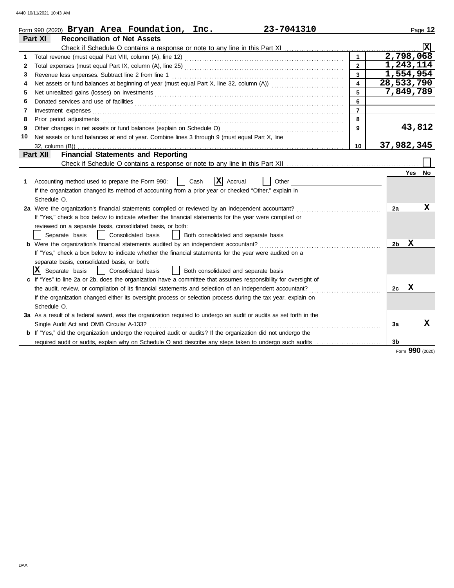|    | 23-7041310<br>Form 990 (2020) $Bryan$ Area Foundation, Inc.                                                                                                                                                                    |                  |                |            | Page 12                 |
|----|--------------------------------------------------------------------------------------------------------------------------------------------------------------------------------------------------------------------------------|------------------|----------------|------------|-------------------------|
|    | Part XI<br><b>Reconciliation of Net Assets</b>                                                                                                                                                                                 |                  |                |            |                         |
|    |                                                                                                                                                                                                                                |                  |                |            | $\overline{\mathbf{x}}$ |
| 1  |                                                                                                                                                                                                                                | $\mathbf{1}$     |                | 2,798,068  |                         |
| 2  |                                                                                                                                                                                                                                | $\overline{2}$   |                | 1,243,114  |                         |
| 3  | Revenue less expenses. Subtract line 2 from line 1                                                                                                                                                                             | $\overline{3}$   |                | 1,554,954  |                         |
| 4  |                                                                                                                                                                                                                                | $\blacktriangle$ | 28,533,790     |            |                         |
| 5  |                                                                                                                                                                                                                                | 5                |                | 7,849,789  |                         |
| 6  | Donated services and use of facilities <b>constructs</b> and the service of facilities <b>constructs</b> and use of facilities                                                                                                 | 6                |                |            |                         |
| 7  | Investment expenses <b>contract and the expenses contract and the expenses contract and the expenses</b>                                                                                                                       | $\overline{7}$   |                |            |                         |
| 8  | Prior period adjustments entertainments and adjustments and account of the contract of the contract of the contract of the contract of the contract of the contract of the contract of the contract of the contract of the con | 8                |                |            |                         |
| 9  |                                                                                                                                                                                                                                | 9                |                | 43,812     |                         |
| 10 | Net assets or fund balances at end of year. Combine lines 3 through 9 (must equal Part X, line                                                                                                                                 |                  |                |            |                         |
|    |                                                                                                                                                                                                                                | 10               | 37,982,345     |            |                         |
|    | <b>Financial Statements and Reporting</b><br>Part XII                                                                                                                                                                          |                  |                |            |                         |
|    |                                                                                                                                                                                                                                |                  |                |            |                         |
|    |                                                                                                                                                                                                                                |                  |                | <b>Yes</b> | No                      |
| 1  | X <br>Accounting method used to prepare the Form 990:<br>Cash<br>Accrual<br>Other                                                                                                                                              |                  |                |            |                         |
|    | If the organization changed its method of accounting from a prior year or checked "Other," explain in                                                                                                                          |                  |                |            |                         |
|    | Schedule O.                                                                                                                                                                                                                    |                  |                |            |                         |
|    | 2a Were the organization's financial statements compiled or reviewed by an independent accountant?                                                                                                                             |                  | 2a             |            | x                       |
|    | If "Yes," check a box below to indicate whether the financial statements for the year were compiled or                                                                                                                         |                  |                |            |                         |
|    | reviewed on a separate basis, consolidated basis, or both:                                                                                                                                                                     |                  |                |            |                         |
|    | Separate basis<br>Consolidated basis<br>Both consolidated and separate basis<br>$\perp$                                                                                                                                        |                  |                |            |                         |
|    | <b>b</b> Were the organization's financial statements audited by an independent accountant?                                                                                                                                    |                  | 2b             | X          |                         |
|    | If "Yes," check a box below to indicate whether the financial statements for the year were audited on a                                                                                                                        |                  |                |            |                         |
|    | separate basis, consolidated basis, or both:                                                                                                                                                                                   |                  |                |            |                         |
|    | $ \mathbf{X} $ Separate basis<br>Consolidated basis<br>  Both consolidated and separate basis                                                                                                                                  |                  |                |            |                         |
|    | c If "Yes" to line 2a or 2b, does the organization have a committee that assumes responsibility for oversight of                                                                                                               |                  |                |            |                         |
|    | the audit, review, or compilation of its financial statements and selection of an independent accountant?                                                                                                                      |                  | 2c             | X          |                         |
|    | If the organization changed either its oversight process or selection process during the tax year, explain on                                                                                                                  |                  |                |            |                         |
|    | Schedule O.                                                                                                                                                                                                                    |                  |                |            |                         |
|    | 3a As a result of a federal award, was the organization required to undergo an audit or audits as set forth in the                                                                                                             |                  |                |            |                         |
|    | Single Audit Act and OMB Circular A-133?                                                                                                                                                                                       |                  | 3a             |            | x                       |
|    | <b>b</b> If "Yes," did the organization undergo the required audit or audits? If the organization did not undergo the                                                                                                          |                  |                |            |                         |
|    |                                                                                                                                                                                                                                |                  | 3 <sub>b</sub> |            |                         |

Form **990** (2020)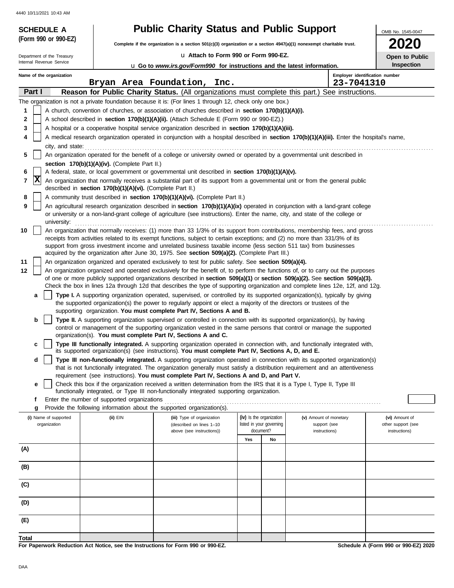| <b>SCHEDULE A</b>                                                                                                                             |                                                                                                                                                                                                                    | <b>Public Charity Status and Public Support</b>                                                                                                                                                                                                     |                                                      |    |                                              | OMB No. 1545-0047                    |  |  |  |
|-----------------------------------------------------------------------------------------------------------------------------------------------|--------------------------------------------------------------------------------------------------------------------------------------------------------------------------------------------------------------------|-----------------------------------------------------------------------------------------------------------------------------------------------------------------------------------------------------------------------------------------------------|------------------------------------------------------|----|----------------------------------------------|--------------------------------------|--|--|--|
| (Form 990 or 990-EZ)                                                                                                                          |                                                                                                                                                                                                                    | Complete if the organization is a section 501(c)(3) organization or a section 4947(a)(1) nonexempt charitable trust.                                                                                                                                |                                                      |    |                                              | 2020                                 |  |  |  |
| Department of the Treasury                                                                                                                    |                                                                                                                                                                                                                    | La Attach to Form 990 or Form 990-EZ.                                                                                                                                                                                                               |                                                      |    |                                              | Open to Public                       |  |  |  |
| Internal Revenue Service                                                                                                                      |                                                                                                                                                                                                                    | <b>u</b> Go to www.irs.gov/Form990 for instructions and the latest information.                                                                                                                                                                     |                                                      |    |                                              | <b>Inspection</b>                    |  |  |  |
| Name of the organization                                                                                                                      |                                                                                                                                                                                                                    | Bryan Area Foundation, Inc.                                                                                                                                                                                                                         |                                                      |    | Employer identification number<br>23-7041310 |                                      |  |  |  |
| Part I                                                                                                                                        |                                                                                                                                                                                                                    | Reason for Public Charity Status. (All organizations must complete this part.) See instructions.                                                                                                                                                    |                                                      |    |                                              |                                      |  |  |  |
|                                                                                                                                               |                                                                                                                                                                                                                    | The organization is not a private foundation because it is: (For lines 1 through 12, check only one box.)                                                                                                                                           |                                                      |    |                                              |                                      |  |  |  |
| 1                                                                                                                                             |                                                                                                                                                                                                                    | A church, convention of churches, or association of churches described in section 170(b)(1)(A)(i).                                                                                                                                                  |                                                      |    |                                              |                                      |  |  |  |
| $\mathbf{2}$                                                                                                                                  |                                                                                                                                                                                                                    | A school described in section 170(b)(1)(A)(ii). (Attach Schedule E (Form 990 or 990-EZ).)                                                                                                                                                           |                                                      |    |                                              |                                      |  |  |  |
| 3                                                                                                                                             |                                                                                                                                                                                                                    | A hospital or a cooperative hospital service organization described in section 170(b)(1)(A)(iii).                                                                                                                                                   |                                                      |    |                                              |                                      |  |  |  |
| 4<br>city, and state:                                                                                                                         |                                                                                                                                                                                                                    | A medical research organization operated in conjunction with a hospital described in section 170(b)(1)(A)(iii). Enter the hospital's name,                                                                                                          |                                                      |    |                                              |                                      |  |  |  |
| 5                                                                                                                                             |                                                                                                                                                                                                                    | An organization operated for the benefit of a college or university owned or operated by a governmental unit described in                                                                                                                           |                                                      |    |                                              |                                      |  |  |  |
|                                                                                                                                               | section 170(b)(1)(A)(iv). (Complete Part II.)                                                                                                                                                                      |                                                                                                                                                                                                                                                     |                                                      |    |                                              |                                      |  |  |  |
| 6                                                                                                                                             |                                                                                                                                                                                                                    | A federal, state, or local government or governmental unit described in section 170(b)(1)(A)(v).                                                                                                                                                    |                                                      |    |                                              |                                      |  |  |  |
| x<br>7                                                                                                                                        | described in section 170(b)(1)(A)(vi). (Complete Part II.)                                                                                                                                                         | An organization that normally receives a substantial part of its support from a governmental unit or from the general public                                                                                                                        |                                                      |    |                                              |                                      |  |  |  |
| 8                                                                                                                                             |                                                                                                                                                                                                                    | A community trust described in section 170(b)(1)(A)(vi). (Complete Part II.)                                                                                                                                                                        |                                                      |    |                                              |                                      |  |  |  |
| 9                                                                                                                                             |                                                                                                                                                                                                                    | An agricultural research organization described in section 170(b)(1)(A)(ix) operated in conjunction with a land-grant college                                                                                                                       |                                                      |    |                                              |                                      |  |  |  |
| or university or a non-land-grant college of agriculture (see instructions). Enter the name, city, and state of the college or<br>university: |                                                                                                                                                                                                                    |                                                                                                                                                                                                                                                     |                                                      |    |                                              |                                      |  |  |  |
| 10<br>An organization that normally receives: (1) more than 33 1/3% of its support from contributions, membership fees, and gross             |                                                                                                                                                                                                                    |                                                                                                                                                                                                                                                     |                                                      |    |                                              |                                      |  |  |  |
| receipts from activities related to its exempt functions, subject to certain exceptions; and (2) no more than 331/3% of its                   |                                                                                                                                                                                                                    |                                                                                                                                                                                                                                                     |                                                      |    |                                              |                                      |  |  |  |
|                                                                                                                                               | support from gross investment income and unrelated business taxable income (less section 511 tax) from businesses<br>acquired by the organization after June 30, 1975. See section 509(a)(2). (Complete Part III.) |                                                                                                                                                                                                                                                     |                                                      |    |                                              |                                      |  |  |  |
| 11<br>An organization organized and operated exclusively to test for public safety. See section 509(a)(4).                                    |                                                                                                                                                                                                                    |                                                                                                                                                                                                                                                     |                                                      |    |                                              |                                      |  |  |  |
| 12                                                                                                                                            | An organization organized and operated exclusively for the benefit of, to perform the functions of, or to carry out the purposes                                                                                   |                                                                                                                                                                                                                                                     |                                                      |    |                                              |                                      |  |  |  |
|                                                                                                                                               |                                                                                                                                                                                                                    | of one or more publicly supported organizations described in section 509(a)(1) or section 509(a)(2). See section 509(a)(3).                                                                                                                         |                                                      |    |                                              |                                      |  |  |  |
|                                                                                                                                               |                                                                                                                                                                                                                    | Check the box in lines 12a through 12d that describes the type of supporting organization and complete lines 12e, 12f, and 12g.                                                                                                                     |                                                      |    |                                              |                                      |  |  |  |
| a                                                                                                                                             |                                                                                                                                                                                                                    | Type I. A supporting organization operated, supervised, or controlled by its supported organization(s), typically by giving<br>the supported organization(s) the power to regularly appoint or elect a majority of the directors or trustees of the |                                                      |    |                                              |                                      |  |  |  |
|                                                                                                                                               |                                                                                                                                                                                                                    | supporting organization. You must complete Part IV, Sections A and B.                                                                                                                                                                               |                                                      |    |                                              |                                      |  |  |  |
| b                                                                                                                                             |                                                                                                                                                                                                                    | Type II. A supporting organization supervised or controlled in connection with its supported organization(s), by having<br>control or management of the supporting organization vested in the same persons that control or manage the supported     |                                                      |    |                                              |                                      |  |  |  |
|                                                                                                                                               |                                                                                                                                                                                                                    | organization(s). You must complete Part IV, Sections A and C.                                                                                                                                                                                       |                                                      |    |                                              |                                      |  |  |  |
| c                                                                                                                                             |                                                                                                                                                                                                                    | Type III functionally integrated. A supporting organization operated in connection with, and functionally integrated with,                                                                                                                          |                                                      |    |                                              |                                      |  |  |  |
| d                                                                                                                                             |                                                                                                                                                                                                                    | its supported organization(s) (see instructions). You must complete Part IV, Sections A, D, and E.<br>Type III non-functionally integrated. A supporting organization operated in connection with its supported organization(s)                     |                                                      |    |                                              |                                      |  |  |  |
|                                                                                                                                               |                                                                                                                                                                                                                    | that is not functionally integrated. The organization generally must satisfy a distribution requirement and an attentiveness                                                                                                                        |                                                      |    |                                              |                                      |  |  |  |
|                                                                                                                                               |                                                                                                                                                                                                                    | requirement (see instructions). You must complete Part IV, Sections A and D, and Part V.                                                                                                                                                            |                                                      |    |                                              |                                      |  |  |  |
| е                                                                                                                                             |                                                                                                                                                                                                                    | Check this box if the organization received a written determination from the IRS that it is a Type I, Type II, Type III<br>functionally integrated, or Type III non-functionally integrated supporting organization.                                |                                                      |    |                                              |                                      |  |  |  |
| f                                                                                                                                             | Enter the number of supported organizations                                                                                                                                                                        |                                                                                                                                                                                                                                                     |                                                      |    |                                              |                                      |  |  |  |
| g                                                                                                                                             |                                                                                                                                                                                                                    | Provide the following information about the supported organization(s).                                                                                                                                                                              |                                                      |    |                                              |                                      |  |  |  |
| (i) Name of supported<br>organization                                                                                                         | $(ii)$ EIN                                                                                                                                                                                                         | (iii) Type of organization<br>(described on lines 1-10                                                                                                                                                                                              | (iv) Is the organization<br>listed in your governing |    | (v) Amount of monetary                       | (vi) Amount of<br>other support (see |  |  |  |
|                                                                                                                                               |                                                                                                                                                                                                                    | above (see instructions))                                                                                                                                                                                                                           | document?                                            |    | support (see<br>instructions)                | instructions)                        |  |  |  |
|                                                                                                                                               |                                                                                                                                                                                                                    |                                                                                                                                                                                                                                                     | Yes                                                  | No |                                              |                                      |  |  |  |
| (A)                                                                                                                                           |                                                                                                                                                                                                                    |                                                                                                                                                                                                                                                     |                                                      |    |                                              |                                      |  |  |  |
| (B)                                                                                                                                           |                                                                                                                                                                                                                    |                                                                                                                                                                                                                                                     |                                                      |    |                                              |                                      |  |  |  |
| (C)                                                                                                                                           |                                                                                                                                                                                                                    |                                                                                                                                                                                                                                                     |                                                      |    |                                              |                                      |  |  |  |
|                                                                                                                                               |                                                                                                                                                                                                                    |                                                                                                                                                                                                                                                     |                                                      |    |                                              |                                      |  |  |  |
| (D)                                                                                                                                           |                                                                                                                                                                                                                    |                                                                                                                                                                                                                                                     |                                                      |    |                                              |                                      |  |  |  |
| (E)                                                                                                                                           |                                                                                                                                                                                                                    |                                                                                                                                                                                                                                                     |                                                      |    |                                              |                                      |  |  |  |
| Total                                                                                                                                         |                                                                                                                                                                                                                    |                                                                                                                                                                                                                                                     |                                                      |    |                                              |                                      |  |  |  |
|                                                                                                                                               |                                                                                                                                                                                                                    | For Paperwork Reduction Act Notice, see the Instructions for Form 990 or 990-EZ.                                                                                                                                                                    |                                                      |    |                                              | Schedule A (Form 990 or 990-EZ) 2020 |  |  |  |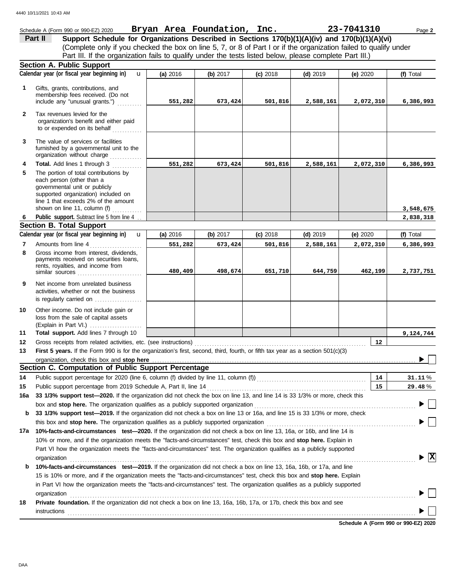|              | Schedule A (Form 990 or 990-EZ) 2020                                                                                                                                                                                                                                                              |          | Bryan Area Foundation, Inc. |            |            | 23-7041310 | Page 2                                      |
|--------------|---------------------------------------------------------------------------------------------------------------------------------------------------------------------------------------------------------------------------------------------------------------------------------------------------|----------|-----------------------------|------------|------------|------------|---------------------------------------------|
|              | Support Schedule for Organizations Described in Sections 170(b)(1)(A)(iv) and 170(b)(1)(A)(vi)<br>Part II                                                                                                                                                                                         |          |                             |            |            |            |                                             |
|              | (Complete only if you checked the box on line 5, 7, or 8 of Part I or if the organization failed to qualify under                                                                                                                                                                                 |          |                             |            |            |            |                                             |
|              | Part III. If the organization fails to qualify under the tests listed below, please complete Part III.)                                                                                                                                                                                           |          |                             |            |            |            |                                             |
|              | Section A. Public Support                                                                                                                                                                                                                                                                         |          |                             |            |            |            |                                             |
|              | Calendar year (or fiscal year beginning in)<br>$\mathbf{u}$                                                                                                                                                                                                                                       | (a) 2016 | (b) 2017                    | $(c)$ 2018 | $(d)$ 2019 | (e) 2020   | (f) Total                                   |
| 1            | Gifts, grants, contributions, and                                                                                                                                                                                                                                                                 |          |                             |            |            |            |                                             |
|              | membership fees received. (Do not                                                                                                                                                                                                                                                                 |          |                             |            |            |            |                                             |
|              | include any "unusual grants.")                                                                                                                                                                                                                                                                    | 551,282  | 673,424                     | 501,816    | 2,588,161  | 2,072,310  | 6,386,993                                   |
| $\mathbf{2}$ | Tax revenues levied for the                                                                                                                                                                                                                                                                       |          |                             |            |            |            |                                             |
|              | organization's benefit and either paid                                                                                                                                                                                                                                                            |          |                             |            |            |            |                                             |
|              | to or expended on its behalf                                                                                                                                                                                                                                                                      |          |                             |            |            |            |                                             |
| 3            | The value of services or facilities                                                                                                                                                                                                                                                               |          |                             |            |            |            |                                             |
|              | furnished by a governmental unit to the                                                                                                                                                                                                                                                           |          |                             |            |            |            |                                             |
| 4            | organization without charge<br>Total. Add lines 1 through 3                                                                                                                                                                                                                                       | 551,282  | 673,424                     | 501,816    | 2,588,161  | 2,072,310  | 6,386,993                                   |
| 5            | .<br>The portion of total contributions by                                                                                                                                                                                                                                                        |          |                             |            |            |            |                                             |
|              | each person (other than a                                                                                                                                                                                                                                                                         |          |                             |            |            |            |                                             |
|              | governmental unit or publicly                                                                                                                                                                                                                                                                     |          |                             |            |            |            |                                             |
|              | supported organization) included on<br>line 1 that exceeds 2% of the amount                                                                                                                                                                                                                       |          |                             |            |            |            |                                             |
|              | shown on line 11, column (f)                                                                                                                                                                                                                                                                      |          |                             |            |            |            | 3,548,675                                   |
| 6            | Public support. Subtract line 5 from line 4                                                                                                                                                                                                                                                       |          |                             |            |            |            | 2,838,318                                   |
|              | <b>Section B. Total Support</b>                                                                                                                                                                                                                                                                   |          |                             |            |            |            |                                             |
|              | Calendar year (or fiscal year beginning in)<br>$\mathbf{u}$                                                                                                                                                                                                                                       | (a) 2016 | (b) 2017                    | $(c)$ 2018 | $(d)$ 2019 | (e) 2020   | (f) Total                                   |
| 7            | Amounts from line 4<br>.                                                                                                                                                                                                                                                                          | 551,282  | 673,424                     | 501,816    | 2,588,161  | 2,072,310  | 6,386,993                                   |
| 8            | Gross income from interest, dividends,                                                                                                                                                                                                                                                            |          |                             |            |            |            |                                             |
|              | payments received on securities loans,<br>rents, royalties, and income from                                                                                                                                                                                                                       |          |                             |            |            |            |                                             |
|              | similar sources                                                                                                                                                                                                                                                                                   | 480,409  | 498,674                     | 651,710    | 644,759    | 462,199    | 2,737,751                                   |
| 9            | Net income from unrelated business                                                                                                                                                                                                                                                                |          |                             |            |            |            |                                             |
|              | activities, whether or not the business                                                                                                                                                                                                                                                           |          |                             |            |            |            |                                             |
|              | is regularly carried on                                                                                                                                                                                                                                                                           |          |                             |            |            |            |                                             |
| 10           | Other income. Do not include gain or                                                                                                                                                                                                                                                              |          |                             |            |            |            |                                             |
|              | loss from the sale of capital assets                                                                                                                                                                                                                                                              |          |                             |            |            |            |                                             |
|              | (Explain in Part VI.)                                                                                                                                                                                                                                                                             |          |                             |            |            |            |                                             |
| 11<br>12     | Total support. Add lines 7 through 10<br>Gross receipts from related activities, etc. (see instructions)                                                                                                                                                                                          |          |                             |            |            | 12         | 9,124,744                                   |
| 13           | First 5 years. If the Form 990 is for the organization's first, second, third, fourth, or fifth tax year as a section 501(c)(3)                                                                                                                                                                   |          |                             |            |            |            |                                             |
|              | organization, check this box and stop here                                                                                                                                                                                                                                                        |          |                             |            |            |            |                                             |
|              | Section C. Computation of Public Support Percentage                                                                                                                                                                                                                                               |          |                             |            |            |            |                                             |
| 14           | Public support percentage for 2020 (line 6, column (f) divided by line 11, column (f)) [[[[[[[[[[[[[[[[[[[[[[                                                                                                                                                                                     |          |                             |            |            | 14         | 31.11%                                      |
| 15           |                                                                                                                                                                                                                                                                                                   |          |                             |            |            | 15         | 29.48%                                      |
| 16a          | 33 1/3% support test-2020. If the organization did not check the box on line 13, and line 14 is 33 1/3% or more, check this                                                                                                                                                                       |          |                             |            |            |            |                                             |
|              | box and stop here. The organization qualifies as a publicly supported organization                                                                                                                                                                                                                |          |                             |            |            |            |                                             |
| b            | 33 1/3% support test-2019. If the organization did not check a box on line 13 or 16a, and line 15 is 33 1/3% or more, check                                                                                                                                                                       |          |                             |            |            |            |                                             |
|              | this box and stop here. The organization qualifies as a publicly supported organization                                                                                                                                                                                                           |          |                             |            |            |            |                                             |
| 17a          | 10%-facts-and-circumstances test-2020. If the organization did not check a box on line 13, 16a, or 16b, and line 14 is                                                                                                                                                                            |          |                             |            |            |            |                                             |
|              | 10% or more, and if the organization meets the "facts-and-circumstances" test, check this box and stop here. Explain in                                                                                                                                                                           |          |                             |            |            |            |                                             |
|              | Part VI how the organization meets the "facts-and-circumstances" test. The organization qualifies as a publicly supported                                                                                                                                                                         |          |                             |            |            |            |                                             |
|              | organization                                                                                                                                                                                                                                                                                      |          |                             |            |            |            | $\blacktriangleright$ $\overline{\text{X}}$ |
| b            | 10%-facts-and-circumstances test-2019. If the organization did not check a box on line 13, 16a, 16b, or 17a, and line                                                                                                                                                                             |          |                             |            |            |            |                                             |
|              | 15 is 10% or more, and if the organization meets the "facts-and-circumstances" test, check this box and stop here. Explain                                                                                                                                                                        |          |                             |            |            |            |                                             |
|              | in Part VI how the organization meets the "facts-and-circumstances" test. The organization qualifies as a publicly supported                                                                                                                                                                      |          |                             |            |            |            |                                             |
|              | organization<br>Private foundation. If the organization did not check a box on line 13, 16a, 16b, 17a, or 17b, check this box and see                                                                                                                                                             |          |                             |            |            |            |                                             |
| 18           |                                                                                                                                                                                                                                                                                                   |          |                             |            |            |            |                                             |
|              | $instructions$ [10] $\ldots$ [10] $\ldots$ [10] $\ldots$ [10] $\ldots$ [10] $\ldots$ [10] $\ldots$ [10] $\ldots$ [10] $\ldots$ [10] $\ldots$ [10] $\ldots$ [10] $\ldots$ [10] $\ldots$ [10] $\ldots$ [10] $\ldots$ [10] $\ldots$ [10] $\ldots$ [10] $\ldots$ [10] $\ldots$ [10] $\ldots$ [10] $\$ |          |                             |            |            |            |                                             |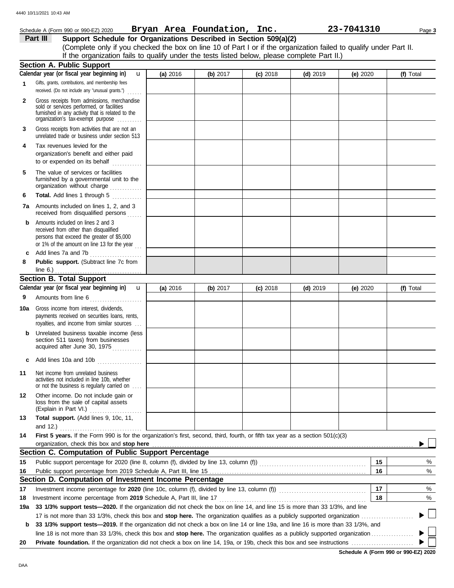|              | Schedule A (Form 990 or 990-EZ) 2020                                                                                                                                              |              |          | Bryan Area Foundation, Inc. |            |            | 23-7041310 | Page 3    |
|--------------|-----------------------------------------------------------------------------------------------------------------------------------------------------------------------------------|--------------|----------|-----------------------------|------------|------------|------------|-----------|
|              | Support Schedule for Organizations Described in Section 509(a)(2)<br>Part III                                                                                                     |              |          |                             |            |            |            |           |
|              | (Complete only if you checked the box on line 10 of Part I or if the organization failed to qualify under Part II.                                                                |              |          |                             |            |            |            |           |
|              | If the organization fails to qualify under the tests listed below, please complete Part II.)                                                                                      |              |          |                             |            |            |            |           |
|              | <b>Section A. Public Support</b>                                                                                                                                                  |              |          |                             |            |            |            |           |
|              | Calendar year (or fiscal year beginning in)                                                                                                                                       | $\mathbf{u}$ | (a) 2016 | (b) $2017$                  | $(c)$ 2018 | $(d)$ 2019 | (e) 2020   | (f) Total |
| 1            | Gifts, grants, contributions, and membership fees<br>received. (Do not include any "unusual grants.")                                                                             | 1.1.1.1.1    |          |                             |            |            |            |           |
| $\mathbf{2}$ | Gross receipts from admissions, merchandise<br>sold or services performed, or facilities<br>furnished in any activity that is related to the<br>organization's tax-exempt purpose |              |          |                             |            |            |            |           |
| 3            | Gross receipts from activities that are not an<br>unrelated trade or business under section 513                                                                                   |              |          |                             |            |            |            |           |
| 4            | Tax revenues levied for the<br>organization's benefit and either paid<br>to or expended on its behalf<br>.                                                                        |              |          |                             |            |            |            |           |
| 5            | The value of services or facilities<br>furnished by a governmental unit to the<br>organization without charge                                                                     |              |          |                             |            |            |            |           |
| 6            | Total. Add lines 1 through 5<br><u>.</u><br>.                                                                                                                                     |              |          |                             |            |            |            |           |
| 7а           | Amounts included on lines 1, 2, and 3<br>received from disqualified persons                                                                                                       |              |          |                             |            |            |            |           |
| b            | Amounts included on lines 2 and 3<br>received from other than disqualified<br>persons that exceed the greater of \$5,000<br>or 1% of the amount on line 13 for the year $\ldots$  |              |          |                             |            |            |            |           |
| c            | Add lines 7a and 7b                                                                                                                                                               |              |          |                             |            |            |            |           |
| 8            | Public support. (Subtract line 7c from<br>line 6.) $\ldots$ $\ldots$ $\ldots$ $\ldots$ $\ldots$ $\ldots$                                                                          |              |          |                             |            |            |            |           |
|              | <b>Section B. Total Support</b>                                                                                                                                                   |              |          |                             |            |            |            |           |
|              | Calendar year (or fiscal year beginning in)                                                                                                                                       | $\mathbf{u}$ | (a) 2016 | (b) 2017                    | $(c)$ 2018 | $(d)$ 2019 | (e) 2020   | (f) Total |
| 9            | Amounts from line 6                                                                                                                                                               |              |          |                             |            |            |            |           |
| 10a          | Gross income from interest, dividends,<br>payments received on securities loans, rents,<br>royalties, and income from similar sources                                             |              |          |                             |            |            |            |           |
| b            | Unrelated business taxable income (less<br>section 511 taxes) from businesses<br>acquired after June 30, 1975                                                                     |              |          |                             |            |            |            |           |
|              | Add lines 10a and 10b                                                                                                                                                             |              |          |                             |            |            |            |           |
| 11           | Net income from unrelated business<br>activities not included in line 10b, whether<br>or not the business is regularly carried on                                                 |              |          |                             |            |            |            |           |
| 12           | Other income. Do not include gain or<br>loss from the sale of capital assets<br>(Explain in Part VI.)                                                                             |              |          |                             |            |            |            |           |
| 13           | Total support. (Add lines 9, 10c, 11,<br>and $12.$ )                                                                                                                              |              |          |                             |            |            |            |           |
| 14           | First 5 years. If the Form 990 is for the organization's first, second, third, fourth, or fifth tax year as a section 501(c)(3)<br>organization, check this box and stop here     |              |          |                             |            |            |            |           |
|              | Section C. Computation of Public Support Percentage                                                                                                                               |              |          |                             |            |            |            |           |
|              |                                                                                                                                                                                   |              |          |                             |            |            |            |           |
| 15           |                                                                                                                                                                                   |              |          |                             |            |            | 15         | %         |
| 16           |                                                                                                                                                                                   |              |          |                             |            |            | 16         | %         |
|              | Section D. Computation of Investment Income Percentage                                                                                                                            |              |          |                             |            |            |            |           |
| 17           | Investment income percentage for 2020 (line 10c, column (f), divided by line 13, column (f)) [[[[[[[[[[[[[[[[                                                                     |              |          |                             |            |            | 17         | %         |
| 18           | Investment income percentage from 2019 Schedule A, Part III, line 17                                                                                                              |              |          |                             |            |            | 18         | %         |
| 19a          | 33 1/3% support tests-2020. If the organization did not check the box on line 14, and line 15 is more than 33 1/3%, and line                                                      |              |          |                             |            |            |            |           |
|              |                                                                                                                                                                                   |              |          |                             |            |            |            |           |
| b            | 33 1/3% support tests-2019. If the organization did not check a box on line 14 or line 19a, and line 16 is more than 33 1/3%, and                                                 |              |          |                             |            |            |            |           |
|              |                                                                                                                                                                                   |              |          |                             |            |            |            |           |
| 20           |                                                                                                                                                                                   |              |          |                             |            |            |            |           |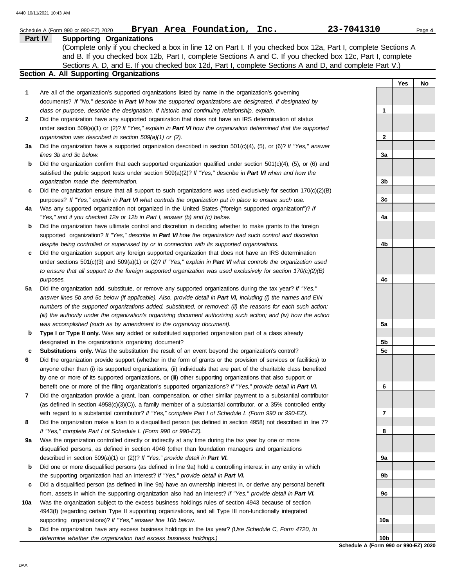|     | Bryan Area Foundation, Inc.<br>Schedule A (Form 990 or 990-EZ) 2020                                                                                                                                                                | 23-7041310                           |     | Page 4 |
|-----|------------------------------------------------------------------------------------------------------------------------------------------------------------------------------------------------------------------------------------|--------------------------------------|-----|--------|
|     | Part IV<br><b>Supporting Organizations</b>                                                                                                                                                                                         |                                      |     |        |
|     | (Complete only if you checked a box in line 12 on Part I. If you checked box 12a, Part I, complete Sections A                                                                                                                      |                                      |     |        |
|     | and B. If you checked box 12b, Part I, complete Sections A and C. If you checked box 12c, Part I, complete                                                                                                                         |                                      |     |        |
|     | Sections A, D, and E. If you checked box 12d, Part I, complete Sections A and D, and complete Part V.)                                                                                                                             |                                      |     |        |
|     | Section A. All Supporting Organizations                                                                                                                                                                                            |                                      |     |        |
|     |                                                                                                                                                                                                                                    |                                      | Yes | No     |
| 1   | Are all of the organization's supported organizations listed by name in the organization's governing<br>documents? If "No," describe in Part VI how the supported organizations are designated. If designated by                   |                                      |     |        |
|     | class or purpose, describe the designation. If historic and continuing relationship, explain.                                                                                                                                      | 1                                    |     |        |
| 2   | Did the organization have any supported organization that does not have an IRS determination of status                                                                                                                             |                                      |     |        |
|     | under section 509(a)(1) or (2)? If "Yes," explain in Part VI how the organization determined that the supported                                                                                                                    |                                      |     |        |
|     | organization was described in section 509(a)(1) or (2).                                                                                                                                                                            | $\mathbf{2}$                         |     |        |
| За  | Did the organization have a supported organization described in section $501(c)(4)$ , (5), or (6)? If "Yes," answer                                                                                                                |                                      |     |        |
|     | lines 3b and 3c below.                                                                                                                                                                                                             | За                                   |     |        |
| b   | Did the organization confirm that each supported organization qualified under section $501(c)(4)$ , (5), or (6) and                                                                                                                |                                      |     |        |
|     | satisfied the public support tests under section 509(a)(2)? If "Yes," describe in Part VI when and how the                                                                                                                         |                                      |     |        |
|     | organization made the determination.                                                                                                                                                                                               | 3b                                   |     |        |
| c   | Did the organization ensure that all support to such organizations was used exclusively for section $170(c)(2)(B)$                                                                                                                 |                                      |     |        |
|     | purposes? If "Yes," explain in Part VI what controls the organization put in place to ensure such use.                                                                                                                             | 3c                                   |     |        |
| 4a  | Was any supported organization not organized in the United States ("foreign supported organization")? If                                                                                                                           |                                      |     |        |
|     | "Yes," and if you checked 12a or 12b in Part I, answer (b) and (c) below.                                                                                                                                                          | 4a                                   |     |        |
| b   | Did the organization have ultimate control and discretion in deciding whether to make grants to the foreign                                                                                                                        |                                      |     |        |
|     | supported organization? If "Yes," describe in Part VI how the organization had such control and discretion                                                                                                                         |                                      |     |        |
|     | despite being controlled or supervised by or in connection with its supported organizations.                                                                                                                                       | 4b                                   |     |        |
| c   | Did the organization support any foreign supported organization that does not have an IRS determination                                                                                                                            |                                      |     |        |
|     | under sections $501(c)(3)$ and $509(a)(1)$ or (2)? If "Yes," explain in Part VI what controls the organization used                                                                                                                |                                      |     |        |
|     | to ensure that all support to the foreign supported organization was used exclusively for section $170(c)(2)(B)$                                                                                                                   |                                      |     |        |
|     | purposes.                                                                                                                                                                                                                          | 4с                                   |     |        |
| 5a  | Did the organization add, substitute, or remove any supported organizations during the tax year? If "Yes,"                                                                                                                         |                                      |     |        |
|     | answer lines 5b and 5c below (if applicable). Also, provide detail in Part VI, including (i) the names and EIN                                                                                                                     |                                      |     |        |
|     | numbers of the supported organizations added, substituted, or removed; (ii) the reasons for each such action;<br>(iii) the authority under the organization's organizing document authorizing such action; and (iv) how the action |                                      |     |        |
|     | was accomplished (such as by amendment to the organizing document).                                                                                                                                                                | 5а                                   |     |        |
| b   | Type I or Type II only. Was any added or substituted supported organization part of a class already                                                                                                                                |                                      |     |        |
|     | designated in the organization's organizing document?                                                                                                                                                                              | 5b                                   |     |        |
| с   | Substitutions only. Was the substitution the result of an event beyond the organization's control?                                                                                                                                 | 5c                                   |     |        |
| 6   | Did the organization provide support (whether in the form of grants or the provision of services or facilities) to                                                                                                                 |                                      |     |        |
|     | anyone other than (i) its supported organizations, (ii) individuals that are part of the charitable class benefited                                                                                                                |                                      |     |        |
|     | by one or more of its supported organizations, or (iii) other supporting organizations that also support or                                                                                                                        |                                      |     |        |
|     | benefit one or more of the filing organization's supported organizations? If "Yes," provide detail in Part VI.                                                                                                                     | 6                                    |     |        |
| 7   | Did the organization provide a grant, loan, compensation, or other similar payment to a substantial contributor                                                                                                                    |                                      |     |        |
|     | (as defined in section $4958(c)(3)(C)$ ), a family member of a substantial contributor, or a 35% controlled entity                                                                                                                 |                                      |     |        |
|     | with regard to a substantial contributor? If "Yes," complete Part I of Schedule L (Form 990 or 990-EZ).                                                                                                                            | 7                                    |     |        |
| 8   | Did the organization make a loan to a disqualified person (as defined in section 4958) not described in line 7?                                                                                                                    |                                      |     |        |
|     | If "Yes," complete Part I of Schedule L (Form 990 or 990-EZ).                                                                                                                                                                      | 8                                    |     |        |
| 9а  | Was the organization controlled directly or indirectly at any time during the tax year by one or more                                                                                                                              |                                      |     |        |
|     | disqualified persons, as defined in section 4946 (other than foundation managers and organizations                                                                                                                                 |                                      |     |        |
|     | described in section 509(a)(1) or (2))? If "Yes," provide detail in Part VI.                                                                                                                                                       | 9a                                   |     |        |
| b   | Did one or more disqualified persons (as defined in line 9a) hold a controlling interest in any entity in which                                                                                                                    |                                      |     |        |
|     | the supporting organization had an interest? If "Yes," provide detail in Part VI.                                                                                                                                                  | 9b                                   |     |        |
| c   | Did a disqualified person (as defined in line 9a) have an ownership interest in, or derive any personal benefit                                                                                                                    |                                      |     |        |
|     | from, assets in which the supporting organization also had an interest? If "Yes," provide detail in Part VI.                                                                                                                       | 9c                                   |     |        |
| 10a | Was the organization subject to the excess business holdings rules of section 4943 because of section                                                                                                                              |                                      |     |        |
|     | 4943(f) (regarding certain Type II supporting organizations, and all Type III non-functionally integrated<br>supporting organizations)? If "Yes," answer line 10b below.                                                           | 10a                                  |     |        |
| b   | Did the organization have any excess business holdings in the tax year? (Use Schedule C, Form 4720, to                                                                                                                             |                                      |     |        |
|     | determine whether the organization had excess business holdings.)                                                                                                                                                                  | 10b                                  |     |        |
|     |                                                                                                                                                                                                                                    | Schodule A (Form 000 or 000-F7) 2020 |     |        |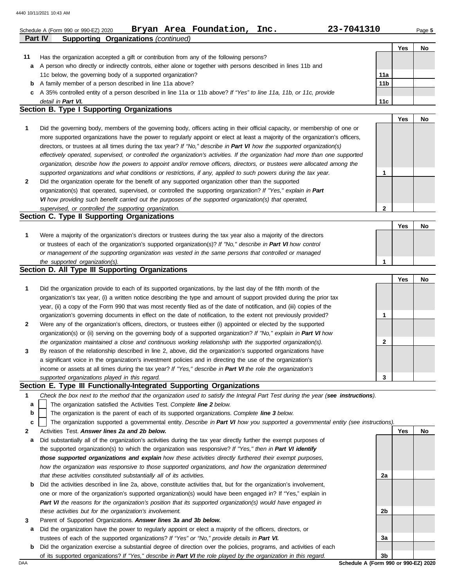|        | 23-7041310<br>Bryan Area Foundation,<br>Inc.<br>Schedule A (Form 990 or 990-EZ) 2020                                                                                                                                               |                 |     | Page 5 |
|--------|------------------------------------------------------------------------------------------------------------------------------------------------------------------------------------------------------------------------------------|-----------------|-----|--------|
|        | <b>Supporting Organizations (continued)</b><br>Part IV                                                                                                                                                                             |                 |     |        |
|        |                                                                                                                                                                                                                                    |                 | Yes | No     |
| 11     | Has the organization accepted a gift or contribution from any of the following persons?                                                                                                                                            |                 |     |        |
| a      | A person who directly or indirectly controls, either alone or together with persons described in lines 11b and                                                                                                                     |                 |     |        |
|        | 11c below, the governing body of a supported organization?                                                                                                                                                                         | 11a             |     |        |
| b      | A family member of a person described in line 11a above?                                                                                                                                                                           | 11 <sub>b</sub> |     |        |
| c      | A 35% controlled entity of a person described in line 11a or 11b above? If "Yes" to line 11a, 11b, or 11c, provide                                                                                                                 |                 |     |        |
|        | detail in Part VI.<br>Section B. Type I Supporting Organizations                                                                                                                                                                   | 11c             |     |        |
|        |                                                                                                                                                                                                                                    |                 | Yes | No     |
| 1      | Did the governing body, members of the governing body, officers acting in their official capacity, or membership of one or                                                                                                         |                 |     |        |
|        | more supported organizations have the power to regularly appoint or elect at least a majority of the organization's officers,                                                                                                      |                 |     |        |
|        | directors, or trustees at all times during the tax year? If "No," describe in Part VI how the supported organization(s)                                                                                                            |                 |     |        |
|        | effectively operated, supervised, or controlled the organization's activities. If the organization had more than one supported                                                                                                     |                 |     |        |
|        | organization, describe how the powers to appoint and/or remove officers, directors, or trustees were allocated among the                                                                                                           |                 |     |        |
|        | supported organizations and what conditions or restrictions, if any, applied to such powers during the tax year.                                                                                                                   | $\mathbf 1$     |     |        |
| 2      | Did the organization operate for the benefit of any supported organization other than the supported                                                                                                                                |                 |     |        |
|        | organization(s) that operated, supervised, or controlled the supporting organization? If "Yes," explain in Part                                                                                                                    |                 |     |        |
|        | VI how providing such benefit carried out the purposes of the supported organization(s) that operated,                                                                                                                             |                 |     |        |
|        | supervised, or controlled the supporting organization.                                                                                                                                                                             | 2               |     |        |
|        | Section C. Type II Supporting Organizations                                                                                                                                                                                        |                 |     |        |
|        |                                                                                                                                                                                                                                    |                 | Yes | No     |
| 1      | Were a majority of the organization's directors or trustees during the tax year also a majority of the directors                                                                                                                   |                 |     |        |
|        | or trustees of each of the organization's supported organization(s)? If "No," describe in Part VI how control                                                                                                                      |                 |     |        |
|        | or management of the supporting organization was vested in the same persons that controlled or managed                                                                                                                             |                 |     |        |
|        | the supported organization(s).                                                                                                                                                                                                     | $\mathbf 1$     |     |        |
|        | Section D. All Type III Supporting Organizations                                                                                                                                                                                   |                 |     |        |
| 1      |                                                                                                                                                                                                                                    |                 | Yes | No     |
|        | Did the organization provide to each of its supported organizations, by the last day of the fifth month of the                                                                                                                     |                 |     |        |
|        | organization's tax year, (i) a written notice describing the type and amount of support provided during the prior tax                                                                                                              |                 |     |        |
|        | year, (ii) a copy of the Form 990 that was most recently filed as of the date of notification, and (iii) copies of the                                                                                                             |                 |     |        |
| 2      | organization's governing documents in effect on the date of notification, to the extent not previously provided?                                                                                                                   | 1               |     |        |
|        | Were any of the organization's officers, directors, or trustees either (i) appointed or elected by the supported                                                                                                                   |                 |     |        |
|        | organization(s) or (ii) serving on the governing body of a supported organization? If "No," explain in Part VI how                                                                                                                 |                 |     |        |
|        | the organization maintained a close and continuous working relationship with the supported organization(s).                                                                                                                        | 2               |     |        |
|        | By reason of the relationship described in line 2, above, did the organization's supported organizations have                                                                                                                      |                 |     |        |
|        |                                                                                                                                                                                                                                    |                 |     |        |
|        | a significant voice in the organization's investment policies and in directing the use of the organization's                                                                                                                       |                 |     |        |
| 3      | income or assets at all times during the tax year? If "Yes," describe in Part VI the role the organization's                                                                                                                       |                 |     |        |
|        | supported organizations played in this regard.                                                                                                                                                                                     | 3               |     |        |
| 1      | Section E. Type III Functionally-Integrated Supporting Organizations                                                                                                                                                               |                 |     |        |
|        | Check the box next to the method that the organization used to satisfy the Integral Part Test during the year (see instructions).                                                                                                  |                 |     |        |
| а      | The organization satisfied the Activities Test. Complete line 2 below.                                                                                                                                                             |                 |     |        |
| b<br>c | The organization is the parent of each of its supported organizations. Complete line 3 below.<br>The organization supported a governmental entity. Describe in Part VI how you supported a governmental entity (see instructions). |                 |     |        |

- **a** Did substantially all of the organization's activities during the tax year directly further the exempt purposes of the supported organization(s) to which the organization was responsive? *If "Yes," then in Part VI identify those supported organizations and explain how these activities directly furthered their exempt purposes, how the organization was responsive to those supported organizations, and how the organization determined that these activities constituted substantially all of its activities.*
- **b** Did the activities described in line 2a, above, constitute activities that, but for the organization's involvement, one or more of the organization's supported organization(s) would have been engaged in? If "Yes," explain in *Part VI the reasons for the organization's position that its supported organization(s) would have engaged in these activities but for the organization's involvement.*
- **3** Parent of Supported Organizations. *Answer lines 3a and 3b below.*
	- **a** Did the organization have the power to regularly appoint or elect a majority of the officers, directors, or trustees of each of the supported organizations? *If "Yes" or "No," provide details in Part VI.*
	- **b** Did the organization exercise a substantial degree of direction over the policies, programs, and activities of each of its supported organizations? *If "Yes," describe in Part VI the role played by the organization in this regard.*

DAA **Schedule A (Form 990 or 990-EZ) 2020 3b**

**2a**

**2b**

**3a**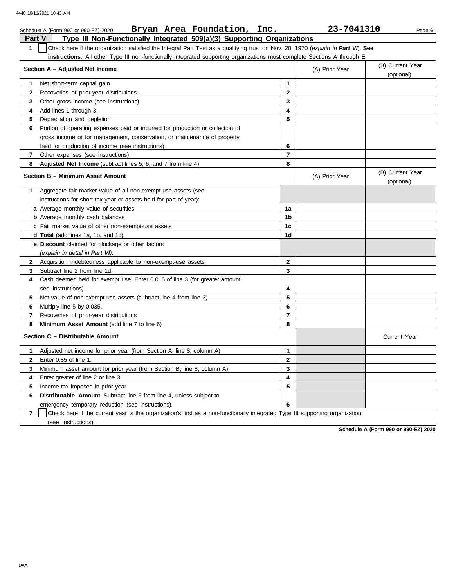|              | 23-7041310<br>Bryan Area Foundation, Inc.<br>Schedule A (Form 990 or 990-EZ) 2020<br>Page 6                                      |                |                |                                |  |  |  |  |  |
|--------------|----------------------------------------------------------------------------------------------------------------------------------|----------------|----------------|--------------------------------|--|--|--|--|--|
| Part V       | Type III Non-Functionally Integrated 509(a)(3) Supporting Organizations                                                          |                |                |                                |  |  |  |  |  |
| $\mathbf{1}$ | Check here if the organization satisfied the Integral Part Test as a qualifying trust on Nov. 20, 1970 (explain in Part VI). See |                |                |                                |  |  |  |  |  |
|              | instructions. All other Type III non-functionally integrated supporting organizations must complete Sections A through E.        |                |                |                                |  |  |  |  |  |
|              | Section A - Adjusted Net Income                                                                                                  |                | (A) Prior Year | (B) Current Year<br>(optional) |  |  |  |  |  |
| 1            | Net short-term capital gain                                                                                                      | $\mathbf{1}$   |                |                                |  |  |  |  |  |
| $\mathbf{2}$ | Recoveries of prior-year distributions                                                                                           | $\mathbf{2}$   |                |                                |  |  |  |  |  |
| 3            | Other gross income (see instructions)                                                                                            | 3              |                |                                |  |  |  |  |  |
| 4            | Add lines 1 through 3.                                                                                                           | 4              |                |                                |  |  |  |  |  |
| 5            | Depreciation and depletion                                                                                                       | 5              |                |                                |  |  |  |  |  |
| 6            | Portion of operating expenses paid or incurred for production or collection of                                                   |                |                |                                |  |  |  |  |  |
|              | gross income or for management, conservation, or maintenance of property                                                         |                |                |                                |  |  |  |  |  |
|              | held for production of income (see instructions)                                                                                 | 6              |                |                                |  |  |  |  |  |
| 7            | Other expenses (see instructions)                                                                                                | $\overline{7}$ |                |                                |  |  |  |  |  |
| 8            | Adjusted Net Income (subtract lines 5, 6, and 7 from line 4)                                                                     | 8              |                |                                |  |  |  |  |  |
|              | <b>Section B - Minimum Asset Amount</b>                                                                                          |                | (A) Prior Year | (B) Current Year<br>(optional) |  |  |  |  |  |
| 1.           | Aggregate fair market value of all non-exempt-use assets (see                                                                    |                |                |                                |  |  |  |  |  |
|              | instructions for short tax year or assets held for part of year):                                                                |                |                |                                |  |  |  |  |  |
|              | a Average monthly value of securities                                                                                            | 1a             |                |                                |  |  |  |  |  |
|              | <b>b</b> Average monthly cash balances                                                                                           | 1b             |                |                                |  |  |  |  |  |
|              | c Fair market value of other non-exempt-use assets                                                                               | 1 <sub>c</sub> |                |                                |  |  |  |  |  |
|              | d Total (add lines 1a, 1b, and 1c)                                                                                               | 1d             |                |                                |  |  |  |  |  |
|              | e Discount claimed for blockage or other factors                                                                                 |                |                |                                |  |  |  |  |  |
|              | (explain in detail in Part VI):                                                                                                  |                |                |                                |  |  |  |  |  |
| $\mathbf{2}$ | Acquisition indebtedness applicable to non-exempt-use assets                                                                     | $\mathbf{2}$   |                |                                |  |  |  |  |  |
| 3            | Subtract line 2 from line 1d.                                                                                                    | 3              |                |                                |  |  |  |  |  |
| 4            | Cash deemed held for exempt use. Enter 0.015 of line 3 (for greater amount,                                                      |                |                |                                |  |  |  |  |  |
|              | see instructions).                                                                                                               | 4              |                |                                |  |  |  |  |  |
| 5.           | Net value of non-exempt-use assets (subtract line 4 from line 3)                                                                 | 5              |                |                                |  |  |  |  |  |
| 6            | Multiply line 5 by 0.035.                                                                                                        | 6              |                |                                |  |  |  |  |  |
| 7            | Recoveries of prior-year distributions                                                                                           | $\overline{7}$ |                |                                |  |  |  |  |  |
| 8            | <b>Minimum Asset Amount</b> (add line 7 to line 6)                                                                               | 8              |                |                                |  |  |  |  |  |
|              | Section C - Distributable Amount                                                                                                 |                |                | <b>Current Year</b>            |  |  |  |  |  |
| 1            | Adjusted net income for prior year (from Section A, line 8, column A)                                                            | $\mathbf{1}$   |                |                                |  |  |  |  |  |
| $\mathbf{2}$ | Enter 0.85 of line 1.                                                                                                            | $\mathbf{2}$   |                |                                |  |  |  |  |  |
| 3            | Minimum asset amount for prior year (from Section B, line 8, column A)                                                           | 3              |                |                                |  |  |  |  |  |
| 4            | Enter greater of line 2 or line 3.                                                                                               | 4              |                |                                |  |  |  |  |  |
| 5            | Income tax imposed in prior year                                                                                                 | 5              |                |                                |  |  |  |  |  |
| 6            | <b>Distributable Amount.</b> Subtract line 5 from line 4, unless subject to                                                      |                |                |                                |  |  |  |  |  |
|              | emergency temporary reduction (see instructions).                                                                                | 6              |                |                                |  |  |  |  |  |
|              |                                                                                                                                  |                |                |                                |  |  |  |  |  |

**7** | Check here if the current year is the organization's first as a non-functionally integrated Type III supporting organization (see instructions).

**Schedule A (Form 990 or 990-EZ) 2020**

DAA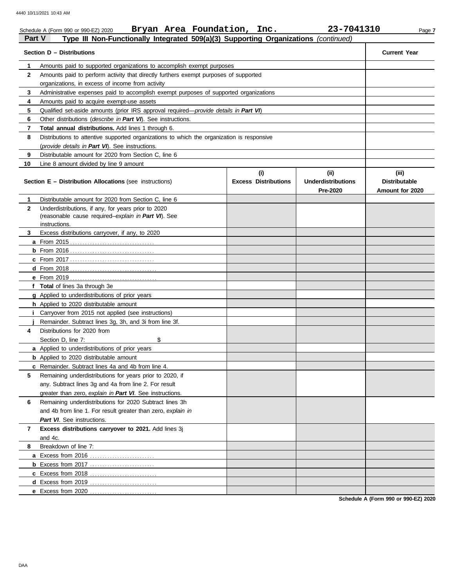|               | Bryan Area Foundation, Inc.<br>Schedule A (Form 990 or 990-EZ) 2020                             |                                    | 23-7041310                                    | Page 7                                           |
|---------------|-------------------------------------------------------------------------------------------------|------------------------------------|-----------------------------------------------|--------------------------------------------------|
| <b>Part V</b> | Type III Non-Functionally Integrated 509(a)(3) Supporting Organizations (continued)             |                                    |                                               |                                                  |
|               | Section D - Distributions                                                                       |                                    |                                               | <b>Current Year</b>                              |
| 1             | Amounts paid to supported organizations to accomplish exempt purposes                           |                                    |                                               |                                                  |
| $\mathbf{2}$  | Amounts paid to perform activity that directly furthers exempt purposes of supported            |                                    |                                               |                                                  |
|               | organizations, in excess of income from activity                                                |                                    |                                               |                                                  |
| 3             | Administrative expenses paid to accomplish exempt purposes of supported organizations           |                                    |                                               |                                                  |
| 4             | Amounts paid to acquire exempt-use assets                                                       |                                    |                                               |                                                  |
| 5             | Qualified set-aside amounts (prior IRS approval required—provide details in Part VI)            |                                    |                                               |                                                  |
| 6             | Other distributions (describe in Part VI). See instructions.                                    |                                    |                                               |                                                  |
| 7             | Total annual distributions. Add lines 1 through 6.                                              |                                    |                                               |                                                  |
| 8             | Distributions to attentive supported organizations to which the organization is responsive      |                                    |                                               |                                                  |
|               | (provide details in Part VI). See instructions.                                                 |                                    |                                               |                                                  |
| 9             | Distributable amount for 2020 from Section C, line 6                                            |                                    |                                               |                                                  |
| 10            | Line 8 amount divided by line 9 amount                                                          |                                    |                                               |                                                  |
|               | <b>Section E - Distribution Allocations (see instructions)</b>                                  | (i)<br><b>Excess Distributions</b> | (ii)<br><b>Underdistributions</b><br>Pre-2020 | (iii)<br><b>Distributable</b><br>Amount for 2020 |
| 1             | Distributable amount for 2020 from Section C, line 6                                            |                                    |                                               |                                                  |
| $\mathbf{2}$  | Underdistributions, if any, for years prior to 2020                                             |                                    |                                               |                                                  |
|               | (reasonable cause required-explain in Part VI). See                                             |                                    |                                               |                                                  |
|               | instructions.                                                                                   |                                    |                                               |                                                  |
| 3             | Excess distributions carryover, if any, to 2020                                                 |                                    |                                               |                                                  |
|               |                                                                                                 |                                    |                                               |                                                  |
|               |                                                                                                 |                                    |                                               |                                                  |
|               |                                                                                                 |                                    |                                               |                                                  |
|               |                                                                                                 |                                    |                                               |                                                  |
|               |                                                                                                 |                                    |                                               |                                                  |
|               | f Total of lines 3a through 3e                                                                  |                                    |                                               |                                                  |
|               | g Applied to underdistributions of prior years                                                  |                                    |                                               |                                                  |
|               | h Applied to 2020 distributable amount                                                          |                                    |                                               |                                                  |
| Ť.            | Carryover from 2015 not applied (see instructions)                                              |                                    |                                               |                                                  |
| 4             | Remainder. Subtract lines 3g, 3h, and 3i from line 3f.                                          |                                    |                                               |                                                  |
|               | Distributions for 2020 from<br>Section D, line 7:<br>\$                                         |                                    |                                               |                                                  |
|               |                                                                                                 |                                    |                                               |                                                  |
|               | a Applied to underdistributions of prior years<br><b>b</b> Applied to 2020 distributable amount |                                    |                                               |                                                  |
|               | c Remainder. Subtract lines 4a and 4b from line 4.                                              |                                    |                                               |                                                  |
| 5             | Remaining underdistributions for years prior to 2020, if                                        |                                    |                                               |                                                  |
|               | any. Subtract lines 3g and 4a from line 2. For result                                           |                                    |                                               |                                                  |
|               |                                                                                                 |                                    |                                               |                                                  |
|               | greater than zero, explain in Part VI. See instructions.                                        |                                    |                                               |                                                  |
| 6             | Remaining underdistributions for 2020 Subtract lines 3h                                         |                                    |                                               |                                                  |
|               | and 4b from line 1. For result greater than zero, explain in                                    |                                    |                                               |                                                  |
|               | Part VI. See instructions.                                                                      |                                    |                                               |                                                  |
| 7             | Excess distributions carryover to 2021. Add lines 3j                                            |                                    |                                               |                                                  |
|               | and 4c.<br>Breakdown of line 7:                                                                 |                                    |                                               |                                                  |
| 8             |                                                                                                 |                                    |                                               |                                                  |
|               |                                                                                                 |                                    |                                               |                                                  |
|               | <b>b</b> Excess from 2017                                                                       |                                    |                                               |                                                  |
|               |                                                                                                 |                                    |                                               |                                                  |
|               |                                                                                                 |                                    |                                               |                                                  |
|               | e Excess from 2020                                                                              |                                    |                                               |                                                  |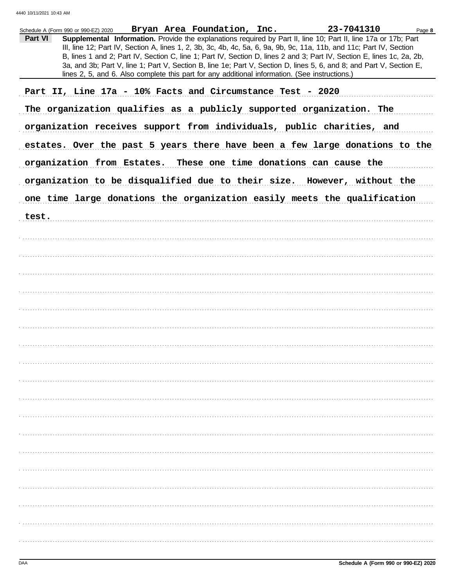|         | Schedule A (Form 990 or 990-EZ) 2020 Bryan Area Foundation, Inc. |  |                                                                                                | 23-7041310                                                                                                             | Page 8 |
|---------|------------------------------------------------------------------|--|------------------------------------------------------------------------------------------------|------------------------------------------------------------------------------------------------------------------------|--------|
| Part VI |                                                                  |  |                                                                                                | Supplemental Information. Provide the explanations required by Part II, line 10; Part II, line 17a or 17b; Part        |        |
|         |                                                                  |  |                                                                                                | III, line 12; Part IV, Section A, lines 1, 2, 3b, 3c, 4b, 4c, 5a, 6, 9a, 9b, 9c, 11a, 11b, and 11c; Part IV, Section   |        |
|         |                                                                  |  |                                                                                                | B, lines 1 and 2; Part IV, Section C, line 1; Part IV, Section D, lines 2 and 3; Part IV, Section E, lines 1c, 2a, 2b, |        |
|         |                                                                  |  |                                                                                                | 3a, and 3b; Part V, line 1; Part V, Section B, line 1e; Part V, Section D, lines 5, 6, and 8; and Part V, Section E,   |        |
|         |                                                                  |  | lines 2, 5, and 6. Also complete this part for any additional information. (See instructions.) |                                                                                                                        |        |
|         | Part II, Line 17a - 10% Facts and Circumstance Test - 2020       |  |                                                                                                |                                                                                                                        |        |
|         |                                                                  |  |                                                                                                |                                                                                                                        |        |
|         |                                                                  |  |                                                                                                | The organization qualifies as a publicly supported organization. The                                                   |        |
|         |                                                                  |  |                                                                                                |                                                                                                                        |        |
|         |                                                                  |  |                                                                                                | organization receives support from individuals, public charities, and                                                  |        |
|         |                                                                  |  |                                                                                                |                                                                                                                        |        |
|         |                                                                  |  |                                                                                                | estates. Over the past 5 years there have been a few large donations to the                                            |        |
|         |                                                                  |  |                                                                                                | organization from Estates. These one time donations can cause the                                                      |        |
|         |                                                                  |  |                                                                                                | organization to be disqualified due to their size. However, without the                                                |        |
|         |                                                                  |  |                                                                                                | one time large donations the organization easily meets the qualification                                               |        |
|         |                                                                  |  |                                                                                                |                                                                                                                        |        |
| test.   |                                                                  |  |                                                                                                |                                                                                                                        |        |
|         |                                                                  |  |                                                                                                |                                                                                                                        |        |
|         |                                                                  |  |                                                                                                |                                                                                                                        |        |
|         |                                                                  |  |                                                                                                |                                                                                                                        |        |
|         |                                                                  |  |                                                                                                |                                                                                                                        |        |
|         |                                                                  |  |                                                                                                |                                                                                                                        |        |
|         |                                                                  |  |                                                                                                |                                                                                                                        |        |
|         |                                                                  |  |                                                                                                |                                                                                                                        |        |
|         |                                                                  |  |                                                                                                |                                                                                                                        |        |
|         |                                                                  |  |                                                                                                |                                                                                                                        |        |
|         |                                                                  |  |                                                                                                |                                                                                                                        |        |
|         |                                                                  |  |                                                                                                |                                                                                                                        |        |
|         |                                                                  |  |                                                                                                |                                                                                                                        |        |
|         |                                                                  |  |                                                                                                |                                                                                                                        |        |
|         |                                                                  |  |                                                                                                |                                                                                                                        |        |
|         |                                                                  |  |                                                                                                |                                                                                                                        |        |
|         |                                                                  |  |                                                                                                |                                                                                                                        |        |
|         |                                                                  |  |                                                                                                |                                                                                                                        |        |
|         |                                                                  |  |                                                                                                |                                                                                                                        |        |
|         |                                                                  |  |                                                                                                |                                                                                                                        |        |
|         |                                                                  |  |                                                                                                |                                                                                                                        |        |
|         |                                                                  |  |                                                                                                |                                                                                                                        |        |
|         |                                                                  |  |                                                                                                |                                                                                                                        |        |
|         |                                                                  |  |                                                                                                |                                                                                                                        |        |
|         |                                                                  |  |                                                                                                |                                                                                                                        |        |
|         |                                                                  |  |                                                                                                |                                                                                                                        |        |
|         |                                                                  |  |                                                                                                |                                                                                                                        |        |
|         |                                                                  |  |                                                                                                |                                                                                                                        |        |
|         |                                                                  |  |                                                                                                |                                                                                                                        |        |
|         |                                                                  |  |                                                                                                |                                                                                                                        |        |
|         |                                                                  |  |                                                                                                |                                                                                                                        |        |
|         |                                                                  |  |                                                                                                |                                                                                                                        |        |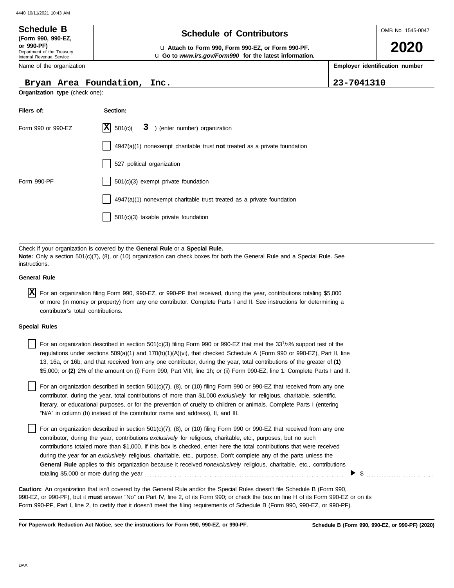### OMB No. 1545-0047 Department of the Treasury Internal Revenue Service Name of the organization **2020 Schedule of Contributors Schedule B (Form 990, 990-EZ, or 990-PF)** u **Attach to Form 990, Form 990-EZ, or Form 990-PF. Employer identification number Organization type** (check one): u **Go to** *www.irs.gov/Form990* **for the latest information. Bryan Area Foundation, Inc. 23-7041310**

| Filers of:         | Section:                                                                  |
|--------------------|---------------------------------------------------------------------------|
| Form 990 or 990-EZ | $ \mathbf{X} $ 501(c)( 3) (enter number) organization                     |
|                    | 4947(a)(1) nonexempt charitable trust not treated as a private foundation |
|                    | 527 political organization                                                |
| Form 990-PF        | 501(c)(3) exempt private foundation                                       |
|                    | 4947(a)(1) nonexempt charitable trust treated as a private foundation     |
|                    | 501(c)(3) taxable private foundation                                      |

Check if your organization is covered by the **General Rule** or a **Special Rule. Note:** Only a section 501(c)(7), (8), or (10) organization can check boxes for both the General Rule and a Special Rule. See instructions.

### **General Rule**

For an organization filing Form 990, 990-EZ, or 990-PF that received, during the year, contributions totaling \$5,000 **X** or more (in money or property) from any one contributor. Complete Parts I and II. See instructions for determining a contributor's total contributions.

### **Special Rules**

| For an organization described in section 501(c)(3) filing Form 990 or 990-EZ that met the 33 <sup>1</sup> /3% support test of the |
|-----------------------------------------------------------------------------------------------------------------------------------|
| regulations under sections $509(a)(1)$ and $170(b)(1)(A)(vi)$ , that checked Schedule A (Form 990 or 990-EZ), Part II, line       |
| 13, 16a, or 16b, and that received from any one contributor, during the year, total contributions of the greater of (1)           |
| \$5,000; or (2) 2% of the amount on (i) Form 990, Part VIII, line 1h; or (ii) Form 990-EZ, line 1. Complete Parts I and II.       |

literary, or educational purposes, or for the prevention of cruelty to children or animals. Complete Parts I (entering For an organization described in section 501(c)(7), (8), or (10) filing Form 990 or 990-EZ that received from any one contributor, during the year, total contributions of more than \$1,000 *exclusively* for religious, charitable, scientific, "N/A" in column (b) instead of the contributor name and address), II, and III.

For an organization described in section 501(c)(7), (8), or (10) filing Form 990 or 990-EZ that received from any one contributor, during the year, contributions *exclusively* for religious, charitable, etc., purposes, but no such contributions totaled more than \$1,000. If this box is checked, enter here the total contributions that were received during the year for an *exclusively* religious, charitable, etc., purpose. Don't complete any of the parts unless the **General Rule** applies to this organization because it received *nonexclusively* religious, charitable, etc., contributions totaling \$5,000 or more during the year . . . . . . . . . . . . . . . . . . . . . . . . . . . . . . . . . . . . . . . . . . . . . . . . . . . . . . . . . . . . . . . . . . . . . . . . . . . . . . . .

990-EZ, or 990-PF), but it **must** answer "No" on Part IV, line 2, of its Form 990; or check the box on line H of its Form 990-EZ or on its Form 990-PF, Part I, line 2, to certify that it doesn't meet the filing requirements of Schedule B (Form 990, 990-EZ, or 990-PF). **Caution:** An organization that isn't covered by the General Rule and/or the Special Rules doesn't file Schedule B (Form 990,

**For Paperwork Reduction Act Notice, see the instructions for Form 990, 990-EZ, or 990-PF.**

\$ . . . . . . . . . . . . . . . . . . . . . . . . . . .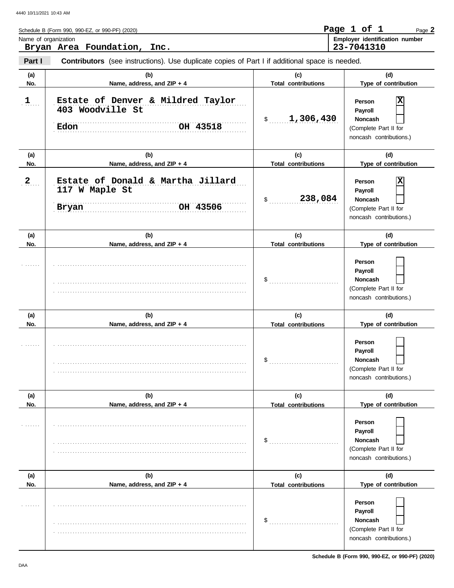| Schedule B (Form 990, 990-EZ, or 990-PF) (2020)                                                                 | Page 1 of 1                           |  | Page 2 |
|-----------------------------------------------------------------------------------------------------------------|---------------------------------------|--|--------|
| Name of organization                                                                                            | <b>Employer identification number</b> |  |        |
| Bryan Area Foundation, Inc.                                                                                     | 23-7041310                            |  |        |
| Part I<br><b>Contributors</b> (see instructions). Use duplicate copies of Part I if additional space is needed. |                                       |  |        |

| (a)          | (b)                                                                       | (c)                               | (d)                                                                                     |
|--------------|---------------------------------------------------------------------------|-----------------------------------|-----------------------------------------------------------------------------------------|
| No.          | Name, address, and ZIP + 4                                                | <b>Total contributions</b>        | Type of contribution                                                                    |
| 1            | Estate of Denver & Mildred Taylor<br>403 Woodville St<br>OH 43518<br>Edon | \$1,306,430                       | Person<br>Payroll<br><b>Noncash</b><br>(Complete Part II for<br>noncash contributions.) |
| (a)<br>No.   | (b)<br>Name, address, and ZIP + 4                                         | (c)<br><b>Total contributions</b> | (d)<br>Type of contribution                                                             |
| $\mathbf{2}$ | Estate of Donald & Martha Jillard<br>117 W Maple St<br>OH 43506<br>Bryan  | 238,084<br>\$                     | Person<br>Payroll<br><b>Noncash</b><br>(Complete Part II for<br>noncash contributions.) |
| (a)<br>No.   | (b)<br>Name, address, and ZIP + 4                                         | (c)<br><b>Total contributions</b> | (d)<br>Type of contribution                                                             |
|              |                                                                           | $\$\$                             | Person<br>Payroll<br><b>Noncash</b><br>(Complete Part II for<br>noncash contributions.) |
| (a)<br>No.   | (b)<br>Name, address, and ZIP + 4                                         | (c)<br><b>Total contributions</b> | (d)<br>Type of contribution                                                             |
|              |                                                                           | $\frac{1}{2}$                     | Person<br>Payroll<br><b>Noncash</b><br>(Complete Part II for<br>noncash contributions.) |
| (a)<br>No.   | (b)<br>Name, address, and ZIP + 4                                         | (c)<br><b>Total contributions</b> | (d)<br>Type of contribution                                                             |
|              |                                                                           | \$                                | Person<br>Payroll<br>Noncash<br>(Complete Part II for<br>noncash contributions.)        |
| (a)<br>No.   | (b)<br>Name, address, and ZIP + 4                                         | (c)                               | (d)<br>Type of contribution                                                             |
|              |                                                                           | <b>Total contributions</b><br>\$  | Person<br>Payroll<br>Noncash<br>(Complete Part II for<br>noncash contributions.)        |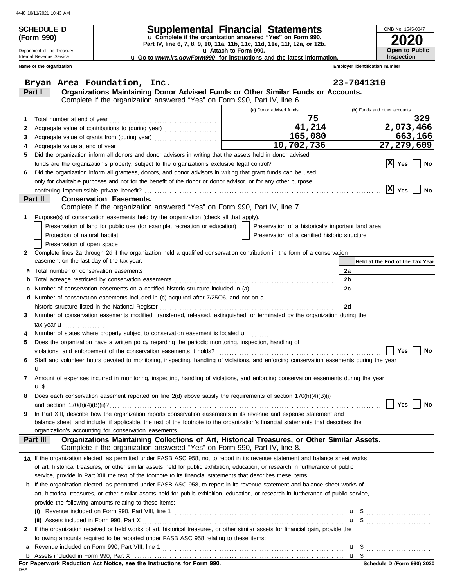| <b>SCHEDULE D</b><br>(Form 990)                        |                                                                                                                                                                | OMB No. 1545-0047                                                                                        |                                |                                            |
|--------------------------------------------------------|----------------------------------------------------------------------------------------------------------------------------------------------------------------|----------------------------------------------------------------------------------------------------------|--------------------------------|--------------------------------------------|
| Department of the Treasury<br>Internal Revenue Service |                                                                                                                                                                | u Attach to Form 990.<br><b>u</b> Go to www.irs.gov/Form990 for instructions and the latest information. |                                | <b>Open to Public</b><br><b>Inspection</b> |
| Name of the organization                               |                                                                                                                                                                |                                                                                                          | Employer identification number |                                            |
|                                                        |                                                                                                                                                                |                                                                                                          |                                |                                            |
|                                                        | Bryan Area Foundation, Inc.                                                                                                                                    |                                                                                                          | 23-7041310                     |                                            |
| Part I                                                 | Organizations Maintaining Donor Advised Funds or Other Similar Funds or Accounts.<br>Complete if the organization answered "Yes" on Form 990, Part IV, line 6. |                                                                                                          |                                |                                            |
|                                                        |                                                                                                                                                                | (a) Donor advised funds                                                                                  |                                | (b) Funds and other accounts               |
| Total number at end of year<br>1                       |                                                                                                                                                                | 75                                                                                                       |                                | 329                                        |
|                                                        |                                                                                                                                                                | 41,214                                                                                                   |                                | 2,073,466                                  |
| З                                                      |                                                                                                                                                                | 165,080                                                                                                  |                                | 663,166                                    |
|                                                        |                                                                                                                                                                | 10,702,736                                                                                               |                                | 27,279,609                                 |
| 5                                                      | Did the organization inform all donors and donor advisors in writing that the assets held in donor advised                                                     |                                                                                                          |                                |                                            |
|                                                        |                                                                                                                                                                |                                                                                                          |                                | $ X $ Yes<br>No                            |
| 6                                                      | Did the organization inform all grantees, donors, and donor advisors in writing that grant funds can be used                                                   |                                                                                                          |                                |                                            |
|                                                        | only for charitable purposes and not for the benefit of the donor or donor advisor, or for any other purpose                                                   |                                                                                                          |                                |                                            |
| conferring impermissible private benefit?              |                                                                                                                                                                |                                                                                                          |                                | $ \mathbf{\overline{X}} $ Yes<br>No        |
| Part II                                                | <b>Conservation Easements.</b>                                                                                                                                 |                                                                                                          |                                |                                            |
|                                                        | Complete if the organization answered "Yes" on Form 990, Part IV, line 7.                                                                                      |                                                                                                          |                                |                                            |
| 1.                                                     | Purpose(s) of conservation easements held by the organization (check all that apply).                                                                          |                                                                                                          |                                |                                            |
|                                                        | Preservation of land for public use (for example, recreation or education)                                                                                     | Preservation of a historically important land area                                                       |                                |                                            |
| Protection of natural habitat                          |                                                                                                                                                                | Preservation of a certified historic structure                                                           |                                |                                            |
| Preservation of open space                             |                                                                                                                                                                |                                                                                                          |                                |                                            |
| 2                                                      | Complete lines 2a through 2d if the organization held a qualified conservation contribution in the form of a conservation                                      |                                                                                                          |                                |                                            |
| easement on the last day of the tax year.              |                                                                                                                                                                |                                                                                                          |                                | Held at the End of the Tax Year            |
| а                                                      |                                                                                                                                                                |                                                                                                          | 2a                             |                                            |
| b                                                      |                                                                                                                                                                |                                                                                                          | 2 <sub>b</sub>                 |                                            |
| с                                                      | Number of conservation easements on a certified historic structure included in (a) [[[[[ [ [ ]]]                                                               |                                                                                                          | 2c                             |                                            |
| d                                                      | Number of conservation easements included in (c) acquired after 7/25/06, and not on a                                                                          |                                                                                                          |                                |                                            |
|                                                        | historic structure listed in the National Register                                                                                                             |                                                                                                          | 2d                             |                                            |
| 3                                                      | Number of conservation easements modified, transferred, released, extinguished, or terminated by the organization during the                                   |                                                                                                          |                                |                                            |
| tax year <b>u</b>                                      | Number of states where property subject to conservation easement is located u                                                                                  |                                                                                                          |                                |                                            |
|                                                        | Does the organization have a written policy regarding the periodic monitoring, inspection, handling of                                                         |                                                                                                          |                                |                                            |
|                                                        |                                                                                                                                                                |                                                                                                          |                                | Yes<br>No                                  |
|                                                        | Staff and volunteer hours devoted to monitoring, inspecting, handling of violations, and enforcing conservation easements during the year                      |                                                                                                          |                                |                                            |
| 6                                                      |                                                                                                                                                                |                                                                                                          |                                |                                            |
| u<br>.<br>7                                            | Amount of expenses incurred in monitoring, inspecting, handling of violations, and enforcing conservation easements during the year                            |                                                                                                          |                                |                                            |
|                                                        |                                                                                                                                                                |                                                                                                          |                                |                                            |
| 8                                                      | Does each conservation easement reported on line 2(d) above satisfy the requirements of section 170(h)(4)(B)(i)                                                |                                                                                                          |                                |                                            |
|                                                        |                                                                                                                                                                |                                                                                                          |                                | Yes<br>No                                  |
| 9                                                      | In Part XIII, describe how the organization reports conservation easements in its revenue and expense statement and                                            |                                                                                                          |                                |                                            |
|                                                        | balance sheet, and include, if applicable, the text of the footnote to the organization's financial statements that describes the                              |                                                                                                          |                                |                                            |
|                                                        | organization's accounting for conservation easements.                                                                                                          |                                                                                                          |                                |                                            |
| Part III                                               | Organizations Maintaining Collections of Art, Historical Treasures, or Other Similar Assets.                                                                   |                                                                                                          |                                |                                            |
|                                                        | Complete if the organization answered "Yes" on Form 990, Part IV, line 8.                                                                                      |                                                                                                          |                                |                                            |
|                                                        | 1a If the organization elected, as permitted under FASB ASC 958, not to report in its revenue statement and balance sheet works                                |                                                                                                          |                                |                                            |
|                                                        | of art, historical treasures, or other similar assets held for public exhibition, education, or research in furtherance of public                              |                                                                                                          |                                |                                            |
|                                                        | service, provide in Part XIII the text of the footnote to its financial statements that describes these items.                                                 |                                                                                                          |                                |                                            |
|                                                        | <b>b</b> If the organization elected, as permitted under FASB ASC 958, to report in its revenue statement and balance sheet works of                           |                                                                                                          |                                |                                            |
|                                                        | art, historical treasures, or other similar assets held for public exhibition, education, or research in furtherance of public service,                        |                                                                                                          |                                |                                            |
|                                                        | provide the following amounts relating to these items:                                                                                                         |                                                                                                          |                                |                                            |
|                                                        |                                                                                                                                                                |                                                                                                          | $u \, s$                       |                                            |
|                                                        |                                                                                                                                                                |                                                                                                          |                                |                                            |
|                                                        | If the organization received or held works of art, historical treasures, or other similar assets for financial gain, provide the                               |                                                                                                          |                                |                                            |

| following amounts required to be reported under FASB ASC 958 relating to these items: |  |  |
|---------------------------------------------------------------------------------------|--|--|
|---------------------------------------------------------------------------------------|--|--|

| a Revenue included on Form 990, Part VIII, line<br>. |  |
|------------------------------------------------------|--|
|                                                      |  |

Assets included in Form 990, Part X . . . . . . . . . . . . . . . . . . . . . . . . . . . . . . . . . . . . . . . . . . . . . . . . . . . . . . . . . . . . . . . . . . . . . . . . . . . . . . . . . . . . . **b**

**For Paperwork Reduction Act Notice, see the Instructions for Form 990.**<br><sub>DAA</sub>

u \$ ............................

<u>u \$</u>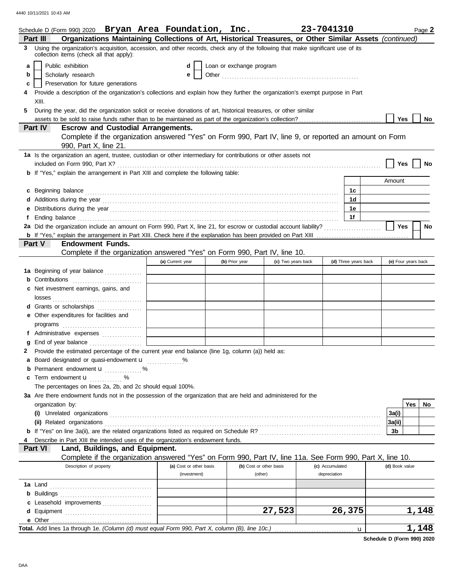|   | Schedule D (Form 990) 2020 Bryan Area Foundation, Inc.                                                                                                                                                                                                   |                         |                          |                    | 23-7041310      |                      |                     |       | Page 2    |
|---|----------------------------------------------------------------------------------------------------------------------------------------------------------------------------------------------------------------------------------------------------------|-------------------------|--------------------------|--------------------|-----------------|----------------------|---------------------|-------|-----------|
|   | Organizations Maintaining Collections of Art, Historical Treasures, or Other Similar Assets (continued)<br>Part III<br>3 Using the organization's acquisition, accession, and other records, check any of the following that make significant use of its |                         |                          |                    |                 |                      |                     |       |           |
|   | collection items (check all that apply):                                                                                                                                                                                                                 |                         |                          |                    |                 |                      |                     |       |           |
| a | Public exhibition                                                                                                                                                                                                                                        | d                       | Loan or exchange program |                    |                 |                      |                     |       |           |
| b | Scholarly research                                                                                                                                                                                                                                       | е                       |                          |                    |                 |                      |                     |       |           |
| c | Preservation for future generations                                                                                                                                                                                                                      |                         |                          |                    |                 |                      |                     |       |           |
|   | Provide a description of the organization's collections and explain how they further the organization's exempt purpose in Part                                                                                                                           |                         |                          |                    |                 |                      |                     |       |           |
|   | XIII.                                                                                                                                                                                                                                                    |                         |                          |                    |                 |                      |                     |       |           |
| 5 | During the year, did the organization solicit or receive donations of art, historical treasures, or other similar                                                                                                                                        |                         |                          |                    |                 |                      |                     |       |           |
|   |                                                                                                                                                                                                                                                          |                         |                          |                    |                 |                      | Yes                 |       | No        |
|   | <b>Escrow and Custodial Arrangements.</b><br>Part IV                                                                                                                                                                                                     |                         |                          |                    |                 |                      |                     |       |           |
|   | Complete if the organization answered "Yes" on Form 990, Part IV, line 9, or reported an amount on Form                                                                                                                                                  |                         |                          |                    |                 |                      |                     |       |           |
|   | 990, Part X, line 21.                                                                                                                                                                                                                                    |                         |                          |                    |                 |                      |                     |       |           |
|   | 1a Is the organization an agent, trustee, custodian or other intermediary for contributions or other assets not                                                                                                                                          |                         |                          |                    |                 |                      |                     |       |           |
|   |                                                                                                                                                                                                                                                          |                         |                          |                    |                 |                      | Yes                 |       | No        |
|   | b If "Yes," explain the arrangement in Part XIII and complete the following table:                                                                                                                                                                       |                         |                          |                    |                 |                      |                     |       |           |
|   |                                                                                                                                                                                                                                                          |                         |                          |                    |                 |                      | Amount              |       |           |
|   | c Beginning balance <b>contract to the contract of the contract of the contract of the contract of the contract of the contract of the contract of the contract of the contract of the contract of the contract of the contract </b>                     |                         |                          |                    |                 | 1c                   |                     |       |           |
|   |                                                                                                                                                                                                                                                          |                         |                          |                    |                 | 1d                   |                     |       |           |
| е | Distributions during the year manufactured and contact the year manufactured and properties are properly and the year manufactured and the year manufactured and the year manufactured and the year manufactured and the year                            |                         |                          |                    |                 | 1е                   |                     |       |           |
| f | Ending balance <i>communically contained a contained a contained a contained a contained a contained a contained a</i>                                                                                                                                   |                         |                          |                    |                 | 1f                   |                     |       |           |
|   |                                                                                                                                                                                                                                                          |                         |                          |                    |                 |                      | Yes                 |       | <b>No</b> |
|   |                                                                                                                                                                                                                                                          |                         |                          |                    |                 |                      |                     |       |           |
|   | <b>Endowment Funds.</b><br>Part V                                                                                                                                                                                                                        |                         |                          |                    |                 |                      |                     |       |           |
|   | Complete if the organization answered "Yes" on Form 990, Part IV, line 10.                                                                                                                                                                               |                         |                          |                    |                 |                      |                     |       |           |
|   |                                                                                                                                                                                                                                                          | (a) Current year        | (b) Prior year           | (c) Two years back |                 | (d) Three years back | (e) Four years back |       |           |
|   | 1a Beginning of year balance                                                                                                                                                                                                                             |                         |                          |                    |                 |                      |                     |       |           |
|   | <b>b</b> Contributions <b>contributions</b>                                                                                                                                                                                                              |                         |                          |                    |                 |                      |                     |       |           |
|   | c Net investment earnings, gains, and                                                                                                                                                                                                                    |                         |                          |                    |                 |                      |                     |       |           |
|   |                                                                                                                                                                                                                                                          |                         |                          |                    |                 |                      |                     |       |           |
|   | d Grants or scholarships                                                                                                                                                                                                                                 |                         |                          |                    |                 |                      |                     |       |           |
|   | e Other expenditures for facilities and                                                                                                                                                                                                                  |                         |                          |                    |                 |                      |                     |       |           |
|   |                                                                                                                                                                                                                                                          |                         |                          |                    |                 |                      |                     |       |           |
|   | f Administrative expenses                                                                                                                                                                                                                                |                         |                          |                    |                 |                      |                     |       |           |
| g |                                                                                                                                                                                                                                                          |                         |                          |                    |                 |                      |                     |       |           |
| 2 | Provide the estimated percentage of the current year end balance (line 1g, column (a)) held as:                                                                                                                                                          |                         |                          |                    |                 |                      |                     |       |           |
|   | a Board designated or quasi-endowment u                                                                                                                                                                                                                  |                         |                          |                    |                 |                      |                     |       |           |
| b | Permanent endowment <b>u</b> %                                                                                                                                                                                                                           |                         |                          |                    |                 |                      |                     |       |           |
|   | c Term endowment $\mathbf{u}$                                                                                                                                                                                                                            |                         |                          |                    |                 |                      |                     |       |           |
|   | The percentages on lines 2a, 2b, and 2c should equal 100%.                                                                                                                                                                                               |                         |                          |                    |                 |                      |                     |       |           |
|   | 3a Are there endowment funds not in the possession of the organization that are held and administered for the                                                                                                                                            |                         |                          |                    |                 |                      |                     |       |           |
|   | organization by:                                                                                                                                                                                                                                         |                         |                          |                    |                 |                      |                     | Yes   | No        |
|   |                                                                                                                                                                                                                                                          |                         |                          |                    |                 |                      | 3a(i)               |       |           |
|   |                                                                                                                                                                                                                                                          |                         |                          |                    |                 |                      | 3a(ii)              |       |           |
|   |                                                                                                                                                                                                                                                          |                         |                          |                    |                 |                      | 3b                  |       |           |
|   | Describe in Part XIII the intended uses of the organization's endowment funds.                                                                                                                                                                           |                         |                          |                    |                 |                      |                     |       |           |
|   | Land, Buildings, and Equipment.<br><b>Part VI</b>                                                                                                                                                                                                        |                         |                          |                    |                 |                      |                     |       |           |
|   | Complete if the organization answered "Yes" on Form 990, Part IV, line 11a. See Form 990, Part X, line 10.                                                                                                                                               |                         |                          |                    |                 |                      |                     |       |           |
|   | Description of property                                                                                                                                                                                                                                  | (a) Cost or other basis | (b) Cost or other basis  |                    | (c) Accumulated |                      | (d) Book value      |       |           |
|   |                                                                                                                                                                                                                                                          | (investment)            | (other)                  |                    | depreciation    |                      |                     |       |           |
|   |                                                                                                                                                                                                                                                          |                         |                          |                    |                 |                      |                     |       |           |
|   |                                                                                                                                                                                                                                                          |                         |                          |                    |                 |                      |                     |       |           |
|   | c Leasehold improvements                                                                                                                                                                                                                                 |                         |                          |                    |                 |                      |                     |       |           |
| d |                                                                                                                                                                                                                                                          |                         |                          | 27,523             |                 | 26,375               |                     | 1,148 |           |
|   | e Other                                                                                                                                                                                                                                                  |                         |                          |                    |                 |                      |                     |       |           |
|   |                                                                                                                                                                                                                                                          |                         |                          |                    |                 | u                    |                     | 1,148 |           |

**Schedule D (Form 990) 2020**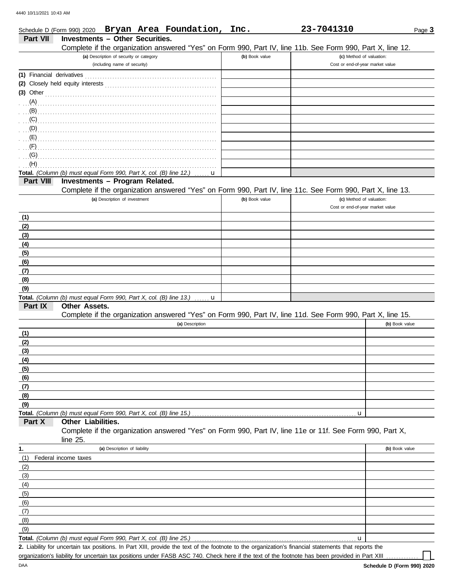|                           | Schedule D (Form 990) 2020 Bryan Area Foundation, Inc.                                                     |                               |  |                 |                | 23-7041310                       |                | Page 3 |
|---------------------------|------------------------------------------------------------------------------------------------------------|-------------------------------|--|-----------------|----------------|----------------------------------|----------------|--------|
| <b>Part VII</b>           | <b>Investments - Other Securities.</b>                                                                     |                               |  |                 |                |                                  |                |        |
|                           | Complete if the organization answered "Yes" on Form 990, Part IV, line 11b. See Form 990, Part X, line 12. |                               |  |                 |                |                                  |                |        |
|                           | (a) Description of security or category                                                                    |                               |  |                 | (b) Book value | (c) Method of valuation:         |                |        |
|                           |                                                                                                            | (including name of security)  |  |                 |                | Cost or end-of-year market value |                |        |
| (1) Financial derivatives |                                                                                                            |                               |  |                 |                |                                  |                |        |
|                           |                                                                                                            |                               |  |                 |                |                                  |                |        |
| $(3)$ Other               |                                                                                                            |                               |  |                 |                |                                  |                |        |
| (A)                       |                                                                                                            |                               |  |                 |                |                                  |                |        |
| (B)                       |                                                                                                            |                               |  |                 |                |                                  |                |        |
| (C)                       |                                                                                                            |                               |  |                 |                |                                  |                |        |
| (D)                       |                                                                                                            |                               |  |                 |                |                                  |                |        |
| (E)                       |                                                                                                            |                               |  |                 |                |                                  |                |        |
| (F)                       |                                                                                                            |                               |  |                 |                |                                  |                |        |
| (G)                       |                                                                                                            |                               |  |                 |                |                                  |                |        |
| (H)                       |                                                                                                            |                               |  |                 |                |                                  |                |        |
|                           | Total. (Column (b) must equal Form 990, Part X, col. (B) line 12.)                                         |                               |  | u               |                |                                  |                |        |
| Part VIII                 | Investments - Program Related.                                                                             |                               |  |                 |                |                                  |                |        |
|                           | Complete if the organization answered "Yes" on Form 990, Part IV, line 11c. See Form 990, Part X, line 13. |                               |  |                 |                |                                  |                |        |
|                           |                                                                                                            | (a) Description of investment |  |                 | (b) Book value | (c) Method of valuation:         |                |        |
|                           |                                                                                                            |                               |  |                 |                | Cost or end-of-year market value |                |        |
| (1)                       |                                                                                                            |                               |  |                 |                |                                  |                |        |
| (2)                       |                                                                                                            |                               |  |                 |                |                                  |                |        |
| (3)                       |                                                                                                            |                               |  |                 |                |                                  |                |        |
| (4)                       |                                                                                                            |                               |  |                 |                |                                  |                |        |
| (5)                       |                                                                                                            |                               |  |                 |                |                                  |                |        |
| (6)                       |                                                                                                            |                               |  |                 |                |                                  |                |        |
| (7)                       |                                                                                                            |                               |  |                 |                |                                  |                |        |
| (8)                       |                                                                                                            |                               |  |                 |                |                                  |                |        |
| (9)                       |                                                                                                            |                               |  |                 |                |                                  |                |        |
|                           | Total. (Column (b) must equal Form 990, Part X, col. (B) line 13.) $\ldots$ <b>u</b>                       |                               |  |                 |                |                                  |                |        |
| Part IX                   | Other Assets.                                                                                              |                               |  |                 |                |                                  |                |        |
|                           | Complete if the organization answered "Yes" on Form 990, Part IV, line 11d. See Form 990, Part X, line 15. |                               |  |                 |                |                                  |                |        |
|                           |                                                                                                            |                               |  | (a) Description |                |                                  | (b) Book value |        |
| (1)                       |                                                                                                            |                               |  |                 |                |                                  |                |        |
| (2)                       |                                                                                                            |                               |  |                 |                |                                  |                |        |
| (3)                       |                                                                                                            |                               |  |                 |                |                                  |                |        |
| (4)                       |                                                                                                            |                               |  |                 |                |                                  |                |        |
| (5)                       |                                                                                                            |                               |  |                 |                |                                  |                |        |
| (6)                       |                                                                                                            |                               |  |                 |                |                                  |                |        |
| (7)                       |                                                                                                            |                               |  |                 |                |                                  |                |        |
| (8)<br>(9)                |                                                                                                            |                               |  |                 |                |                                  |                |        |
|                           | Total. (Column (b) must equal Form 990, Part X, col. (B) line 15.).                                        |                               |  |                 |                | u                                |                |        |
| Part X                    | Other Liabilities.                                                                                         |                               |  |                 |                |                                  |                |        |
|                           | Complete if the organization answered "Yes" on Form 990, Part IV, line 11e or 11f. See Form 990, Part X,   |                               |  |                 |                |                                  |                |        |
|                           | line $25$ .                                                                                                |                               |  |                 |                |                                  |                |        |
| 1.                        |                                                                                                            | (a) Description of liability  |  |                 |                |                                  | (b) Book value |        |
| (1)                       | Federal income taxes                                                                                       |                               |  |                 |                |                                  |                |        |
| (2)                       |                                                                                                            |                               |  |                 |                |                                  |                |        |
| (3)                       |                                                                                                            |                               |  |                 |                |                                  |                |        |
| (4)                       |                                                                                                            |                               |  |                 |                |                                  |                |        |
| (5)                       |                                                                                                            |                               |  |                 |                |                                  |                |        |
| (6)                       |                                                                                                            |                               |  |                 |                |                                  |                |        |
| (7)                       |                                                                                                            |                               |  |                 |                |                                  |                |        |
| (8)                       |                                                                                                            |                               |  |                 |                |                                  |                |        |
| (9)                       |                                                                                                            |                               |  |                 |                |                                  |                |        |
|                           | Total. (Column (b) must equal Form 990, Part X, col. (B) line 25.)                                         |                               |  |                 |                | u                                |                |        |
|                           |                                                                                                            |                               |  |                 |                |                                  |                |        |

Liability for uncertain tax positions. In Part XIII, provide the text of the footnote to the organization's financial statements that reports the **2.** organization's liability for uncertain tax positions under FASB ASC 740. Check here if the text of the footnote has been provided in Part XIII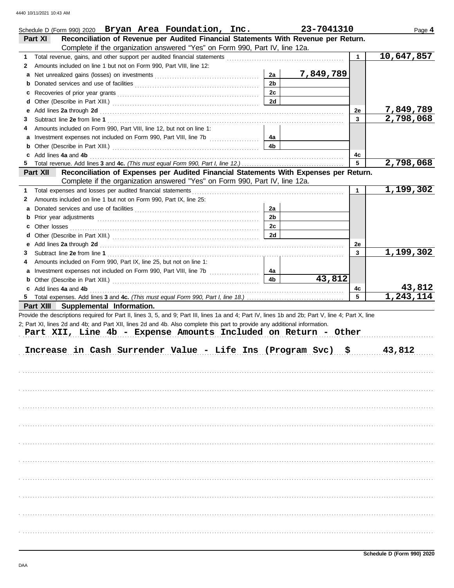|    | Schedule D (Form 990) 2020 Bryan Area Foundation, Inc.                                                                                                                                                                         |                | 23-7041310 |              | Page 4      |
|----|--------------------------------------------------------------------------------------------------------------------------------------------------------------------------------------------------------------------------------|----------------|------------|--------------|-------------|
|    | Reconciliation of Revenue per Audited Financial Statements With Revenue per Return.<br>Part XI                                                                                                                                 |                |            |              |             |
|    | Complete if the organization answered "Yes" on Form 990, Part IV, line 12a.                                                                                                                                                    |                |            |              |             |
| 1  |                                                                                                                                                                                                                                |                |            | $\mathbf{1}$ | 10,647,857  |
| 2  | Amounts included on line 1 but not on Form 990, Part VIII, line 12:                                                                                                                                                            |                |            |              |             |
| а  |                                                                                                                                                                                                                                | 2a             | 7,849,789  |              |             |
| b  |                                                                                                                                                                                                                                | 2 <sub>b</sub> |            |              |             |
| c  |                                                                                                                                                                                                                                | 2c             |            |              |             |
| d  |                                                                                                                                                                                                                                | 2d             |            |              |             |
| е  | Add lines 2a through 2d [11] March 2014 [12] March 2014 [12] March 2014 [12] March 2014 [12] March 2014 [12] March 2014 [12] March 2014 [12] March 2014 [12] March 2014 [12] March 2014 [12] March 2014 [12] March 2014 [12] M |                |            | 2e           | 7,849,789   |
| 3  |                                                                                                                                                                                                                                |                |            | $\mathbf{3}$ | 2,798,068   |
| 4  | Amounts included on Form 990, Part VIII, line 12, but not on line 1:                                                                                                                                                           |                |            |              |             |
|    |                                                                                                                                                                                                                                | 4a             |            |              |             |
| b  |                                                                                                                                                                                                                                | 4b             |            |              |             |
| c  | Add lines 4a and 4b                                                                                                                                                                                                            |                |            | 4с           |             |
| 5. |                                                                                                                                                                                                                                |                |            | 5            | 2,798,068   |
|    | Reconciliation of Expenses per Audited Financial Statements With Expenses per Return.<br>Part XII                                                                                                                              |                |            |              |             |
|    | Complete if the organization answered "Yes" on Form 990, Part IV, line 12a.                                                                                                                                                    |                |            |              |             |
| 1  | Total expenses and losses per audited financial statements                                                                                                                                                                     |                |            | $\mathbf{1}$ | 1,199,302   |
| 2  | Amounts included on line 1 but not on Form 990, Part IX, line 25:                                                                                                                                                              |                |            |              |             |
| a  |                                                                                                                                                                                                                                | 2a             |            |              |             |
| b  |                                                                                                                                                                                                                                | 2 <sub>b</sub> |            |              |             |
|    | <b>c</b> Other losses                                                                                                                                                                                                          | 2c             |            |              |             |
| d  |                                                                                                                                                                                                                                | 2d             |            |              |             |
| е  |                                                                                                                                                                                                                                |                |            | 2e           |             |
| 3  |                                                                                                                                                                                                                                |                |            | 3            | 1,199,302   |
| 4  | Amounts included on Form 990, Part IX, line 25, but not on line 1:                                                                                                                                                             |                |            |              |             |
|    |                                                                                                                                                                                                                                | 4a             |            |              |             |
| b  |                                                                                                                                                                                                                                | 4b             | 43,812     |              |             |
|    | c Add lines 4a and 4b                                                                                                                                                                                                          |                |            | 4с           | 43,812      |
|    |                                                                                                                                                                                                                                |                |            | 5            | 1, 243, 114 |
|    | Part XIII Supplemental Information.                                                                                                                                                                                            |                |            |              |             |
|    | Provide the descriptions required for Part II, lines 3, 5, and 9; Part III, lines 1a and 4; Part IV, lines 1b and 2b; Part V, line 4; Part X, line                                                                             |                |            |              |             |
|    | 2; Part XI, lines 2d and 4b; and Part XII, lines 2d and 4b. Also complete this part to provide any additional information.                                                                                                     |                |            |              |             |
|    | Part XII, Line 4b - Expense Amounts Included on Return - Other                                                                                                                                                                 |                |            |              |             |
|    |                                                                                                                                                                                                                                |                |            |              |             |
|    | Increase in Cash Surrender Value - Life Ins (Program Svc) \$                                                                                                                                                                   |                |            |              | 43,812      |
|    |                                                                                                                                                                                                                                |                |            |              |             |
|    |                                                                                                                                                                                                                                |                |            |              |             |
|    |                                                                                                                                                                                                                                |                |            |              |             |
|    |                                                                                                                                                                                                                                |                |            |              |             |
|    |                                                                                                                                                                                                                                |                |            |              |             |
|    |                                                                                                                                                                                                                                |                |            |              |             |
|    |                                                                                                                                                                                                                                |                |            |              |             |
|    |                                                                                                                                                                                                                                |                |            |              |             |
|    |                                                                                                                                                                                                                                |                |            |              |             |
|    |                                                                                                                                                                                                                                |                |            |              |             |
|    |                                                                                                                                                                                                                                |                |            |              |             |
|    |                                                                                                                                                                                                                                |                |            |              |             |
|    |                                                                                                                                                                                                                                |                |            |              |             |
|    |                                                                                                                                                                                                                                |                |            |              |             |
|    |                                                                                                                                                                                                                                |                |            |              |             |
|    |                                                                                                                                                                                                                                |                |            |              |             |
|    |                                                                                                                                                                                                                                |                |            |              |             |
|    |                                                                                                                                                                                                                                |                |            |              |             |
|    |                                                                                                                                                                                                                                |                |            |              |             |
|    |                                                                                                                                                                                                                                |                |            |              |             |
|    |                                                                                                                                                                                                                                |                |            |              |             |
|    |                                                                                                                                                                                                                                |                |            |              |             |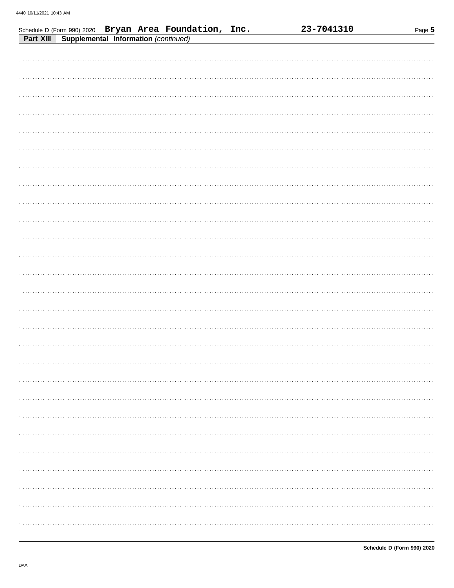|           |                                      | Schedule D (Form 990) 2020 Bryan Area Foundation, Inc. |  | 23-7041310 | Page 5 |
|-----------|--------------------------------------|--------------------------------------------------------|--|------------|--------|
| Part XIII | Supplemental Information (continued) |                                                        |  |            |        |
|           |                                      |                                                        |  |            |        |
|           |                                      |                                                        |  |            |        |
|           |                                      |                                                        |  |            |        |
|           |                                      |                                                        |  |            |        |
|           |                                      |                                                        |  |            |        |
|           |                                      |                                                        |  |            |        |
|           |                                      |                                                        |  |            |        |
|           |                                      |                                                        |  |            |        |
|           |                                      |                                                        |  |            |        |
|           |                                      |                                                        |  |            |        |
|           |                                      |                                                        |  |            |        |
|           |                                      |                                                        |  |            |        |
|           |                                      |                                                        |  |            |        |
|           |                                      |                                                        |  |            |        |
|           |                                      |                                                        |  |            |        |
|           |                                      |                                                        |  |            |        |
|           |                                      |                                                        |  |            |        |
|           |                                      |                                                        |  |            |        |
|           |                                      |                                                        |  |            |        |
|           |                                      |                                                        |  |            |        |
|           |                                      |                                                        |  |            |        |
|           |                                      |                                                        |  |            |        |
|           |                                      |                                                        |  |            |        |
|           |                                      |                                                        |  |            |        |
|           |                                      |                                                        |  |            |        |
|           |                                      |                                                        |  |            |        |
|           |                                      |                                                        |  |            |        |
|           |                                      |                                                        |  |            |        |
|           |                                      |                                                        |  |            |        |
|           |                                      |                                                        |  |            |        |
|           |                                      |                                                        |  |            |        |
|           |                                      |                                                        |  |            |        |
|           |                                      |                                                        |  |            |        |
|           |                                      |                                                        |  |            |        |
|           |                                      |                                                        |  |            |        |
|           |                                      |                                                        |  |            |        |
|           |                                      |                                                        |  |            |        |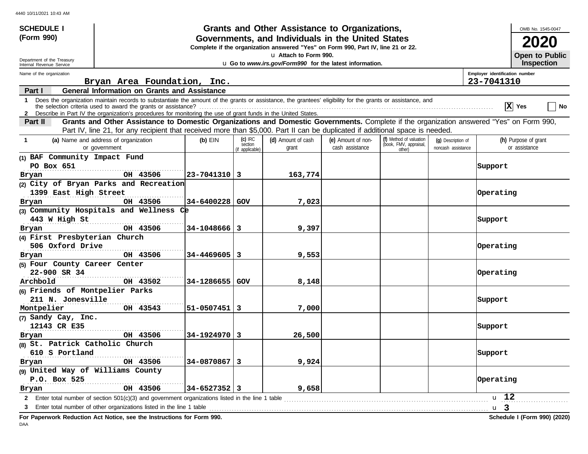| <b>SCHEDULE I</b>                                                                                                                                                                                                                                                                                                                                                                                                                                                                                                                                                                                                                                                                                                                                                                                                                                                                                                                                                                                                                                                                                                                                                                                                                                                                                                                                                                                                                                                                                                                                                                                                                                                                                                                                                                                                                                                                                                                                                                                                                                                                                                                                                                                                                                                                                                            |                                                                                                 |                  |       |  |                | OMB No. 1545-0047                     |
|------------------------------------------------------------------------------------------------------------------------------------------------------------------------------------------------------------------------------------------------------------------------------------------------------------------------------------------------------------------------------------------------------------------------------------------------------------------------------------------------------------------------------------------------------------------------------------------------------------------------------------------------------------------------------------------------------------------------------------------------------------------------------------------------------------------------------------------------------------------------------------------------------------------------------------------------------------------------------------------------------------------------------------------------------------------------------------------------------------------------------------------------------------------------------------------------------------------------------------------------------------------------------------------------------------------------------------------------------------------------------------------------------------------------------------------------------------------------------------------------------------------------------------------------------------------------------------------------------------------------------------------------------------------------------------------------------------------------------------------------------------------------------------------------------------------------------------------------------------------------------------------------------------------------------------------------------------------------------------------------------------------------------------------------------------------------------------------------------------------------------------------------------------------------------------------------------------------------------------------------------------------------------------------------------------------------------|-------------------------------------------------------------------------------------------------|------------------|-------|--|----------------|---------------------------------------|
| (Form 990)                                                                                                                                                                                                                                                                                                                                                                                                                                                                                                                                                                                                                                                                                                                                                                                                                                                                                                                                                                                                                                                                                                                                                                                                                                                                                                                                                                                                                                                                                                                                                                                                                                                                                                                                                                                                                                                                                                                                                                                                                                                                                                                                                                                                                                                                                                                   |                                                                                                 |                  |       |  |                | 2020                                  |
| Grants and Other Assistance to Organizations,<br>Governments, and Individuals in the United States<br>Complete if the organization answered "Yes" on Form 990, Part IV, line 21 or 22.<br>u Attach to Form 990.<br>Department of the Treasury<br>u Go to www.irs.gov/Form990 for the latest information.<br>Internal Revenue Service<br>Employer identification number<br>Name of the organization<br>Bryan Area Foundation, Inc.<br>23-7041310<br><b>General Information on Grants and Assistance</b><br>Part I<br>Does the organization maintain records to substantiate the amount of the grants or assistance, the grantees' eligibility for the grants or assistance, and<br>$\mathbf 1$<br>X Yes<br>2 Describe in Part IV the organization's procedures for monitoring the use of grant funds in the United States.<br>Grants and Other Assistance to Domestic Organizations and Domestic Governments. Complete if the organization answered "Yes" on Form 990,<br><b>Part II</b><br>Part IV, line 21, for any recipient that received more than \$5,000. Part II can be duplicated if additional space is needed.<br>$(c)$ IRC<br>(f) Method of valuation<br>(a) Name and address of organization<br>(d) Amount of cash<br>(e) Amount of non-<br>$(b)$ EIN<br>(q) Description of<br>$\mathbf 1$<br>(book, FMV, appraisal,<br>section<br>cash assistance<br>or government<br>grant<br>noncash assistance<br>(if applicable)<br>other)<br>(1) BAF Community Impact Fund<br>PO Box 651<br>Support<br>OH 43506<br> 23-7041310 3<br>163,774<br>Bryan<br>(2) City of Bryan Parks and Recreation<br>1399 East High Street<br>Operating<br>OH 43506<br>34-6400228 GOV<br>7,023<br>Bryan<br>(3) Community Hospitals and Wellness Ce<br>443 W High St<br>Support<br>OH 43506<br>$34 - 1048666$   3<br>9,397<br>Bryan<br>(4) First Presbyterian Church<br>506 Oxford Drive<br>Operating<br>OH 43506<br>$34 - 4469605$   3<br>9,553<br>Bryan<br>(5) Four County Career Center<br>22-900 SR 34<br>Operating<br>Archbold<br>OH 43502<br>34-1286655 GOV<br>8,148<br>(6) Friends of Montpelier Parks<br>211 N. Jonesville<br>Support<br>Montpelier<br>OH 43543<br>$51 - 0507451$   3<br>7,000<br>(7) Sandy Cay, Inc.<br>12143 CR E35<br>Support<br>OH 43506<br>$34 - 1924970$ 3<br>26,500<br>Bryan<br>(8) St. Patrick Catholic Church | <b>Open to Public</b>                                                                           |                  |       |  |                |                                       |
|                                                                                                                                                                                                                                                                                                                                                                                                                                                                                                                                                                                                                                                                                                                                                                                                                                                                                                                                                                                                                                                                                                                                                                                                                                                                                                                                                                                                                                                                                                                                                                                                                                                                                                                                                                                                                                                                                                                                                                                                                                                                                                                                                                                                                                                                                                                              |                                                                                                 |                  |       |  |                | <b>Inspection</b>                     |
|                                                                                                                                                                                                                                                                                                                                                                                                                                                                                                                                                                                                                                                                                                                                                                                                                                                                                                                                                                                                                                                                                                                                                                                                                                                                                                                                                                                                                                                                                                                                                                                                                                                                                                                                                                                                                                                                                                                                                                                                                                                                                                                                                                                                                                                                                                                              |                                                                                                 |                  |       |  |                |                                       |
|                                                                                                                                                                                                                                                                                                                                                                                                                                                                                                                                                                                                                                                                                                                                                                                                                                                                                                                                                                                                                                                                                                                                                                                                                                                                                                                                                                                                                                                                                                                                                                                                                                                                                                                                                                                                                                                                                                                                                                                                                                                                                                                                                                                                                                                                                                                              |                                                                                                 |                  |       |  |                |                                       |
|                                                                                                                                                                                                                                                                                                                                                                                                                                                                                                                                                                                                                                                                                                                                                                                                                                                                                                                                                                                                                                                                                                                                                                                                                                                                                                                                                                                                                                                                                                                                                                                                                                                                                                                                                                                                                                                                                                                                                                                                                                                                                                                                                                                                                                                                                                                              |                                                                                                 |                  |       |  |                | │ No                                  |
|                                                                                                                                                                                                                                                                                                                                                                                                                                                                                                                                                                                                                                                                                                                                                                                                                                                                                                                                                                                                                                                                                                                                                                                                                                                                                                                                                                                                                                                                                                                                                                                                                                                                                                                                                                                                                                                                                                                                                                                                                                                                                                                                                                                                                                                                                                                              |                                                                                                 |                  |       |  |                |                                       |
|                                                                                                                                                                                                                                                                                                                                                                                                                                                                                                                                                                                                                                                                                                                                                                                                                                                                                                                                                                                                                                                                                                                                                                                                                                                                                                                                                                                                                                                                                                                                                                                                                                                                                                                                                                                                                                                                                                                                                                                                                                                                                                                                                                                                                                                                                                                              |                                                                                                 |                  |       |  |                | (h) Purpose of grant<br>or assistance |
|                                                                                                                                                                                                                                                                                                                                                                                                                                                                                                                                                                                                                                                                                                                                                                                                                                                                                                                                                                                                                                                                                                                                                                                                                                                                                                                                                                                                                                                                                                                                                                                                                                                                                                                                                                                                                                                                                                                                                                                                                                                                                                                                                                                                                                                                                                                              |                                                                                                 |                  |       |  |                |                                       |
|                                                                                                                                                                                                                                                                                                                                                                                                                                                                                                                                                                                                                                                                                                                                                                                                                                                                                                                                                                                                                                                                                                                                                                                                                                                                                                                                                                                                                                                                                                                                                                                                                                                                                                                                                                                                                                                                                                                                                                                                                                                                                                                                                                                                                                                                                                                              |                                                                                                 |                  |       |  |                |                                       |
|                                                                                                                                                                                                                                                                                                                                                                                                                                                                                                                                                                                                                                                                                                                                                                                                                                                                                                                                                                                                                                                                                                                                                                                                                                                                                                                                                                                                                                                                                                                                                                                                                                                                                                                                                                                                                                                                                                                                                                                                                                                                                                                                                                                                                                                                                                                              |                                                                                                 |                  |       |  |                |                                       |
|                                                                                                                                                                                                                                                                                                                                                                                                                                                                                                                                                                                                                                                                                                                                                                                                                                                                                                                                                                                                                                                                                                                                                                                                                                                                                                                                                                                                                                                                                                                                                                                                                                                                                                                                                                                                                                                                                                                                                                                                                                                                                                                                                                                                                                                                                                                              |                                                                                                 |                  |       |  |                |                                       |
|                                                                                                                                                                                                                                                                                                                                                                                                                                                                                                                                                                                                                                                                                                                                                                                                                                                                                                                                                                                                                                                                                                                                                                                                                                                                                                                                                                                                                                                                                                                                                                                                                                                                                                                                                                                                                                                                                                                                                                                                                                                                                                                                                                                                                                                                                                                              |                                                                                                 |                  |       |  |                |                                       |
|                                                                                                                                                                                                                                                                                                                                                                                                                                                                                                                                                                                                                                                                                                                                                                                                                                                                                                                                                                                                                                                                                                                                                                                                                                                                                                                                                                                                                                                                                                                                                                                                                                                                                                                                                                                                                                                                                                                                                                                                                                                                                                                                                                                                                                                                                                                              |                                                                                                 |                  |       |  |                |                                       |
|                                                                                                                                                                                                                                                                                                                                                                                                                                                                                                                                                                                                                                                                                                                                                                                                                                                                                                                                                                                                                                                                                                                                                                                                                                                                                                                                                                                                                                                                                                                                                                                                                                                                                                                                                                                                                                                                                                                                                                                                                                                                                                                                                                                                                                                                                                                              |                                                                                                 |                  |       |  |                |                                       |
|                                                                                                                                                                                                                                                                                                                                                                                                                                                                                                                                                                                                                                                                                                                                                                                                                                                                                                                                                                                                                                                                                                                                                                                                                                                                                                                                                                                                                                                                                                                                                                                                                                                                                                                                                                                                                                                                                                                                                                                                                                                                                                                                                                                                                                                                                                                              |                                                                                                 |                  |       |  |                |                                       |
|                                                                                                                                                                                                                                                                                                                                                                                                                                                                                                                                                                                                                                                                                                                                                                                                                                                                                                                                                                                                                                                                                                                                                                                                                                                                                                                                                                                                                                                                                                                                                                                                                                                                                                                                                                                                                                                                                                                                                                                                                                                                                                                                                                                                                                                                                                                              |                                                                                                 |                  |       |  |                |                                       |
|                                                                                                                                                                                                                                                                                                                                                                                                                                                                                                                                                                                                                                                                                                                                                                                                                                                                                                                                                                                                                                                                                                                                                                                                                                                                                                                                                                                                                                                                                                                                                                                                                                                                                                                                                                                                                                                                                                                                                                                                                                                                                                                                                                                                                                                                                                                              |                                                                                                 |                  |       |  |                |                                       |
|                                                                                                                                                                                                                                                                                                                                                                                                                                                                                                                                                                                                                                                                                                                                                                                                                                                                                                                                                                                                                                                                                                                                                                                                                                                                                                                                                                                                                                                                                                                                                                                                                                                                                                                                                                                                                                                                                                                                                                                                                                                                                                                                                                                                                                                                                                                              |                                                                                                 |                  |       |  |                |                                       |
|                                                                                                                                                                                                                                                                                                                                                                                                                                                                                                                                                                                                                                                                                                                                                                                                                                                                                                                                                                                                                                                                                                                                                                                                                                                                                                                                                                                                                                                                                                                                                                                                                                                                                                                                                                                                                                                                                                                                                                                                                                                                                                                                                                                                                                                                                                                              |                                                                                                 |                  |       |  |                |                                       |
|                                                                                                                                                                                                                                                                                                                                                                                                                                                                                                                                                                                                                                                                                                                                                                                                                                                                                                                                                                                                                                                                                                                                                                                                                                                                                                                                                                                                                                                                                                                                                                                                                                                                                                                                                                                                                                                                                                                                                                                                                                                                                                                                                                                                                                                                                                                              |                                                                                                 |                  |       |  |                |                                       |
|                                                                                                                                                                                                                                                                                                                                                                                                                                                                                                                                                                                                                                                                                                                                                                                                                                                                                                                                                                                                                                                                                                                                                                                                                                                                                                                                                                                                                                                                                                                                                                                                                                                                                                                                                                                                                                                                                                                                                                                                                                                                                                                                                                                                                                                                                                                              |                                                                                                 |                  |       |  |                |                                       |
|                                                                                                                                                                                                                                                                                                                                                                                                                                                                                                                                                                                                                                                                                                                                                                                                                                                                                                                                                                                                                                                                                                                                                                                                                                                                                                                                                                                                                                                                                                                                                                                                                                                                                                                                                                                                                                                                                                                                                                                                                                                                                                                                                                                                                                                                                                                              |                                                                                                 |                  |       |  |                |                                       |
|                                                                                                                                                                                                                                                                                                                                                                                                                                                                                                                                                                                                                                                                                                                                                                                                                                                                                                                                                                                                                                                                                                                                                                                                                                                                                                                                                                                                                                                                                                                                                                                                                                                                                                                                                                                                                                                                                                                                                                                                                                                                                                                                                                                                                                                                                                                              |                                                                                                 |                  |       |  |                |                                       |
|                                                                                                                                                                                                                                                                                                                                                                                                                                                                                                                                                                                                                                                                                                                                                                                                                                                                                                                                                                                                                                                                                                                                                                                                                                                                                                                                                                                                                                                                                                                                                                                                                                                                                                                                                                                                                                                                                                                                                                                                                                                                                                                                                                                                                                                                                                                              |                                                                                                 |                  |       |  |                |                                       |
|                                                                                                                                                                                                                                                                                                                                                                                                                                                                                                                                                                                                                                                                                                                                                                                                                                                                                                                                                                                                                                                                                                                                                                                                                                                                                                                                                                                                                                                                                                                                                                                                                                                                                                                                                                                                                                                                                                                                                                                                                                                                                                                                                                                                                                                                                                                              |                                                                                                 |                  |       |  |                |                                       |
|                                                                                                                                                                                                                                                                                                                                                                                                                                                                                                                                                                                                                                                                                                                                                                                                                                                                                                                                                                                                                                                                                                                                                                                                                                                                                                                                                                                                                                                                                                                                                                                                                                                                                                                                                                                                                                                                                                                                                                                                                                                                                                                                                                                                                                                                                                                              |                                                                                                 |                  |       |  |                |                                       |
|                                                                                                                                                                                                                                                                                                                                                                                                                                                                                                                                                                                                                                                                                                                                                                                                                                                                                                                                                                                                                                                                                                                                                                                                                                                                                                                                                                                                                                                                                                                                                                                                                                                                                                                                                                                                                                                                                                                                                                                                                                                                                                                                                                                                                                                                                                                              |                                                                                                 |                  |       |  |                |                                       |
| 610 S Portland                                                                                                                                                                                                                                                                                                                                                                                                                                                                                                                                                                                                                                                                                                                                                                                                                                                                                                                                                                                                                                                                                                                                                                                                                                                                                                                                                                                                                                                                                                                                                                                                                                                                                                                                                                                                                                                                                                                                                                                                                                                                                                                                                                                                                                                                                                               |                                                                                                 |                  |       |  | Support        |                                       |
| Bryan                                                                                                                                                                                                                                                                                                                                                                                                                                                                                                                                                                                                                                                                                                                                                                                                                                                                                                                                                                                                                                                                                                                                                                                                                                                                                                                                                                                                                                                                                                                                                                                                                                                                                                                                                                                                                                                                                                                                                                                                                                                                                                                                                                                                                                                                                                                        | OH 43506                                                                                        | $34 - 0870867$ 3 | 9,924 |  |                |                                       |
| (9) United Way of Williams County                                                                                                                                                                                                                                                                                                                                                                                                                                                                                                                                                                                                                                                                                                                                                                                                                                                                                                                                                                                                                                                                                                                                                                                                                                                                                                                                                                                                                                                                                                                                                                                                                                                                                                                                                                                                                                                                                                                                                                                                                                                                                                                                                                                                                                                                                            |                                                                                                 |                  |       |  |                |                                       |
| P.O. Box 525                                                                                                                                                                                                                                                                                                                                                                                                                                                                                                                                                                                                                                                                                                                                                                                                                                                                                                                                                                                                                                                                                                                                                                                                                                                                                                                                                                                                                                                                                                                                                                                                                                                                                                                                                                                                                                                                                                                                                                                                                                                                                                                                                                                                                                                                                                                 | .                                                                                               |                  |       |  | Operating      |                                       |
| Bryan                                                                                                                                                                                                                                                                                                                                                                                                                                                                                                                                                                                                                                                                                                                                                                                                                                                                                                                                                                                                                                                                                                                                                                                                                                                                                                                                                                                                                                                                                                                                                                                                                                                                                                                                                                                                                                                                                                                                                                                                                                                                                                                                                                                                                                                                                                                        | OH 43506                                                                                        | $34 - 6527352$ 3 | 9,658 |  |                |                                       |
| $\mathbf{2}$                                                                                                                                                                                                                                                                                                                                                                                                                                                                                                                                                                                                                                                                                                                                                                                                                                                                                                                                                                                                                                                                                                                                                                                                                                                                                                                                                                                                                                                                                                                                                                                                                                                                                                                                                                                                                                                                                                                                                                                                                                                                                                                                                                                                                                                                                                                 | Enter total number of section 501(c)(3) and government organizations listed in the line 1 table |                  |       |  | u 12           |                                       |
|                                                                                                                                                                                                                                                                                                                                                                                                                                                                                                                                                                                                                                                                                                                                                                                                                                                                                                                                                                                                                                                                                                                                                                                                                                                                                                                                                                                                                                                                                                                                                                                                                                                                                                                                                                                                                                                                                                                                                                                                                                                                                                                                                                                                                                                                                                                              | Enter total number of other organizations listed in the line 1 table                            |                  |       |  | u <sub>3</sub> |                                       |

**For Paperwork Reduction Act Notice, see the Instructions for Form 990. Schedule I (Form 990) (2020)** DAA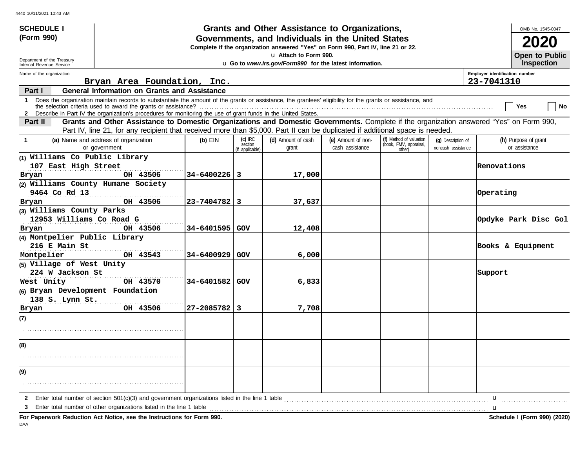| <b>SCHEDULE I</b>                                      |                                                                                                                                                                                                                                                                               |                    |                                         | Grants and Other Assistance to Organizations,                                                                                         |                                       |                                                             |                                          |                                | OMB No. 1545-0047                          |
|--------------------------------------------------------|-------------------------------------------------------------------------------------------------------------------------------------------------------------------------------------------------------------------------------------------------------------------------------|--------------------|-----------------------------------------|---------------------------------------------------------------------------------------------------------------------------------------|---------------------------------------|-------------------------------------------------------------|------------------------------------------|--------------------------------|--------------------------------------------|
| (Form 990)                                             |                                                                                                                                                                                                                                                                               |                    |                                         | Governments, and Individuals in the United States<br>Complete if the organization answered "Yes" on Form 990, Part IV, line 21 or 22. |                                       |                                                             |                                          |                                |                                            |
| Department of the Treasury<br>Internal Revenue Service |                                                                                                                                                                                                                                                                               |                    |                                         | u Attach to Form 990.<br>u Go to www.irs.gov/Form990 for the latest information.                                                      |                                       |                                                             |                                          |                                | <b>Open to Public</b><br><b>Inspection</b> |
| Name of the organization                               |                                                                                                                                                                                                                                                                               |                    |                                         |                                                                                                                                       |                                       |                                                             |                                          | Employer identification number |                                            |
|                                                        | Bryan Area Foundation, Inc.                                                                                                                                                                                                                                                   |                    |                                         |                                                                                                                                       |                                       |                                                             |                                          | 23-7041310                     |                                            |
| Part I                                                 | <b>General Information on Grants and Assistance</b>                                                                                                                                                                                                                           |                    |                                         |                                                                                                                                       |                                       |                                                             |                                          |                                |                                            |
| $\mathbf 1$                                            | Does the organization maintain records to substantiate the amount of the grants or assistance, the grantees' eligibility for the grants or assistance, and<br>2 Describe in Part IV the organization's procedures for monitoring the use of grant funds in the United States. |                    |                                         |                                                                                                                                       |                                       |                                                             |                                          |                                | No<br>Yes                                  |
| Part II                                                | Grants and Other Assistance to Domestic Organizations and Domestic Governments. Complete if the organization answered "Yes" on Form 990,                                                                                                                                      |                    |                                         |                                                                                                                                       |                                       |                                                             |                                          |                                |                                            |
|                                                        | Part IV, line 21, for any recipient that received more than \$5,000. Part II can be duplicated if additional space is needed.                                                                                                                                                 |                    |                                         |                                                                                                                                       |                                       |                                                             |                                          |                                |                                            |
| $\mathbf 1$                                            | (a) Name and address of organization<br>or government                                                                                                                                                                                                                         | $(b)$ EIN          | $(c)$ IRC<br>section<br>(if applicable) | (d) Amount of cash<br>grant                                                                                                           | (e) Amount of non-<br>cash assistance | (f) Method of valuation<br>(book, FMV, appraisal,<br>other) | (q) Description of<br>noncash assistance |                                | (h) Purpose of grant<br>or assistance      |
| (1) Williams Co Public Library                         |                                                                                                                                                                                                                                                                               |                    |                                         |                                                                                                                                       |                                       |                                                             |                                          |                                |                                            |
| 107 East High Street                                   |                                                                                                                                                                                                                                                                               |                    |                                         |                                                                                                                                       |                                       |                                                             |                                          | Renovations                    |                                            |
| Bryan                                                  | OH 43506                                                                                                                                                                                                                                                                      | $34 - 6400226$   3 |                                         | 17,000                                                                                                                                |                                       |                                                             |                                          |                                |                                            |
| (2) Williams County Humane Society                     |                                                                                                                                                                                                                                                                               |                    |                                         |                                                                                                                                       |                                       |                                                             |                                          |                                |                                            |
| 9464 Co Rd 13                                          |                                                                                                                                                                                                                                                                               |                    |                                         |                                                                                                                                       |                                       |                                                             |                                          | Operating                      |                                            |
| Bryan                                                  | OH 43506                                                                                                                                                                                                                                                                      | $23 - 7404782$ 3   |                                         | 37,637                                                                                                                                |                                       |                                                             |                                          |                                |                                            |
| (3) Williams County Parks                              |                                                                                                                                                                                                                                                                               |                    |                                         |                                                                                                                                       |                                       |                                                             |                                          |                                |                                            |
| 12953 Williams Co Road G                               |                                                                                                                                                                                                                                                                               |                    |                                         |                                                                                                                                       |                                       |                                                             |                                          |                                | Opdyke Park Disc Gol                       |
| Bryan                                                  | OH 43506                                                                                                                                                                                                                                                                      | 34-6401595 GOV     |                                         | 12,408                                                                                                                                |                                       |                                                             |                                          |                                |                                            |
| (4) Montpelier Public Library                          |                                                                                                                                                                                                                                                                               |                    |                                         |                                                                                                                                       |                                       |                                                             |                                          |                                |                                            |
| 216 E Main St<br>Montpelier                            | OH 43543                                                                                                                                                                                                                                                                      | 34-6400929 GOV     |                                         | 6,000                                                                                                                                 |                                       |                                                             |                                          |                                | Books & Equipment                          |
| (5) Village of West Unity                              |                                                                                                                                                                                                                                                                               |                    |                                         |                                                                                                                                       |                                       |                                                             |                                          |                                |                                            |
| 224 W Jackson St                                       |                                                                                                                                                                                                                                                                               |                    |                                         |                                                                                                                                       |                                       |                                                             |                                          | Support                        |                                            |
| West Unity                                             | OH 43570                                                                                                                                                                                                                                                                      | 34-6401582 GOV     |                                         | 6,833                                                                                                                                 |                                       |                                                             |                                          |                                |                                            |
| (6) Bryan Development Foundation                       |                                                                                                                                                                                                                                                                               |                    |                                         |                                                                                                                                       |                                       |                                                             |                                          |                                |                                            |
| 138 S. Lynn St.                                        |                                                                                                                                                                                                                                                                               |                    |                                         |                                                                                                                                       |                                       |                                                             |                                          |                                |                                            |
| Bryan                                                  | OH 43506                                                                                                                                                                                                                                                                      | 27-2085782   3     |                                         | 7,708                                                                                                                                 |                                       |                                                             |                                          |                                |                                            |
| (7)                                                    |                                                                                                                                                                                                                                                                               |                    |                                         |                                                                                                                                       |                                       |                                                             |                                          |                                |                                            |
|                                                        |                                                                                                                                                                                                                                                                               |                    |                                         |                                                                                                                                       |                                       |                                                             |                                          |                                |                                            |
| (8)                                                    |                                                                                                                                                                                                                                                                               |                    |                                         |                                                                                                                                       |                                       |                                                             |                                          |                                |                                            |
|                                                        |                                                                                                                                                                                                                                                                               |                    |                                         |                                                                                                                                       |                                       |                                                             |                                          |                                |                                            |
| (9)                                                    |                                                                                                                                                                                                                                                                               |                    |                                         |                                                                                                                                       |                                       |                                                             |                                          |                                |                                            |
|                                                        |                                                                                                                                                                                                                                                                               |                    |                                         |                                                                                                                                       |                                       |                                                             |                                          |                                |                                            |
|                                                        | Enter total number of section $501(c)(3)$ and government organizations listed in the line 1 table                                                                                                                                                                             |                    |                                         |                                                                                                                                       |                                       |                                                             |                                          | u                              |                                            |
|                                                        | Enter total number of other organizations listed in the line 1 table                                                                                                                                                                                                          |                    |                                         |                                                                                                                                       |                                       |                                                             |                                          | u                              |                                            |
|                                                        | For Paperwork Reduction Act Notice, see the Instructions for Form 990.                                                                                                                                                                                                        |                    |                                         |                                                                                                                                       |                                       |                                                             |                                          |                                | Schedule I (Form 990) (2020)               |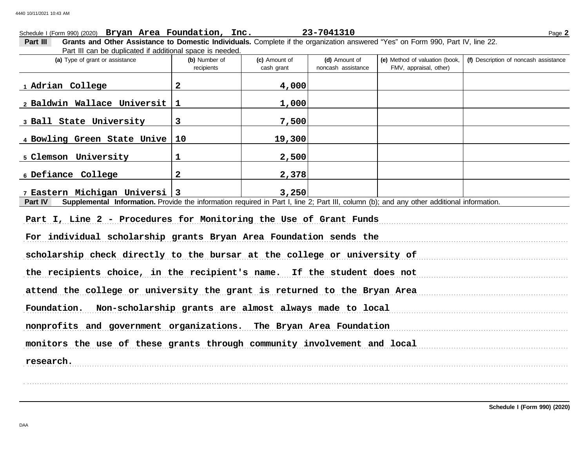# FMV, appraisal, other) **(d)** Amount of **(e)** Method of valuation (book, cash grant **(a)** Type of grant or assistance **(b)** Number of **(c)** Amount of **Part III Grants and Other Assistance to Domestic Individuals.** Complete if the organization answered "Yes" on Form 990, Part IV, line 22. Part III can be duplicated if additional space is needed. Schedule I (Form 990) (2020) Page **2 Bryan Area Foundation, Inc. 23-7041310** recipients and noncash assistance **(f)** Description of noncash assistance **Part IV** Supplemental Information. Provide the information required in Part I, line 2; Part III, column (b); and any other additional information. Part I, Line 2 - Procedures for Monitoring the Use of Grant Funds For individual scholarship grants Bryan Area Foundation sends the measurement control of the sense of the sense scholarship check directly to the bursar at the college or university of the recipients choice, in the recipient's name. If the student does not attend the college or university the grant is returned to the Bryan Area Foundation. Non-scholarship grants are almost always made to local measurements are not always and the state of **1 Adrian College 2 4,000 2 Baldwin Wallace Universit 1 1,000 3 Ball State University 3 7,500 4 Bowling Green State Unive 10 19,300 5 Clemson University 1 2,500 6 Defiance College 2 2,378 7 Eastern Michigan Universi 3 3,250** 4440 10/11/2021 10:43 AM

nonprofits and government organizations. The Bryan Area Foundation

. . . . . . . . . . . . . . . . . . . . . . . . . . . . . . . . . . . . . . . . . . . . . . . . . . . . . . . . . . . . . . . . . . . . . . . . . . . . . . . . . . . . . . . . . . . . . . . . . . . . . . . . . . . . . . . . . . . . . . . . . . . . . . . . . . . . . . . . . . . . . . . . . . . . . . . . . . . . . . . . . . . . . . . . . . . . . . . . . . . . . . . . . . . . . . . . . . . . . . . . . . . . . . . . . . . . . . . . . .

monitors the use of these grants through community involvement and local

. . . . . . . . . . . . . . . . . . . . . . . . . . . . . . . . . . . . . . . . . . . . . . . . . . . . . . . . . . . . . . . . . . . . . . . . . . . . . . . . . . . . . . . . . . . . . . . . . . . . . . . . . . . . . . . . . . . . . . . . . . . . . . . . . . . . . . . . . . . . . . . . . . . . . . . . . . . . . . . . . . . . . . . . . . . . . . . . . . . . . . . . . . . . . . . . . . . . . . . . . . . . . . . . . . . . . . . . . . **research.**

**Schedule I (Form 990) (2020)**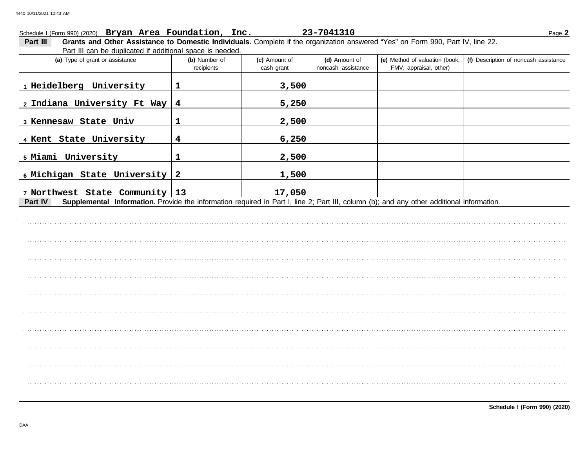### Schedule I (Form 990) (2020) Bryan Area Foundation, Inc. 23-7041310 Page 2

Grants and Other Assistance to Domestic Individuals. Complete if the organization answered "Yes" on Form 990, Part IV, line 22. Part III Part III can be duplicated if additional space is needed.

| (a) Type of grant or assistance                                                                                                                      | (b) Number of<br>recipients | (c) Amount of<br>cash grant | (d) Amount of<br>noncash assistance | (e) Method of valuation (book,<br>FMV, appraisal, other) | (f) Description of noncash assistance |
|------------------------------------------------------------------------------------------------------------------------------------------------------|-----------------------------|-----------------------------|-------------------------------------|----------------------------------------------------------|---------------------------------------|
| 1 Heidelberg University                                                                                                                              | $\mathbf 1$                 | 3,500                       |                                     |                                                          |                                       |
| 2 Indiana University Ft Way $4$                                                                                                                      |                             | 5,250                       |                                     |                                                          |                                       |
| 3 Kennesaw State Univ                                                                                                                                | $\mathbf 1$                 | 2,500                       |                                     |                                                          |                                       |
| 4 Kent State University                                                                                                                              | $\overline{\mathbf{4}}$     | 6,250                       |                                     |                                                          |                                       |
| 5 Miami University                                                                                                                                   | $\mathbf 1$                 | 2,500                       |                                     |                                                          |                                       |
| 6 Michigan State University 2                                                                                                                        |                             | 1,500                       |                                     |                                                          |                                       |
| 7 Northwest State Community 13                                                                                                                       |                             | 17,050                      |                                     |                                                          |                                       |
| Supplemental Information. Provide the information required in Part I, line 2; Part III, column (b); and any other additional information.<br>Part IV |                             |                             |                                     |                                                          |                                       |
|                                                                                                                                                      |                             |                             |                                     |                                                          |                                       |
|                                                                                                                                                      |                             |                             |                                     |                                                          |                                       |
|                                                                                                                                                      |                             |                             |                                     |                                                          |                                       |
|                                                                                                                                                      |                             |                             |                                     |                                                          |                                       |
|                                                                                                                                                      |                             |                             |                                     |                                                          |                                       |
|                                                                                                                                                      |                             |                             |                                     |                                                          |                                       |
|                                                                                                                                                      |                             |                             |                                     |                                                          |                                       |
|                                                                                                                                                      |                             |                             |                                     |                                                          |                                       |
|                                                                                                                                                      |                             |                             |                                     |                                                          |                                       |
|                                                                                                                                                      |                             |                             |                                     |                                                          |                                       |
|                                                                                                                                                      |                             |                             |                                     |                                                          |                                       |
|                                                                                                                                                      |                             |                             |                                     |                                                          |                                       |
|                                                                                                                                                      |                             |                             |                                     |                                                          |                                       |
|                                                                                                                                                      |                             |                             |                                     |                                                          |                                       |
|                                                                                                                                                      |                             |                             |                                     |                                                          |                                       |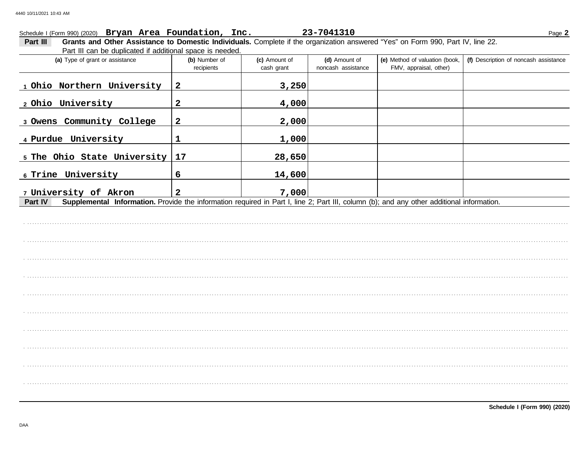### Schedule I (Form 990) (2020) Bryan Area Foundation, Inc. 23-7041310 Page 2

Grants and Other Assistance to Domestic Individuals. Complete if the organization answered "Yes" on Form 990, Part IV, line 22. Part III Part III can be duplicated if additional space is needed.

| (a) Type of grant or assistance                                                                                                                    | (b) Number of<br>recipients | (c) Amount of<br>cash grant | (d) Amount of<br>noncash assistance | (e) Method of valuation (book,<br>FMV, appraisal, other) | (f) Description of noncash assistance |
|----------------------------------------------------------------------------------------------------------------------------------------------------|-----------------------------|-----------------------------|-------------------------------------|----------------------------------------------------------|---------------------------------------|
| 1 Ohio Northern University                                                                                                                         | $\mathbf{2}$                | 3,250                       |                                     |                                                          |                                       |
| 2 Ohio University                                                                                                                                  | $\mathbf{2}$                | 4,000                       |                                     |                                                          |                                       |
| 3 Owens Community College                                                                                                                          | $\overline{\mathbf{2}}$     | 2,000                       |                                     |                                                          |                                       |
| 4 Purdue University                                                                                                                                | 1                           | 1,000                       |                                     |                                                          |                                       |
|                                                                                                                                                    |                             | 28,650                      |                                     |                                                          |                                       |
|                                                                                                                                                    | 6                           | 14,600                      |                                     |                                                          |                                       |
|                                                                                                                                                    | $\overline{2}$              |                             |                                     |                                                          |                                       |
| Part IV                                                                                                                                            |                             |                             |                                     |                                                          |                                       |
|                                                                                                                                                    |                             |                             |                                     |                                                          |                                       |
|                                                                                                                                                    |                             |                             |                                     |                                                          |                                       |
|                                                                                                                                                    |                             |                             |                                     |                                                          |                                       |
| 7,000<br>Supplemental Information. Provide the information required in Part I, line 2; Part III, column (b); and any other additional information. |                             |                             |                                     |                                                          |                                       |
|                                                                                                                                                    |                             |                             |                                     |                                                          |                                       |
|                                                                                                                                                    |                             |                             |                                     |                                                          |                                       |
| 5 The Ohio State University 17<br>6 Trine University<br>7 University of Akron                                                                      |                             |                             |                                     |                                                          |                                       |
|                                                                                                                                                    |                             |                             |                                     |                                                          |                                       |
|                                                                                                                                                    |                             |                             |                                     |                                                          |                                       |
|                                                                                                                                                    |                             |                             |                                     |                                                          |                                       |
|                                                                                                                                                    |                             |                             |                                     |                                                          |                                       |
|                                                                                                                                                    |                             |                             |                                     |                                                          |                                       |
|                                                                                                                                                    |                             |                             |                                     |                                                          |                                       |
|                                                                                                                                                    |                             |                             |                                     |                                                          |                                       |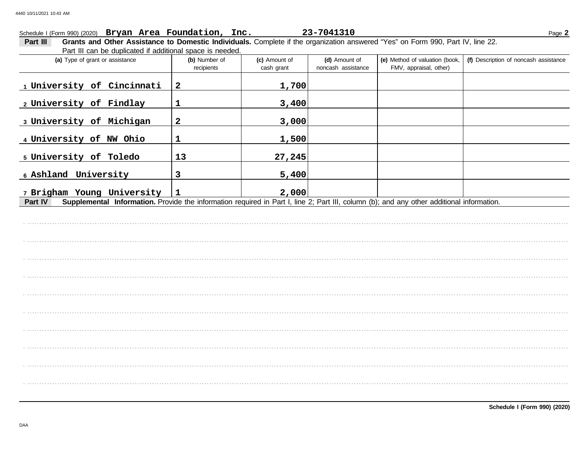| Schedule I (Form 990) (2020) Bryan Area Foundation, Inc.                                                                                             |                             |                             | 23-7041310                          |                                                          |                                       |
|------------------------------------------------------------------------------------------------------------------------------------------------------|-----------------------------|-----------------------------|-------------------------------------|----------------------------------------------------------|---------------------------------------|
| Grants and Other Assistance to Domestic Individuals. Complete if the organization answered "Yes" on Form 990, Part IV, line 22.<br><b>Part III</b>   |                             |                             |                                     |                                                          | Page 2                                |
| Part III can be duplicated if additional space is needed.                                                                                            |                             |                             |                                     |                                                          |                                       |
| (a) Type of grant or assistance                                                                                                                      | (b) Number of<br>recipients | (c) Amount of<br>cash grant | (d) Amount of<br>noncash assistance | (e) Method of valuation (book,<br>FMV, appraisal, other) | (f) Description of noncash assistance |
| 1 University of Cincinnati                                                                                                                           | $\mathbf{2}$                | 1,700                       |                                     |                                                          |                                       |
| 2 University of Findlay                                                                                                                              |                             | 3,400                       |                                     |                                                          |                                       |
| 3 University of Michigan                                                                                                                             | $\mathbf{2}$                | 3,000                       |                                     |                                                          |                                       |
| 4 University of NW Ohio                                                                                                                              |                             | 1,500                       |                                     |                                                          |                                       |
| 5 University of Toledo                                                                                                                               | 13                          | 27,245                      |                                     |                                                          |                                       |
| 6 Ashland University                                                                                                                                 | 3                           | 5,400                       |                                     |                                                          |                                       |
| 7 Brigham Young University                                                                                                                           |                             | 2,000                       |                                     |                                                          |                                       |
| Supplemental Information. Provide the information required in Part I, line 2; Part III, column (b); and any other additional information.<br>Part IV |                             |                             |                                     |                                                          |                                       |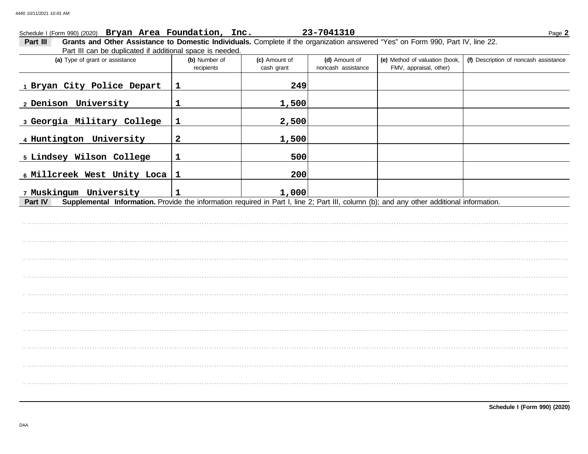|                                                                                                                                                                                                                                                                                                                                                                                                                                                                                                                                                                                                                                                                                                                                                                                       |                             |                             |                                     |                                                          | Page 2                                |
|---------------------------------------------------------------------------------------------------------------------------------------------------------------------------------------------------------------------------------------------------------------------------------------------------------------------------------------------------------------------------------------------------------------------------------------------------------------------------------------------------------------------------------------------------------------------------------------------------------------------------------------------------------------------------------------------------------------------------------------------------------------------------------------|-----------------------------|-----------------------------|-------------------------------------|----------------------------------------------------------|---------------------------------------|
| Part III                                                                                                                                                                                                                                                                                                                                                                                                                                                                                                                                                                                                                                                                                                                                                                              |                             |                             |                                     |                                                          |                                       |
| (a) Type of grant or assistance                                                                                                                                                                                                                                                                                                                                                                                                                                                                                                                                                                                                                                                                                                                                                       | (b) Number of<br>recipients | (c) Amount of<br>cash grant | (d) Amount of<br>noncash assistance | (e) Method of valuation (book,<br>FMV, appraisal, other) | (f) Description of noncash assistance |
| 23-7041310<br>Schedule I (Form 990) (2020) Bryan Area Foundation, Inc.<br>Grants and Other Assistance to Domestic Individuals. Complete if the organization answered "Yes" on Form 990, Part IV, line 22.<br>Part III can be duplicated if additional space is needed.<br>1 Bryan City Police Depart<br>$\mathbf{1}$<br>249<br>2 Denison University<br>$\mathbf{1}$<br>1,500<br>3 Georgia Military College<br>2,500<br>1<br>4 Huntington University<br>$\mathbf{2}$<br>1,500<br>5 Lindsey Wilson College<br>$\mathbf{1}$<br>500<br>6 Millcreek West Unity Loca<br>$\mathbf{1}$<br>200<br>7 Muskingum University<br>1,000<br>1<br>Supplemental Information. Provide the information required in Part I, line 2; Part III, column (b); and any other additional information.<br>Part IV |                             |                             |                                     |                                                          |                                       |
|                                                                                                                                                                                                                                                                                                                                                                                                                                                                                                                                                                                                                                                                                                                                                                                       |                             |                             |                                     |                                                          |                                       |
|                                                                                                                                                                                                                                                                                                                                                                                                                                                                                                                                                                                                                                                                                                                                                                                       |                             |                             |                                     |                                                          |                                       |
|                                                                                                                                                                                                                                                                                                                                                                                                                                                                                                                                                                                                                                                                                                                                                                                       |                             |                             |                                     |                                                          |                                       |
|                                                                                                                                                                                                                                                                                                                                                                                                                                                                                                                                                                                                                                                                                                                                                                                       |                             |                             |                                     |                                                          |                                       |
|                                                                                                                                                                                                                                                                                                                                                                                                                                                                                                                                                                                                                                                                                                                                                                                       |                             |                             |                                     |                                                          |                                       |
|                                                                                                                                                                                                                                                                                                                                                                                                                                                                                                                                                                                                                                                                                                                                                                                       |                             |                             |                                     |                                                          |                                       |
|                                                                                                                                                                                                                                                                                                                                                                                                                                                                                                                                                                                                                                                                                                                                                                                       |                             |                             |                                     |                                                          |                                       |
|                                                                                                                                                                                                                                                                                                                                                                                                                                                                                                                                                                                                                                                                                                                                                                                       |                             |                             |                                     |                                                          |                                       |
|                                                                                                                                                                                                                                                                                                                                                                                                                                                                                                                                                                                                                                                                                                                                                                                       |                             |                             |                                     |                                                          |                                       |
|                                                                                                                                                                                                                                                                                                                                                                                                                                                                                                                                                                                                                                                                                                                                                                                       |                             |                             |                                     |                                                          |                                       |
|                                                                                                                                                                                                                                                                                                                                                                                                                                                                                                                                                                                                                                                                                                                                                                                       |                             |                             |                                     |                                                          |                                       |
|                                                                                                                                                                                                                                                                                                                                                                                                                                                                                                                                                                                                                                                                                                                                                                                       |                             |                             |                                     |                                                          |                                       |
|                                                                                                                                                                                                                                                                                                                                                                                                                                                                                                                                                                                                                                                                                                                                                                                       |                             |                             |                                     |                                                          |                                       |
|                                                                                                                                                                                                                                                                                                                                                                                                                                                                                                                                                                                                                                                                                                                                                                                       |                             |                             |                                     |                                                          |                                       |
|                                                                                                                                                                                                                                                                                                                                                                                                                                                                                                                                                                                                                                                                                                                                                                                       |                             |                             |                                     |                                                          |                                       |
|                                                                                                                                                                                                                                                                                                                                                                                                                                                                                                                                                                                                                                                                                                                                                                                       |                             |                             |                                     |                                                          |                                       |
|                                                                                                                                                                                                                                                                                                                                                                                                                                                                                                                                                                                                                                                                                                                                                                                       |                             |                             |                                     |                                                          |                                       |
|                                                                                                                                                                                                                                                                                                                                                                                                                                                                                                                                                                                                                                                                                                                                                                                       |                             |                             |                                     |                                                          |                                       |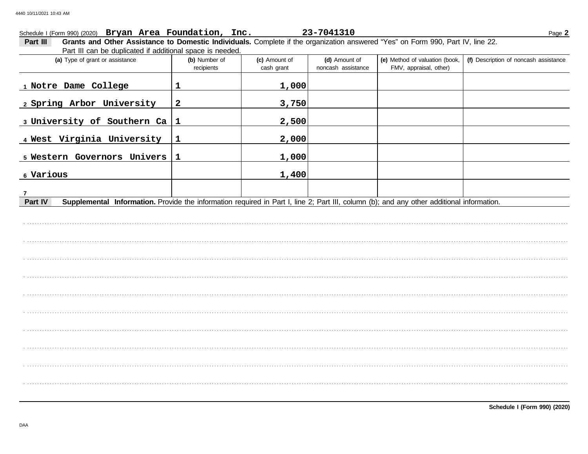|                                                                                                                                                                                                                                                                                                                                                                                                                                                                                                                 |                             |                             |                                     |                                                          | Page 2                                |
|-----------------------------------------------------------------------------------------------------------------------------------------------------------------------------------------------------------------------------------------------------------------------------------------------------------------------------------------------------------------------------------------------------------------------------------------------------------------------------------------------------------------|-----------------------------|-----------------------------|-------------------------------------|----------------------------------------------------------|---------------------------------------|
| Part III                                                                                                                                                                                                                                                                                                                                                                                                                                                                                                        |                             |                             |                                     |                                                          |                                       |
| (a) Type of grant or assistance                                                                                                                                                                                                                                                                                                                                                                                                                                                                                 | (b) Number of<br>recipients | (c) Amount of<br>cash grant | (d) Amount of<br>noncash assistance | (e) Method of valuation (book,<br>FMV, appraisal, other) | (f) Description of noncash assistance |
| 1 Notre Dame College                                                                                                                                                                                                                                                                                                                                                                                                                                                                                            | 1                           | 1,000                       |                                     |                                                          |                                       |
| 2 Spring Arbor University                                                                                                                                                                                                                                                                                                                                                                                                                                                                                       | $\mathbf{2}$                | 3,750                       |                                     |                                                          |                                       |
|                                                                                                                                                                                                                                                                                                                                                                                                                                                                                                                 |                             | 2,500                       |                                     |                                                          |                                       |
| 4 West Virginia University                                                                                                                                                                                                                                                                                                                                                                                                                                                                                      | $\mathbf{1}$                | 2,000                       |                                     |                                                          |                                       |
|                                                                                                                                                                                                                                                                                                                                                                                                                                                                                                                 | $\mathbf 1$                 | 1,000                       |                                     |                                                          |                                       |
|                                                                                                                                                                                                                                                                                                                                                                                                                                                                                                                 |                             | 1,400                       |                                     |                                                          |                                       |
|                                                                                                                                                                                                                                                                                                                                                                                                                                                                                                                 |                             |                             |                                     |                                                          |                                       |
| Schedule I (Form 990) (2020) Bryan Area Foundation, Inc.<br>23-7041310<br>Grants and Other Assistance to Domestic Individuals. Complete if the organization answered "Yes" on Form 990, Part IV, line 22.<br>Part III can be duplicated if additional space is needed.<br>3 University of Southern Ca $ 1 $<br>5 Western Governors Univers<br>6 Various<br>Part IV<br>Supplemental Information. Provide the information required in Part I, line 2; Part III, column (b); and any other additional information. |                             |                             |                                     |                                                          |                                       |
|                                                                                                                                                                                                                                                                                                                                                                                                                                                                                                                 |                             |                             |                                     |                                                          |                                       |
|                                                                                                                                                                                                                                                                                                                                                                                                                                                                                                                 |                             |                             |                                     |                                                          |                                       |
|                                                                                                                                                                                                                                                                                                                                                                                                                                                                                                                 |                             |                             |                                     |                                                          |                                       |
|                                                                                                                                                                                                                                                                                                                                                                                                                                                                                                                 |                             |                             |                                     |                                                          |                                       |
|                                                                                                                                                                                                                                                                                                                                                                                                                                                                                                                 |                             |                             |                                     |                                                          |                                       |
|                                                                                                                                                                                                                                                                                                                                                                                                                                                                                                                 |                             |                             |                                     |                                                          |                                       |
|                                                                                                                                                                                                                                                                                                                                                                                                                                                                                                                 |                             |                             |                                     |                                                          |                                       |
|                                                                                                                                                                                                                                                                                                                                                                                                                                                                                                                 |                             |                             |                                     |                                                          |                                       |
|                                                                                                                                                                                                                                                                                                                                                                                                                                                                                                                 |                             |                             |                                     |                                                          |                                       |
|                                                                                                                                                                                                                                                                                                                                                                                                                                                                                                                 |                             |                             |                                     |                                                          |                                       |
|                                                                                                                                                                                                                                                                                                                                                                                                                                                                                                                 |                             |                             |                                     |                                                          |                                       |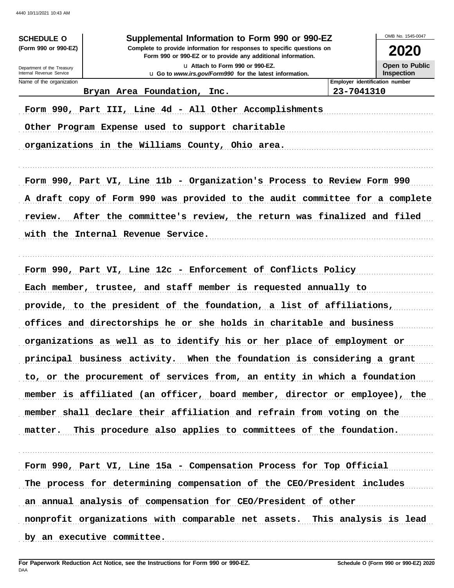| <b>SCHEDULE O</b><br>(Form 990 or 990-EZ)                                                                                                                                                                                                                                                                                                                                                                                                                                                                                                                                                                                                                                                                                                                                                                                                                                                                                                                                                                                                                                                                                                                                                                                                                                                                                                                                                                                                                                                                                                                                                                                                       | Supplemental Information to Form 990 or 990-EZ<br>Complete to provide information for responses to specific questions on | OMB No. 1545-0047<br><b>2020</b> |
|-------------------------------------------------------------------------------------------------------------------------------------------------------------------------------------------------------------------------------------------------------------------------------------------------------------------------------------------------------------------------------------------------------------------------------------------------------------------------------------------------------------------------------------------------------------------------------------------------------------------------------------------------------------------------------------------------------------------------------------------------------------------------------------------------------------------------------------------------------------------------------------------------------------------------------------------------------------------------------------------------------------------------------------------------------------------------------------------------------------------------------------------------------------------------------------------------------------------------------------------------------------------------------------------------------------------------------------------------------------------------------------------------------------------------------------------------------------------------------------------------------------------------------------------------------------------------------------------------------------------------------------------------|--------------------------------------------------------------------------------------------------------------------------|----------------------------------|
| Department of the Treasury                                                                                                                                                                                                                                                                                                                                                                                                                                                                                                                                                                                                                                                                                                                                                                                                                                                                                                                                                                                                                                                                                                                                                                                                                                                                                                                                                                                                                                                                                                                                                                                                                      | Form 990 or 990-EZ or to provide any additional information.<br>La Attach to Form 990 or 990-EZ.                         | Open to Public                   |
| Name of the organization                                                                                                                                                                                                                                                                                                                                                                                                                                                                                                                                                                                                                                                                                                                                                                                                                                                                                                                                                                                                                                                                                                                                                                                                                                                                                                                                                                                                                                                                                                                                                                                                                        |                                                                                                                          | Employer identification number   |
|                                                                                                                                                                                                                                                                                                                                                                                                                                                                                                                                                                                                                                                                                                                                                                                                                                                                                                                                                                                                                                                                                                                                                                                                                                                                                                                                                                                                                                                                                                                                                                                                                                                 |                                                                                                                          |                                  |
|                                                                                                                                                                                                                                                                                                                                                                                                                                                                                                                                                                                                                                                                                                                                                                                                                                                                                                                                                                                                                                                                                                                                                                                                                                                                                                                                                                                                                                                                                                                                                                                                                                                 |                                                                                                                          |                                  |
|                                                                                                                                                                                                                                                                                                                                                                                                                                                                                                                                                                                                                                                                                                                                                                                                                                                                                                                                                                                                                                                                                                                                                                                                                                                                                                                                                                                                                                                                                                                                                                                                                                                 |                                                                                                                          |                                  |
|                                                                                                                                                                                                                                                                                                                                                                                                                                                                                                                                                                                                                                                                                                                                                                                                                                                                                                                                                                                                                                                                                                                                                                                                                                                                                                                                                                                                                                                                                                                                                                                                                                                 |                                                                                                                          |                                  |
|                                                                                                                                                                                                                                                                                                                                                                                                                                                                                                                                                                                                                                                                                                                                                                                                                                                                                                                                                                                                                                                                                                                                                                                                                                                                                                                                                                                                                                                                                                                                                                                                                                                 |                                                                                                                          |                                  |
| review.                                                                                                                                                                                                                                                                                                                                                                                                                                                                                                                                                                                                                                                                                                                                                                                                                                                                                                                                                                                                                                                                                                                                                                                                                                                                                                                                                                                                                                                                                                                                                                                                                                         |                                                                                                                          |                                  |
| Internal Revenue Service<br><b>Inspection</b><br>u Go to www.irs.gov/Form990 for the latest information.<br>Bryan Area Foundation, Inc.<br>23-7041310<br>Form 990, Part III, Line 4d - All Other Accomplishments<br>Other Program Expense used to support charitable<br>organizations in the Williams County, Ohio area.<br>Form 990, Part VI, Line 11b - Organization's Process to Review Form 990<br>A draft copy of Form 990 was provided to the audit committee for a complete<br>After the committee's review, the return was finalized and filed<br>with the Internal Revenue Service.<br>Form 990, Part VI, Line 12c - Enforcement of Conflicts Policy<br>Each member, trustee, and staff member is requested annually to<br>provide, to the president of the foundation, a list of affiliations,<br>offices and directorships he or she holds in charitable and business<br>organizations as well as to identify his or her place of employment or<br>principal business activity. When the foundation is considering a grant<br>to, or the procurement of services from, an entity in which a foundation<br>member is affiliated (an officer, board member, director or employee), the<br>member shall declare their affiliation and refrain from voting on the<br>matter. This procedure also applies to committees of the foundation.<br>Form 990, Part VI, Line 15a - Compensation Process for Top Official<br>The process for determining compensation of the CEO/President includes<br>an annual analysis of compensation for CEO/President of other<br>nonprofit organizations with comparable net assets. This analysis is lead |                                                                                                                          |                                  |
|                                                                                                                                                                                                                                                                                                                                                                                                                                                                                                                                                                                                                                                                                                                                                                                                                                                                                                                                                                                                                                                                                                                                                                                                                                                                                                                                                                                                                                                                                                                                                                                                                                                 |                                                                                                                          |                                  |
|                                                                                                                                                                                                                                                                                                                                                                                                                                                                                                                                                                                                                                                                                                                                                                                                                                                                                                                                                                                                                                                                                                                                                                                                                                                                                                                                                                                                                                                                                                                                                                                                                                                 |                                                                                                                          |                                  |
|                                                                                                                                                                                                                                                                                                                                                                                                                                                                                                                                                                                                                                                                                                                                                                                                                                                                                                                                                                                                                                                                                                                                                                                                                                                                                                                                                                                                                                                                                                                                                                                                                                                 |                                                                                                                          |                                  |
|                                                                                                                                                                                                                                                                                                                                                                                                                                                                                                                                                                                                                                                                                                                                                                                                                                                                                                                                                                                                                                                                                                                                                                                                                                                                                                                                                                                                                                                                                                                                                                                                                                                 |                                                                                                                          |                                  |
|                                                                                                                                                                                                                                                                                                                                                                                                                                                                                                                                                                                                                                                                                                                                                                                                                                                                                                                                                                                                                                                                                                                                                                                                                                                                                                                                                                                                                                                                                                                                                                                                                                                 |                                                                                                                          |                                  |
|                                                                                                                                                                                                                                                                                                                                                                                                                                                                                                                                                                                                                                                                                                                                                                                                                                                                                                                                                                                                                                                                                                                                                                                                                                                                                                                                                                                                                                                                                                                                                                                                                                                 |                                                                                                                          |                                  |
|                                                                                                                                                                                                                                                                                                                                                                                                                                                                                                                                                                                                                                                                                                                                                                                                                                                                                                                                                                                                                                                                                                                                                                                                                                                                                                                                                                                                                                                                                                                                                                                                                                                 |                                                                                                                          |                                  |
|                                                                                                                                                                                                                                                                                                                                                                                                                                                                                                                                                                                                                                                                                                                                                                                                                                                                                                                                                                                                                                                                                                                                                                                                                                                                                                                                                                                                                                                                                                                                                                                                                                                 |                                                                                                                          |                                  |
|                                                                                                                                                                                                                                                                                                                                                                                                                                                                                                                                                                                                                                                                                                                                                                                                                                                                                                                                                                                                                                                                                                                                                                                                                                                                                                                                                                                                                                                                                                                                                                                                                                                 |                                                                                                                          |                                  |
|                                                                                                                                                                                                                                                                                                                                                                                                                                                                                                                                                                                                                                                                                                                                                                                                                                                                                                                                                                                                                                                                                                                                                                                                                                                                                                                                                                                                                                                                                                                                                                                                                                                 |                                                                                                                          |                                  |
|                                                                                                                                                                                                                                                                                                                                                                                                                                                                                                                                                                                                                                                                                                                                                                                                                                                                                                                                                                                                                                                                                                                                                                                                                                                                                                                                                                                                                                                                                                                                                                                                                                                 |                                                                                                                          |                                  |
|                                                                                                                                                                                                                                                                                                                                                                                                                                                                                                                                                                                                                                                                                                                                                                                                                                                                                                                                                                                                                                                                                                                                                                                                                                                                                                                                                                                                                                                                                                                                                                                                                                                 |                                                                                                                          |                                  |
|                                                                                                                                                                                                                                                                                                                                                                                                                                                                                                                                                                                                                                                                                                                                                                                                                                                                                                                                                                                                                                                                                                                                                                                                                                                                                                                                                                                                                                                                                                                                                                                                                                                 |                                                                                                                          |                                  |
|                                                                                                                                                                                                                                                                                                                                                                                                                                                                                                                                                                                                                                                                                                                                                                                                                                                                                                                                                                                                                                                                                                                                                                                                                                                                                                                                                                                                                                                                                                                                                                                                                                                 |                                                                                                                          |                                  |
|                                                                                                                                                                                                                                                                                                                                                                                                                                                                                                                                                                                                                                                                                                                                                                                                                                                                                                                                                                                                                                                                                                                                                                                                                                                                                                                                                                                                                                                                                                                                                                                                                                                 |                                                                                                                          |                                  |
|                                                                                                                                                                                                                                                                                                                                                                                                                                                                                                                                                                                                                                                                                                                                                                                                                                                                                                                                                                                                                                                                                                                                                                                                                                                                                                                                                                                                                                                                                                                                                                                                                                                 |                                                                                                                          |                                  |
|                                                                                                                                                                                                                                                                                                                                                                                                                                                                                                                                                                                                                                                                                                                                                                                                                                                                                                                                                                                                                                                                                                                                                                                                                                                                                                                                                                                                                                                                                                                                                                                                                                                 | by an executive committee.                                                                                               |                                  |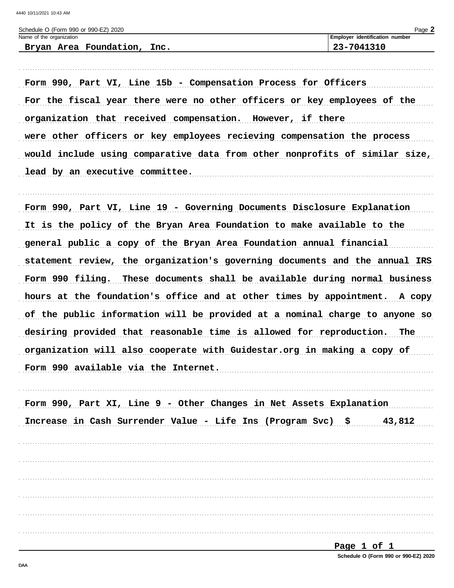| Schedule O (Form 990 or 990-EZ) 2020 |                                       | $P$ aqe $\blacktriangle$ |
|--------------------------------------|---------------------------------------|--------------------------|
| Name of the organization             | <b>Employer identification number</b> |                          |
| Bryan Area Foundation, Inc.          | 23-7041310                            |                          |

Form 990, Part VI, Line 15b - Compensation Process for Officers For the fiscal year there were no other officers or key employees of the organization that received compensation. However, if there were other officers or key employees recieving compensation the process would include using comparative data from other nonprofits of similar size, lead by an executive committee.

Form 990, Part VI, Line 19 - Governing Documents Disclosure Explanation It is the policy of the Bryan Area Foundation to make available to the general public a copy of the Bryan Area Foundation annual financial statement review, the organization's governing documents and the annual IRS Form 990 filing. These documents shall be available during normal business hours at the foundation's office and at other times by appointment. A copy of the public information will be provided at a nominal charge to anyone so desiring provided that reasonable time is allowed for reproduction. The organization will also cooperate with Guidestar.org in making a copy of Form 990 available via the Internet.

|  |  |  | Form 990, Part XI, Line 9 - Other Changes in Net Assets Explanation |        |
|--|--|--|---------------------------------------------------------------------|--------|
|  |  |  | Increase in Cash Surrender Value - Life Ins (Program Svc) \$        | 43,812 |
|  |  |  |                                                                     |        |
|  |  |  |                                                                     |        |
|  |  |  |                                                                     |        |
|  |  |  |                                                                     |        |
|  |  |  |                                                                     |        |
|  |  |  |                                                                     |        |
|  |  |  |                                                                     |        |

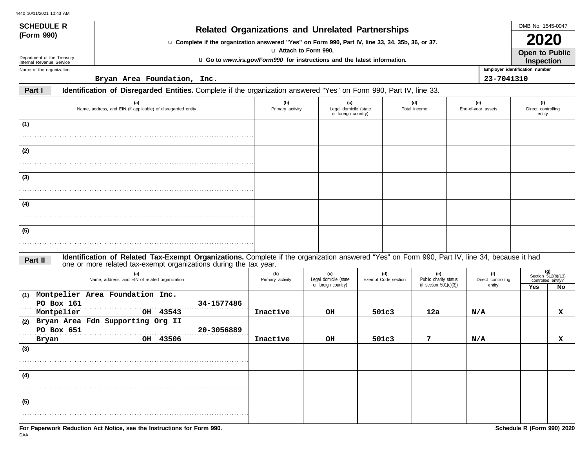| <b>SCHEDULE R</b>                                    | <b>Related Organizations and Unrelated Partnerships</b>                                                                                                                                                            |                         |                                                                          |                            |                                                           |                                     |                                | OMB No. 1545-0047                                       |  |  |
|------------------------------------------------------|--------------------------------------------------------------------------------------------------------------------------------------------------------------------------------------------------------------------|-------------------------|--------------------------------------------------------------------------|----------------------------|-----------------------------------------------------------|-------------------------------------|--------------------------------|---------------------------------------------------------|--|--|
| (Form 990)                                           | u Complete if the organization answered "Yes" on Form 990, Part IV, line 33, 34, 35b, 36, or 37.                                                                                                                   |                         |                                                                          |                            |                                                           |                                     |                                | <b>2020</b>                                             |  |  |
| Department of the Treasury                           |                                                                                                                                                                                                                    |                         | u Attach to Form 990.                                                    |                            |                                                           |                                     |                                | <b>Open to Public</b>                                   |  |  |
| Internal Revenue Service<br>Name of the organization |                                                                                                                                                                                                                    |                         | u Go to www.irs.gov/Form990 for instructions and the latest information. |                            |                                                           |                                     | Employer identification number | Inspection                                              |  |  |
|                                                      | Bryan Area Foundation, Inc.                                                                                                                                                                                        |                         |                                                                          |                            |                                                           |                                     | 23-7041310                     |                                                         |  |  |
| Part I                                               | Identification of Disregarded Entities. Complete if the organization answered "Yes" on Form 990, Part IV, line 33.                                                                                                 |                         |                                                                          |                            |                                                           |                                     |                                |                                                         |  |  |
|                                                      | (a)<br>Name, address, and EIN (if applicable) of disregarded entity                                                                                                                                                | (b)<br>Primary activity | (c)<br>Legal domicile (state<br>or foreign country)                      |                            | (d)<br>Total income                                       | (e)<br>End-of-year assets           |                                | (f)<br>Direct controlling<br>entity                     |  |  |
| (1)                                                  |                                                                                                                                                                                                                    |                         |                                                                          |                            |                                                           |                                     |                                |                                                         |  |  |
| (2)                                                  |                                                                                                                                                                                                                    |                         |                                                                          |                            |                                                           |                                     |                                |                                                         |  |  |
| (3)                                                  |                                                                                                                                                                                                                    |                         |                                                                          |                            |                                                           |                                     |                                |                                                         |  |  |
|                                                      |                                                                                                                                                                                                                    |                         |                                                                          |                            |                                                           |                                     |                                |                                                         |  |  |
| (4)                                                  |                                                                                                                                                                                                                    |                         |                                                                          |                            |                                                           |                                     |                                |                                                         |  |  |
| (5)                                                  |                                                                                                                                                                                                                    |                         |                                                                          |                            |                                                           |                                     |                                |                                                         |  |  |
|                                                      |                                                                                                                                                                                                                    |                         |                                                                          |                            |                                                           |                                     |                                |                                                         |  |  |
| Part II                                              | Identification of Related Tax-Exempt Organizations. Complete if the organization answered "Yes" on Form 990, Part IV, line 34, because it had<br>one or more related tax-exempt organizations during the tax year. |                         |                                                                          |                            |                                                           |                                     |                                |                                                         |  |  |
|                                                      | (a)<br>Name, address, and EIN of related organization                                                                                                                                                              | (b)<br>Primary activity | (c)<br>Legal domicile (state<br>or foreign country)                      | (d)<br>Exempt Code section | (e)<br>Public charity status<br>(if section $501(c)(3)$ ) | (f)<br>Direct controlling<br>entity | Yes                            | $(g)$<br>Section 512(b)(13)<br>controlled entity?<br>No |  |  |
| (1)<br>PO Box 161<br>Montpelier                      | Montpelier Area Foundation Inc.<br>34-1577486<br>OH 43543                                                                                                                                                          | Inactive                | OН                                                                       | 501c3                      | 12a                                                       | N/A                                 |                                | x                                                       |  |  |
| (2)<br>PO Box 651                                    | Bryan Area Fdn Supporting Org II<br>20-3056889                                                                                                                                                                     |                         |                                                                          |                            |                                                           |                                     |                                |                                                         |  |  |
| Bryan<br>(3)                                         | OH 43506                                                                                                                                                                                                           | Inactive                | OH                                                                       | 501c3                      | 7                                                         | N/A                                 |                                | x                                                       |  |  |
|                                                      |                                                                                                                                                                                                                    |                         |                                                                          |                            |                                                           |                                     |                                |                                                         |  |  |
| (4)                                                  |                                                                                                                                                                                                                    |                         |                                                                          |                            |                                                           |                                     |                                |                                                         |  |  |

. . . . . . . . . . . . . . . . . . . . . . . . . . . . . . . . . . . . . . . . . . . . . . . . . . . . . . . . . . . . . . . . . . . . . . . . . . . . . . . . . . . . . . . . . . . .

**(5)**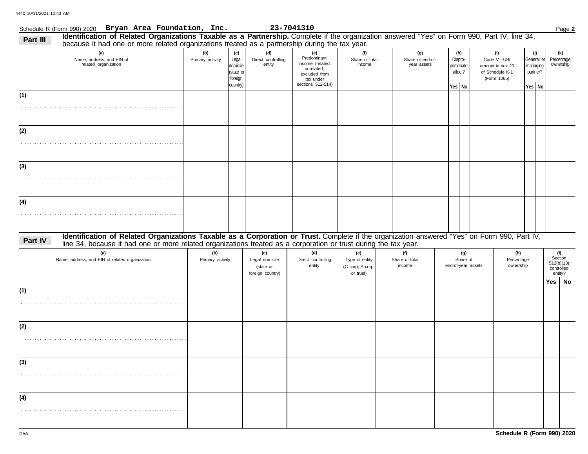### Schedule R (Form 990) 2020 Page **2 Bryan Area Foundation, Inc. 23-7041310 (a) (b) (c) (d) (e) (f)** . . . . . . . . . . . . . . . . . . . . . . . . . . . . . . . . . . . . . . . . . . . . . . . . . . . . . . . . . . . . . . . . . Name, address, and EIN of **Primary activity** Legal domicile (state o foreign country) Direct controlling entity Predominant income (related, unrelated, Share of total portionate alloc.? General or managing partner? **Yes No Yes No (g) (h)** . Share of end-ofyear assets Dispro-**Part III Identification of Related Organizations Taxable as a Partnership.** Complete if the organization answered "Yes" on Form 990, Part IV, line 34, **(i)** of Schedule K-1 Code V—UBI **(j)** . . . . . . . . . . . . . . . . . . . . . . . . . . . . . . . . . . . . . . . . . . . . . . . . . . . . . . . . . . . . . . . . . . . . . . . . . . . . . . . . . . . . . . . . . . . . . . . . . . . . . . . . . . . . . . . . . . . . . . . . . . . . . . . . . . . . . . . . . . . . . . . . . . . . . . . . . . . . . . . . . . . . . . . . . . . . . . . . . . . . . . . . . . . . . . . . . . . . . . . . . . . . . . . . . . . . . . . . . . . . . . . . . . . . . . . . . . . . . . . . . . . . . . . . . . . . . . . . . . . . . . . . . . . . . . . . . . . . . . . . . . . . . . . . . . . . . . . . . . . . . . . . . . . . . . . . . . . . . . . . . . . . . . . . . . . . . . . . . . . . . . . . . . . . . . . . . . . . . . . . . . . . . . . . . . . . . . . . . . . . . . . . . . . . . . . . . **Identification of Related Organizations Taxable as a Corporation or Trust.** Complete if the organization answered "Yes" on Form 990, Part IV, Part IV, **(a) (b) (c) (d) (e) (f) (g) (h)** Name, address, and EIN of related organization **Primary activity** Legal domicile (state or foreign country) Direct controlling entity Type of entity (C corp, S corp, or trust) Share of total Share of end-of-year assets Percentage ownership amount in box 20 (Form 1065) because it had one or more related organizations treated as a partnership during the tax year. excluded from tax under sections 512-514) line 34, because it had one or more related organizations treated as a corporation or trust during the tax year. **(4) (3) (2) (1) (1) (2) (3)** ownership Percentage **(k)** income income related organization 512(b)(13) Section **(i)** entity? **Yes No** controlled

**(4)**

. . . . . . . . . . . . . . . . . . . . . . . . . . . . . . . . . . . . . . . . . . . . . . . . . . . . . . . . . . . . . . . . . .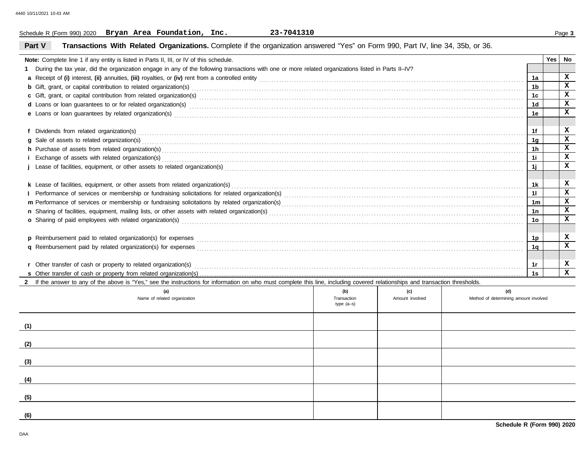### Schedule R (Form 990) 2020 Page **3 Bryan Area Foundation, Inc. 23-7041310**

## **Part V Transactions With Related Organizations.** Complete if the organization answered "Yes" on Form 990, Part IV, line 34, 35b, or 36.

| Note: Complete line 1 if any entity is listed in Parts II, III, or IV of this schedule.                                                                                                                                              |                             |                 |                                       |                | <b>Yes</b> | No           |
|--------------------------------------------------------------------------------------------------------------------------------------------------------------------------------------------------------------------------------------|-----------------------------|-----------------|---------------------------------------|----------------|------------|--------------|
| During the tax year, did the organization engage in any of the following transactions with one or more related organizations listed in Parts II-IV?                                                                                  |                             |                 |                                       |                |            |              |
|                                                                                                                                                                                                                                      |                             |                 |                                       | 1a             |            | $\mathbf{x}$ |
|                                                                                                                                                                                                                                      |                             |                 |                                       |                |            | $\mathbf{x}$ |
|                                                                                                                                                                                                                                      |                             |                 |                                       | 1с.            |            | $\mathbf x$  |
| d Loans or loan guarantees to or for related organization(s) encourance contained and contained and contained and contained and contained and contained and contained and contained and contained and contained and contained        |                             |                 |                                       | 1 <sub>d</sub> |            | $\mathbf x$  |
|                                                                                                                                                                                                                                      |                             |                 |                                       | 1е             |            | $\mathbf x$  |
|                                                                                                                                                                                                                                      |                             |                 |                                       |                |            |              |
|                                                                                                                                                                                                                                      |                             |                 |                                       | 1f             |            | x            |
|                                                                                                                                                                                                                                      |                             |                 |                                       | 1g             |            | $\mathbf x$  |
| h Purchase of assets from related organization(s) encourance contains and contains a container and container and container and container and container and container and container and container and container and container a<br>1h |                             |                 |                                       |                |            |              |
|                                                                                                                                                                                                                                      |                             |                 |                                       | 1i             |            | $\mathbf{x}$ |
|                                                                                                                                                                                                                                      |                             |                 |                                       | 1j             |            | $\mathbf{x}$ |
|                                                                                                                                                                                                                                      |                             |                 |                                       |                |            |              |
|                                                                                                                                                                                                                                      |                             |                 |                                       | 1k             |            | x            |
|                                                                                                                                                                                                                                      |                             |                 |                                       | 11             |            | $\mathbf{x}$ |
|                                                                                                                                                                                                                                      |                             |                 |                                       | 1m             |            | $\mathbf{x}$ |
|                                                                                                                                                                                                                                      |                             |                 |                                       | 1n             |            | $\mathbf x$  |
| o Sharing of paid employees with related organization(s) encourance contains an accommodal contained and starting of paid employees with related organization(s) encourance and contained and contained and starting of Dania        |                             |                 |                                       | 10             |            | $\mathbf{x}$ |
|                                                                                                                                                                                                                                      |                             |                 |                                       |                |            |              |
|                                                                                                                                                                                                                                      |                             |                 |                                       | 1p             |            | x            |
|                                                                                                                                                                                                                                      |                             |                 |                                       | 1a             |            | $\mathbf x$  |
|                                                                                                                                                                                                                                      |                             |                 |                                       |                |            |              |
|                                                                                                                                                                                                                                      |                             |                 |                                       | 1r             |            | x            |
|                                                                                                                                                                                                                                      |                             |                 |                                       |                |            | $\mathbf{x}$ |
| 2 If the answer to any of the above is "Yes," see the instructions for information on who must complete this line, including covered relationships and transaction thresholds.                                                       |                             |                 |                                       |                |            |              |
| (a)                                                                                                                                                                                                                                  | (b)                         | (c)             | (d)                                   |                |            |              |
| Name of related organization                                                                                                                                                                                                         | Transaction<br>type $(a-s)$ | Amount involved | Method of determining amount involved |                |            |              |
|                                                                                                                                                                                                                                      |                             |                 |                                       |                |            |              |
|                                                                                                                                                                                                                                      |                             |                 |                                       |                |            |              |
| (1)                                                                                                                                                                                                                                  |                             |                 |                                       |                |            |              |

**(2)**

**(3)**

**(4)**

**(5)**

**(6)**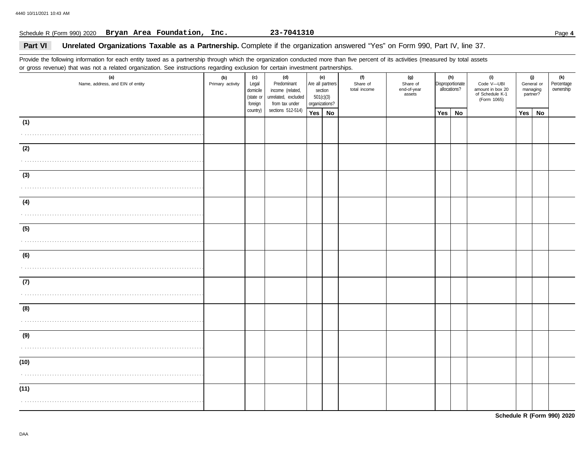### Schedule R (Form 990) 2020 Page **4 Bryan Area Foundation, Inc. 23-7041310**

### Part VI Unrelated Organizations Taxable as a Partnership. Complete if the organization answered "Yes" on Form 990, Part IV, line 37.

Provide the following information for each entity taxed as a partnership through which the organization conducted more than five percent of its activities (measured by total assets or gross revenue) that was not a related organization. See instructions regarding exclusion for certain investment partnerships.

| $5 - 1 - 1 - 1 - 1 = 1 - 1 - 1 = 1 - 1$<br>(a)<br>Name, address, and EIN of entity | (b)<br>Primary activity | (c)<br>Legal<br>domicile<br>(state or<br>foreign | (d)<br>Predominant<br>income (related,<br>unrelated, excluded<br>from tax under | Are all partners<br>section<br>501(c)(3)<br>organizations? | <u></u> .<br>(e) | (f)<br>Share of<br>total income | (g)<br>Share of<br>end-of-year<br>assets | (h)<br>Disproportionate<br>allocations? |    | (i)<br>Code V-UBI<br>amount in box 20<br>of Schedule K-1<br>(Form 1065) | (j)<br>General or<br>managing<br>partner? |    | (k)<br>Percentage<br>ownership |
|------------------------------------------------------------------------------------|-------------------------|--------------------------------------------------|---------------------------------------------------------------------------------|------------------------------------------------------------|------------------|---------------------------------|------------------------------------------|-----------------------------------------|----|-------------------------------------------------------------------------|-------------------------------------------|----|--------------------------------|
|                                                                                    |                         | country)                                         | sections 512-514)                                                               | Yes   No                                                   |                  |                                 |                                          | Yes                                     | No |                                                                         | Yes                                       | No |                                |
| (1)                                                                                |                         |                                                  |                                                                                 |                                                            |                  |                                 |                                          |                                         |    |                                                                         |                                           |    |                                |
|                                                                                    |                         |                                                  |                                                                                 |                                                            |                  |                                 |                                          |                                         |    |                                                                         |                                           |    |                                |
| (2)                                                                                |                         |                                                  |                                                                                 |                                                            |                  |                                 |                                          |                                         |    |                                                                         |                                           |    |                                |
|                                                                                    |                         |                                                  |                                                                                 |                                                            |                  |                                 |                                          |                                         |    |                                                                         |                                           |    |                                |
| (3)                                                                                |                         |                                                  |                                                                                 |                                                            |                  |                                 |                                          |                                         |    |                                                                         |                                           |    |                                |
|                                                                                    |                         |                                                  |                                                                                 |                                                            |                  |                                 |                                          |                                         |    |                                                                         |                                           |    |                                |
| (4)                                                                                |                         |                                                  |                                                                                 |                                                            |                  |                                 |                                          |                                         |    |                                                                         |                                           |    |                                |
|                                                                                    |                         |                                                  |                                                                                 |                                                            |                  |                                 |                                          |                                         |    |                                                                         |                                           |    |                                |
| (5)                                                                                |                         |                                                  |                                                                                 |                                                            |                  |                                 |                                          |                                         |    |                                                                         |                                           |    |                                |
|                                                                                    |                         |                                                  |                                                                                 |                                                            |                  |                                 |                                          |                                         |    |                                                                         |                                           |    |                                |
| (6)                                                                                |                         |                                                  |                                                                                 |                                                            |                  |                                 |                                          |                                         |    |                                                                         |                                           |    |                                |
|                                                                                    |                         |                                                  |                                                                                 |                                                            |                  |                                 |                                          |                                         |    |                                                                         |                                           |    |                                |
| (7)                                                                                |                         |                                                  |                                                                                 |                                                            |                  |                                 |                                          |                                         |    |                                                                         |                                           |    |                                |
|                                                                                    |                         |                                                  |                                                                                 |                                                            |                  |                                 |                                          |                                         |    |                                                                         |                                           |    |                                |
| (8)                                                                                |                         |                                                  |                                                                                 |                                                            |                  |                                 |                                          |                                         |    |                                                                         |                                           |    |                                |
|                                                                                    |                         |                                                  |                                                                                 |                                                            |                  |                                 |                                          |                                         |    |                                                                         |                                           |    |                                |
| (9)                                                                                |                         |                                                  |                                                                                 |                                                            |                  |                                 |                                          |                                         |    |                                                                         |                                           |    |                                |
|                                                                                    |                         |                                                  |                                                                                 |                                                            |                  |                                 |                                          |                                         |    |                                                                         |                                           |    |                                |
| (10)                                                                               |                         |                                                  |                                                                                 |                                                            |                  |                                 |                                          |                                         |    |                                                                         |                                           |    |                                |
|                                                                                    |                         |                                                  |                                                                                 |                                                            |                  |                                 |                                          |                                         |    |                                                                         |                                           |    |                                |
| (11)                                                                               |                         |                                                  |                                                                                 |                                                            |                  |                                 |                                          |                                         |    |                                                                         |                                           |    |                                |
|                                                                                    |                         |                                                  |                                                                                 |                                                            |                  |                                 |                                          |                                         |    |                                                                         |                                           |    |                                |

**Schedule R (Form 990) 2020**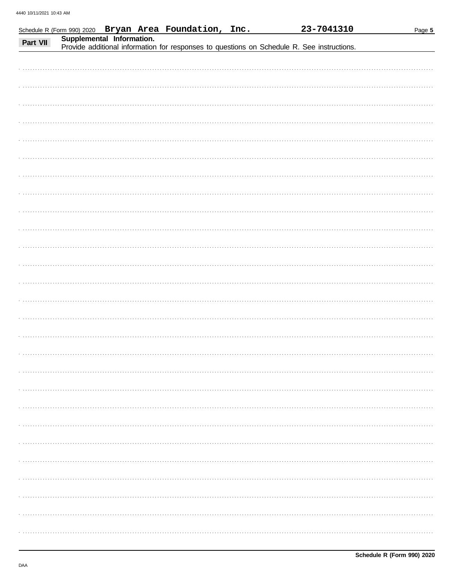|          |                           | Schedule R (Form 990) 2020 Bryan Area Foundation, Inc. | 23-7041310                                                                                 | Page 5 |
|----------|---------------------------|--------------------------------------------------------|--------------------------------------------------------------------------------------------|--------|
| Part VII | Supplemental Information. |                                                        | Provide additional information for responses to questions on Schedule R. See instructions. |        |
|          |                           |                                                        |                                                                                            |        |
|          |                           |                                                        |                                                                                            |        |
|          |                           |                                                        |                                                                                            |        |
|          |                           |                                                        |                                                                                            |        |
|          |                           |                                                        |                                                                                            |        |
|          |                           |                                                        |                                                                                            |        |
|          |                           |                                                        |                                                                                            |        |
|          |                           |                                                        |                                                                                            |        |
|          |                           |                                                        |                                                                                            |        |
|          |                           |                                                        |                                                                                            |        |
|          |                           |                                                        |                                                                                            |        |
|          |                           |                                                        |                                                                                            |        |
|          |                           |                                                        |                                                                                            |        |
|          |                           |                                                        |                                                                                            |        |
|          |                           |                                                        |                                                                                            |        |
|          |                           |                                                        |                                                                                            |        |
|          |                           |                                                        |                                                                                            |        |
|          |                           |                                                        |                                                                                            |        |
|          |                           |                                                        |                                                                                            |        |
|          |                           |                                                        |                                                                                            |        |
|          |                           |                                                        |                                                                                            |        |
|          |                           |                                                        |                                                                                            |        |
|          |                           |                                                        |                                                                                            |        |
|          |                           |                                                        |                                                                                            |        |
|          |                           |                                                        |                                                                                            |        |
|          |                           |                                                        |                                                                                            |        |
|          |                           |                                                        |                                                                                            |        |
|          |                           |                                                        |                                                                                            |        |
|          |                           |                                                        |                                                                                            |        |
|          |                           |                                                        |                                                                                            |        |
|          |                           |                                                        |                                                                                            |        |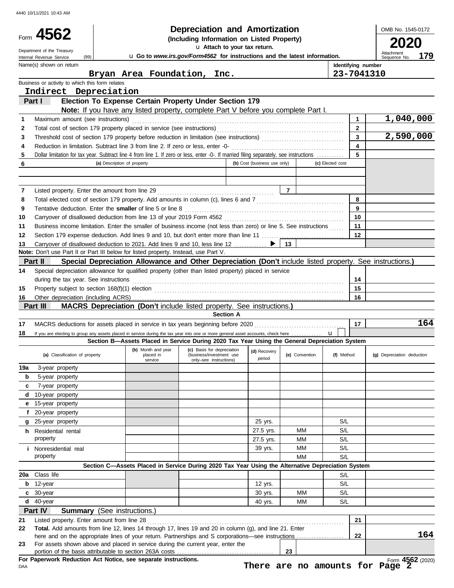|          | 4562                                                                                                                                                                   |                                                                                                          | Depreciation and Amortization                                                          |                              |                |                  |                                | OMB No. 1545-0172                 |
|----------|------------------------------------------------------------------------------------------------------------------------------------------------------------------------|----------------------------------------------------------------------------------------------------------|----------------------------------------------------------------------------------------|------------------------------|----------------|------------------|--------------------------------|-----------------------------------|
|          |                                                                                                                                                                        |                                                                                                          | (Including Information on Listed Property)<br>u Attach to your tax return.             |                              |                |                  |                                | 2020                              |
|          | Department of the Treasury<br>(99)<br>Internal Revenue Service                                                                                                         |                                                                                                          | u Go to www.irs.gov/Form4562 for instructions and the latest information.              |                              |                |                  |                                | Attachment<br>179<br>Sequence No. |
|          | Name(s) shown on return                                                                                                                                                |                                                                                                          |                                                                                        |                              |                |                  | Identifying number             |                                   |
|          |                                                                                                                                                                        | Bryan Area Foundation, Inc.                                                                              |                                                                                        |                              |                |                  | 23-7041310                     |                                   |
|          | Business or activity to which this form relates                                                                                                                        |                                                                                                          |                                                                                        |                              |                |                  |                                |                                   |
|          | Indirect Depreciation                                                                                                                                                  |                                                                                                          |                                                                                        |                              |                |                  |                                |                                   |
|          | Part I                                                                                                                                                                 | Election To Expense Certain Property Under Section 179                                                   |                                                                                        |                              |                |                  |                                |                                   |
|          |                                                                                                                                                                        | Note: If you have any listed property, complete Part V before you complete Part I.                       |                                                                                        |                              |                |                  |                                |                                   |
| 1        | Maximum amount (see instructions)                                                                                                                                      |                                                                                                          |                                                                                        |                              |                |                  | $\mathbf{1}$                   | 1,040,000                         |
| 2<br>3   |                                                                                                                                                                        |                                                                                                          |                                                                                        |                              |                |                  | $\mathbf{2}$<br>$\overline{3}$ | 2,590,000                         |
| 4        |                                                                                                                                                                        |                                                                                                          |                                                                                        |                              |                |                  | $\overline{\mathbf{4}}$        |                                   |
| 5        | Dollar limitation for tax year. Subtract line 4 from line 1. If zero or less, enter -0-. If married filing separately, see instructions                                |                                                                                                          |                                                                                        |                              |                |                  | 5                              |                                   |
| 6        |                                                                                                                                                                        | (a) Description of property                                                                              |                                                                                        | (b) Cost (business use only) |                | (c) Elected cost |                                |                                   |
|          |                                                                                                                                                                        |                                                                                                          |                                                                                        |                              |                |                  |                                |                                   |
|          |                                                                                                                                                                        |                                                                                                          |                                                                                        |                              |                |                  |                                |                                   |
| 7        |                                                                                                                                                                        |                                                                                                          |                                                                                        |                              | $\overline{7}$ |                  |                                |                                   |
| 8        |                                                                                                                                                                        |                                                                                                          |                                                                                        |                              |                |                  | 8                              |                                   |
| 9        | Tentative deduction. Enter the smaller of line 5 or line 8 [11] match content to the smaller of line 5 or line 8                                                       |                                                                                                          |                                                                                        |                              |                |                  | 9                              |                                   |
| 10       |                                                                                                                                                                        |                                                                                                          |                                                                                        |                              |                |                  | 10                             |                                   |
| 11       | Business income limitation. Enter the smaller of business income (not less than zero) or line 5. See instructions                                                      |                                                                                                          |                                                                                        |                              |                |                  | 11<br>12                       |                                   |
| 12<br>13 | Section 179 expense deduction. Add lines 9 and 10, but don't enter more than line 11<br>Carryover of disallowed deduction to 2021. Add lines 9 and 10, less line 12  ▶ |                                                                                                          |                                                                                        |                              | 13             |                  |                                |                                   |
|          | Note: Don't use Part II or Part III below for listed property. Instead, use Part V.                                                                                    |                                                                                                          |                                                                                        |                              |                |                  |                                |                                   |
|          | Part II                                                                                                                                                                | Special Depreciation Allowance and Other Depreciation (Don't include listed property. See instructions.) |                                                                                        |                              |                |                  |                                |                                   |
| 14       | Special depreciation allowance for qualified property (other than listed property) placed in service                                                                   |                                                                                                          |                                                                                        |                              |                |                  |                                |                                   |
|          | during the tax year. See instructions                                                                                                                                  |                                                                                                          |                                                                                        |                              |                |                  | 14                             |                                   |
| 15       | Property subject to section 168(f)(1) election <i>manufacture content content and a section</i> 168(f)(1) election                                                     |                                                                                                          |                                                                                        |                              |                |                  | 15                             |                                   |
| 16       |                                                                                                                                                                        |                                                                                                          |                                                                                        |                              |                |                  | 16                             |                                   |
|          | Part III                                                                                                                                                               | MACRS Depreciation (Don't include listed property. See instructions.)                                    |                                                                                        |                              |                |                  |                                |                                   |
|          |                                                                                                                                                                        |                                                                                                          | <b>Section A</b>                                                                       |                              |                |                  |                                |                                   |
| 17       |                                                                                                                                                                        |                                                                                                          |                                                                                        |                              |                |                  | 17                             | 164                               |
| 18       | If you are electing to group any assets placed in service during the tax year into one or more general asset accounts, check here                                      |                                                                                                          |                                                                                        |                              |                | $\mathbf{u}$     |                                |                                   |
|          |                                                                                                                                                                        | Section B-Assets Placed in Service During 2020 Tax Year Using the General Depreciation System            | (b) Month and year $\begin{vmatrix} \textbf{(c)} \\ \textbf{d} \end{vmatrix}$ Recovery |                              |                |                  |                                |                                   |
|          | (a) Classification of property                                                                                                                                         | placed in                                                                                                | (business/investment use                                                               | (d) Recovery<br>period       | (e) Convention | (f) Method       |                                | (g) Depreciation deduction        |
|          | 3-year property                                                                                                                                                        | service                                                                                                  |                                                                                        |                              |                |                  |                                |                                   |
|          |                                                                                                                                                                        |                                                                                                          | only-see instructions)                                                                 |                              |                |                  |                                |                                   |
| 19a<br>b |                                                                                                                                                                        |                                                                                                          |                                                                                        |                              |                |                  |                                |                                   |
| c        | 5-year property                                                                                                                                                        |                                                                                                          |                                                                                        |                              |                |                  |                                |                                   |
| d        | 7-year property<br>10-year property                                                                                                                                    |                                                                                                          |                                                                                        |                              |                |                  |                                |                                   |
| е        | 15-year property                                                                                                                                                       |                                                                                                          |                                                                                        |                              |                |                  |                                |                                   |
| f        | 20-year property                                                                                                                                                       |                                                                                                          |                                                                                        |                              |                |                  |                                |                                   |
| g        | 25-year property                                                                                                                                                       |                                                                                                          |                                                                                        | 25 yrs.                      |                | S/L              |                                |                                   |
|          | <b>h</b> Residential rental                                                                                                                                            |                                                                                                          |                                                                                        | 27.5 yrs.                    | ΜМ             | S/L              |                                |                                   |
|          | property                                                                                                                                                               |                                                                                                          |                                                                                        | 27.5 yrs.                    | MМ             | S/L              |                                |                                   |
|          | <i>i</i> Nonresidential real                                                                                                                                           |                                                                                                          |                                                                                        | 39 yrs.                      | MМ             | S/L              |                                |                                   |
|          | property                                                                                                                                                               |                                                                                                          |                                                                                        |                              | MМ             | S/L              |                                |                                   |
|          |                                                                                                                                                                        | Section C-Assets Placed in Service During 2020 Tax Year Using the Alternative Depreciation System        |                                                                                        |                              |                |                  |                                |                                   |
| 20a      | Class life                                                                                                                                                             |                                                                                                          |                                                                                        |                              |                | S/L              |                                |                                   |
| b        | 12-year                                                                                                                                                                |                                                                                                          |                                                                                        | 12 yrs.                      |                | S/L              |                                |                                   |
| c        | 30-year                                                                                                                                                                |                                                                                                          |                                                                                        | 30 yrs.                      | MМ             | S/L              |                                |                                   |
| d        | 40-year                                                                                                                                                                |                                                                                                          |                                                                                        | 40 yrs.                      | ΜМ             | S/L              |                                |                                   |
| 21       | Part IV<br>Summary                                                                                                                                                     | (See instructions.)                                                                                      |                                                                                        |                              |                |                  | 21                             |                                   |
| 22       | Listed property. Enter amount from line 28<br>Total. Add amounts from line 12, lines 14 through 17, lines 19 and 20 in column (g), and line 21. Enter                  |                                                                                                          |                                                                                        |                              |                |                  |                                |                                   |
|          |                                                                                                                                                                        |                                                                                                          |                                                                                        |                              |                |                  | 22                             |                                   |
| 23       | For assets shown above and placed in service during the current year, enter the                                                                                        |                                                                                                          |                                                                                        |                              | 23             |                  |                                | 164                               |

**There are no amounts for Page 2**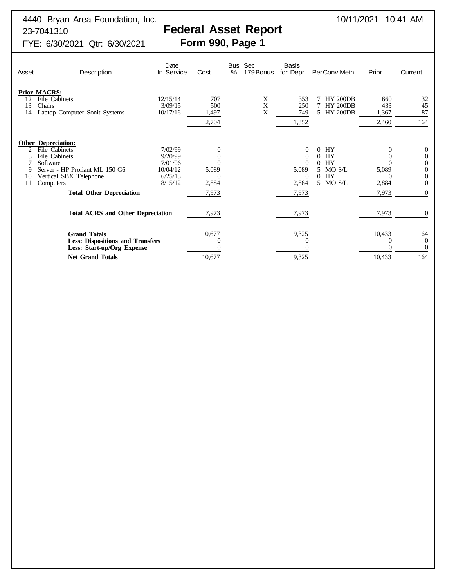# 23-7041310<br>Federal Asset Report<br>FYE: 6/30/2021 Qtr: 6/30/2021 **Form 990, Page 1**

FYE: 6/30/2021 Qtr: 6/30/2021

| Asset                                                                                                                                    | Description                                                                                                                                                                          | Date<br>In Service                                              | Cost                                         | <b>Bus</b><br>% | Sec<br>179 Bonus | <b>Basis</b><br>for Depr                                                      | PerConv Meth                                                                       | Prior                        | Current                                                      |
|------------------------------------------------------------------------------------------------------------------------------------------|--------------------------------------------------------------------------------------------------------------------------------------------------------------------------------------|-----------------------------------------------------------------|----------------------------------------------|-----------------|------------------|-------------------------------------------------------------------------------|------------------------------------------------------------------------------------|------------------------------|--------------------------------------------------------------|
| 12<br>13<br>14                                                                                                                           | <b>Prior MACRS:</b><br>File Cabinets<br>Chairs<br>Laptop Computer Sonit Systems                                                                                                      | 12/15/14<br>3/09/15<br>10/17/16                                 | 707<br>500<br>1,497<br>2,704                 |                 | X<br>X<br>X      | 353<br>250<br>749<br>1,352                                                    | <b>HY 200DB</b><br><b>HY 200DB</b><br><b>HY 200DB</b><br>5.                        | 660<br>433<br>1,367<br>2,460 | 32<br>45<br>87<br>164                                        |
| 9<br>10<br>11                                                                                                                            | <b>Other Depreciation:</b><br>File Cabinets<br>File Cabinets<br>Software<br>Server - HP Proliant ML 150 G6<br>Vertical SBX Telephone<br>Computers<br><b>Total Other Depreciation</b> | 7/02/99<br>9/20/99<br>7/01/06<br>10/04/12<br>6/25/13<br>8/15/12 | 0<br>5,089<br>$\mathbf{0}$<br>2,884<br>7,973 |                 |                  | $\Omega$<br>$\Omega$<br>$\Omega$<br>5,089<br>$\overline{0}$<br>2,884<br>7,973 | HY<br>0<br>HY<br>0<br>HY<br>$\Omega$<br>MO S/L<br>5.<br>HY<br>$\Omega$<br>5 MO S/L | 5,089<br>2,884<br>7,973      | $\theta$<br>$\Omega$<br>$\theta$<br>$\Omega$<br>$\mathbf{0}$ |
| <b>Total ACRS and Other Depreciation</b><br><b>Grand Totals</b><br><b>Less: Dispositions and Transfers</b><br>Less: Start-up/Org Expense |                                                                                                                                                                                      |                                                                 | 7,973<br>10,677                              |                 |                  | 7,973<br>9,325<br>$\theta$                                                    |                                                                                    | 7,973<br>10,433              | $\left($<br>164<br>$\theta$<br>$\Omega$                      |
|                                                                                                                                          | <b>Net Grand Totals</b>                                                                                                                                                              |                                                                 | 10,677                                       |                 |                  | 9,325                                                                         |                                                                                    | 10,433                       | 164                                                          |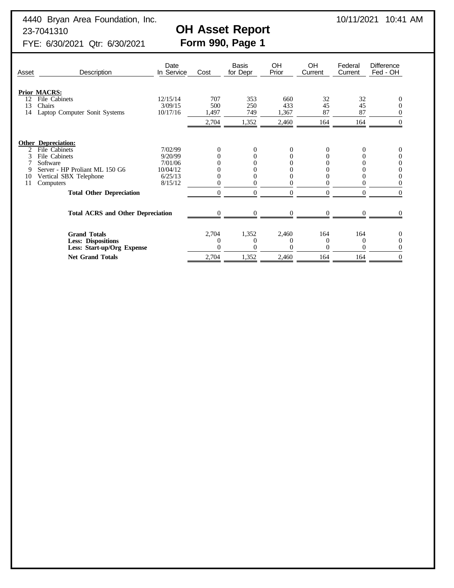4440 Bryan Area Foundation, Inc. 10/11/2021 10:41 AM

# 23-7041310<br>
FYE: 6/30/2021 Qtr: 6/30/2021<br>
Form 990, Page 1

FYE: 6/30/2021 Qtr: 6/30/2021

| Asset    | Description                                             | Date<br>In Service  | Cost         | <b>Basis</b><br>for Depr | OH<br>Prior  | OH<br>Current | Federal<br>Current | Difference<br>Fed - OH |
|----------|---------------------------------------------------------|---------------------|--------------|--------------------------|--------------|---------------|--------------------|------------------------|
| 12       | <b>Prior MACRS:</b><br>File Cabinets                    | 12/15/14            | 707          | 353                      | 660          | 32            | 32                 | 0                      |
| 13<br>14 | Chairs<br>Laptop Computer Sonit Systems                 | 3/09/15<br>10/17/16 | 500<br>1,497 | 250<br>749               | 433<br>1,367 | 45<br>87      | 45<br>87           |                        |
|          |                                                         |                     | 2,704        | 1,352                    | 2,460        | 164           | 164                | $\Omega$               |
|          | <b>Other Depreciation:</b>                              |                     |              |                          |              |               |                    |                        |
| 2        | File Cabinets                                           | 7/02/99             | 0            | 0                        | 0            | 0             | $\Omega$           | 0                      |
| 3        | File Cabinets                                           | 9/20/99             |              |                          |              | 0             |                    | 0                      |
|          | Software                                                | 7/01/06             |              |                          |              |               |                    | 0                      |
| 9        | Server - HP Proliant ML 150 G6                          | 10/04/12            |              |                          |              |               |                    |                        |
| 10       | Vertical SBX Telephone                                  | 6/25/13             |              |                          |              |               |                    | $\theta$               |
| 11       | Computers                                               | 8/15/12             |              |                          |              | $\Omega$      |                    |                        |
|          | <b>Total Other Depreciation</b>                         |                     | $\Omega$     | $\Omega$                 | $\Omega$     | $\theta$      | $\Omega$           | $\Omega$               |
|          | <b>Total ACRS and Other Depreciation</b>                |                     | 0            |                          | 0            | $\Omega$      | ∩                  |                        |
|          |                                                         |                     |              |                          |              |               |                    |                        |
|          | <b>Grand Totals</b>                                     |                     | 2,704        | 1,352                    | 2,460        | 164           | 164                | $\theta$               |
|          | <b>Less: Dispositions</b><br>Less: Start-up/Org Expense |                     |              | $\Omega$<br>$\Omega$     |              | 0<br>0        | $\theta$<br>0      |                        |
|          | <b>Net Grand Totals</b>                                 |                     | 2,704        | 1,352                    | 2,460        | 164           | 164                | $\Omega$               |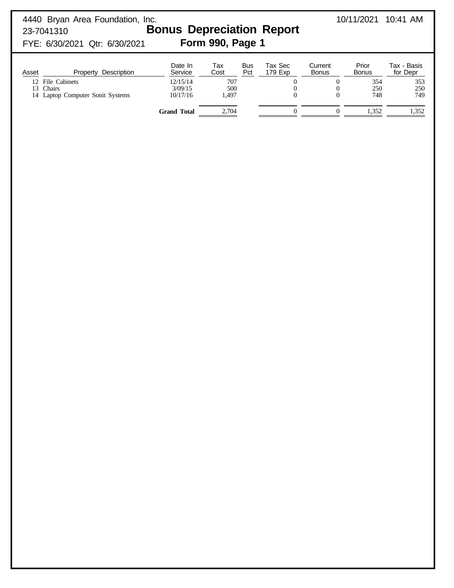| 4440 Bryan Area Foundation, Inc.<br>23-7041310<br>FYE: 6/30/2021 Qtr: 6/30/2021   |                                 | 10/11/2021          | $10:41$ AM        |                    |                         |                       |                         |
|-----------------------------------------------------------------------------------|---------------------------------|---------------------|-------------------|--------------------|-------------------------|-----------------------|-------------------------|
| Property Description<br>Asset                                                     | Date In<br>Service              | Tax<br>Cost         | <b>Bus</b><br>Pct | Tax Sec<br>179 Exp | Current<br><b>Bonus</b> | Prior<br><b>Bonus</b> | Tax - Basis<br>for Depr |
| File Cabinets<br>12 <sub>1</sub><br>Chairs<br>13<br>Laptop Computer Sonit Systems | 12/15/14<br>3/09/15<br>10/17/16 | 707<br>500<br>1,497 |                   | $\theta$           | $\Omega$                | 354<br>250<br>748     | 353<br>250<br>749       |
|                                                                                   | <b>Grand Total</b>              | 2,704               |                   |                    |                         | 1.352                 | 1,352                   |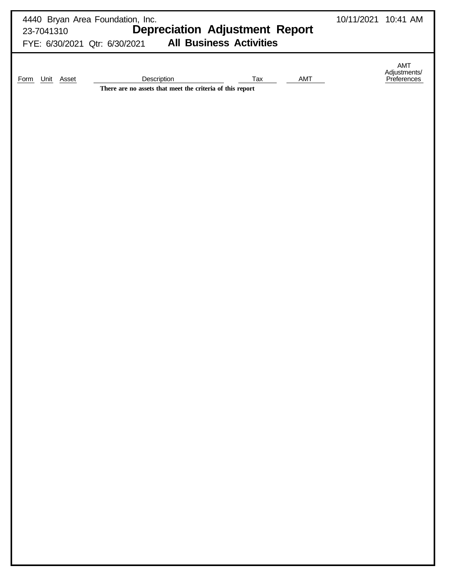| 4440 Bryan Area Foundation, Inc.<br><b>Depreciation Adjustment Report</b><br>23-7041310<br><b>All Business Activities</b><br>FYE: 6/30/2021 Qtr: 6/30/2021 | 10/11/2021 10:41 AM |                                    |
|------------------------------------------------------------------------------------------------------------------------------------------------------------|---------------------|------------------------------------|
| AMT<br>Description<br>Tax<br>Unit Asset<br>Form<br>There are no assets that meet the criteria of this report                                               |                     | AMT<br>Adjustments/<br>Preferences |
|                                                                                                                                                            |                     |                                    |
|                                                                                                                                                            |                     |                                    |
|                                                                                                                                                            |                     |                                    |
|                                                                                                                                                            |                     |                                    |
|                                                                                                                                                            |                     |                                    |
|                                                                                                                                                            |                     |                                    |
|                                                                                                                                                            |                     |                                    |
|                                                                                                                                                            |                     |                                    |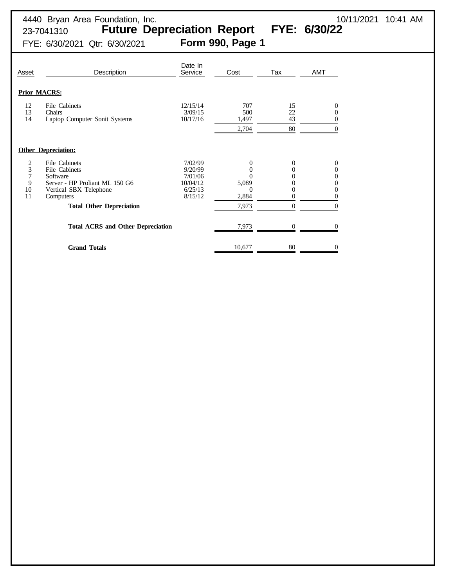FYE: 6/30/2021 Qtr: 6/30/2021 **Form 990, Page 1**

| Asset                        | Description                                                                                                                                                                                        | Date In<br>Service                                              | Cost                                            | Tax                                           | <b>AMT</b>                             |
|------------------------------|----------------------------------------------------------------------------------------------------------------------------------------------------------------------------------------------------|-----------------------------------------------------------------|-------------------------------------------------|-----------------------------------------------|----------------------------------------|
|                              | <b>Prior MACRS:</b>                                                                                                                                                                                |                                                                 |                                                 |                                               |                                        |
| 12<br>13<br>14               | File Cabinets<br>Chairs<br>Laptop Computer Sonit Systems                                                                                                                                           | 12/15/14<br>3/09/15<br>10/17/16                                 | 707<br>500<br>1,497<br>2,704                    | 15<br>22<br>43<br>80                          | 0<br>0                                 |
|                              | <b>Other Depreciation:</b>                                                                                                                                                                         |                                                                 |                                                 |                                               |                                        |
| 2<br>3<br>7<br>9<br>10<br>11 | File Cabinets<br>File Cabinets<br>Software<br>Server - HP Proliant ML 150 G6<br>Vertical SBX Telephone<br>Computers<br><b>Total Other Depreciation</b><br><b>Total ACRS and Other Depreciation</b> | 7/02/99<br>9/20/99<br>7/01/06<br>10/04/12<br>6/25/13<br>8/15/12 | 0<br>0<br>5,089<br>0<br>2,884<br>7,973<br>7,973 | 0<br>0<br>0<br>0<br>0<br>$\Omega$<br>$\Omega$ | 0<br>0<br>0<br>0<br>0<br>0<br>$\Omega$ |
|                              | <b>Grand Totals</b>                                                                                                                                                                                |                                                                 | 10,677                                          | 80                                            | 0                                      |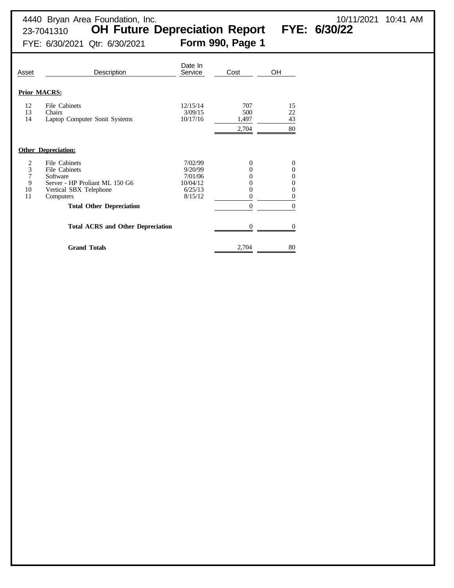23-7041310 **OH Future Depreciation Report FYE: 6/30/22**

4440 Bryan Area Foundation, Inc. 10/11/2021 10:41 AM

FYE: 6/30/2021 Qtr: 6/30/2021 **Form 990, Page 1**

| Asset                        | Description                                                                                                                                            | Date In<br>Service                                              | Cost                                               | OH                                     |
|------------------------------|--------------------------------------------------------------------------------------------------------------------------------------------------------|-----------------------------------------------------------------|----------------------------------------------------|----------------------------------------|
|                              | <b>Prior MACRS:</b>                                                                                                                                    |                                                                 |                                                    |                                        |
| 12<br>13<br>14               | File Cabinets<br>Chairs<br>Laptop Computer Sonit Systems                                                                                               | 12/15/14<br>3/09/15<br>10/17/16                                 | 707<br>500<br>1,497<br>2,704                       | 15<br>22<br>43<br>80                   |
|                              | <b>Other Depreciation:</b>                                                                                                                             |                                                                 |                                                    |                                        |
| 2<br>3<br>7<br>9<br>10<br>11 | File Cabinets<br>File Cabinets<br>Software<br>Server - HP Proliant ML 150 G6<br>Vertical SBX Telephone<br>Computers<br><b>Total Other Depreciation</b> | 7/02/99<br>9/20/99<br>7/01/06<br>10/04/12<br>6/25/13<br>8/15/12 | 0<br>0<br>0<br>$_{0}$<br>0<br>$\Omega$<br>$\Omega$ | 0<br>0<br>0<br>0<br>0<br>0<br>$\Omega$ |
|                              | <b>Total ACRS and Other Depreciation</b>                                                                                                               |                                                                 |                                                    |                                        |
|                              | <b>Grand Totals</b>                                                                                                                                    |                                                                 | 2,704                                              | 80                                     |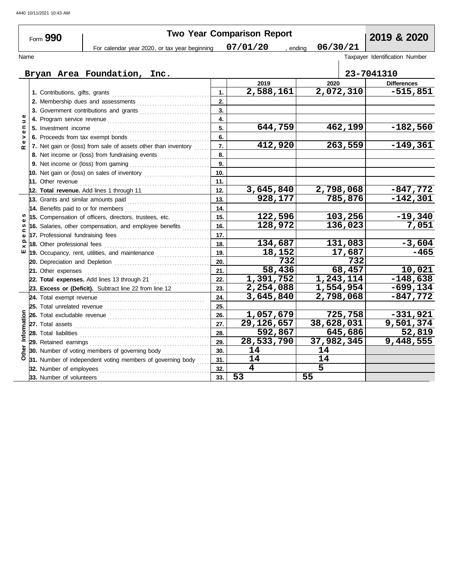|               |                          |                                                                                                                                                                                                                                      |                  | <b>Two Year Comparison Report</b> |                        |         |                                |
|---------------|--------------------------|--------------------------------------------------------------------------------------------------------------------------------------------------------------------------------------------------------------------------------------|------------------|-----------------------------------|------------------------|---------|--------------------------------|
|               | Form 990                 |                                                                                                                                                                                                                                      |                  |                                   |                        |         | 2019 & 2020                    |
|               |                          | For calendar year 2020, or tax year beginning                                                                                                                                                                                        |                  | 07/01/20                          | 06/30/21<br>ending     |         |                                |
| Name          |                          |                                                                                                                                                                                                                                      |                  |                                   |                        |         | Taxpayer Identification Number |
|               |                          | Bryan Area Foundation, Inc.                                                                                                                                                                                                          |                  |                                   |                        |         | 23-7041310                     |
|               |                          |                                                                                                                                                                                                                                      |                  | 2019                              | 2020                   |         | <b>Differences</b>             |
|               |                          |                                                                                                                                                                                                                                      | 1.               | 2,588,161                         | 2,072,310              |         | $-515,851$                     |
|               |                          |                                                                                                                                                                                                                                      | 2.               |                                   |                        |         |                                |
|               |                          | 3. Government contributions and grants                                                                                                                                                                                               | 3.               |                                   |                        |         |                                |
| $\Rightarrow$ |                          |                                                                                                                                                                                                                                      | $\overline{4}$ . |                                   |                        |         |                                |
| c             |                          |                                                                                                                                                                                                                                      | 5.               | 644,759                           |                        | 462,199 | $-182,560$                     |
| Φ<br>>        |                          |                                                                                                                                                                                                                                      | 6.               |                                   |                        |         |                                |
| $\alpha$      |                          | 7. Net gain or (loss) from sale of assets other than inventory                                                                                                                                                                       | 7.               | 412,920                           |                        | 263,559 | $-149,361$                     |
|               |                          | 8. Net income or (loss) from fundraising events <i>minimizing</i> .                                                                                                                                                                  | 8.               |                                   |                        |         |                                |
|               |                          |                                                                                                                                                                                                                                      | 9.               |                                   |                        |         |                                |
|               |                          | 10. Net gain or (loss) on sales of inventory                                                                                                                                                                                         | 10.              |                                   |                        |         |                                |
|               |                          |                                                                                                                                                                                                                                      | 11.              |                                   |                        |         |                                |
|               |                          | 12. Total revenue. Add lines 1 through 11                                                                                                                                                                                            | 12.              | 3,645,840                         | 2,798,068              |         | $-847,772$                     |
|               |                          |                                                                                                                                                                                                                                      | 13.              | 928,177                           |                        | 785,876 | $-142,301$                     |
|               |                          | 14. Benefits paid to or for members                                                                                                                                                                                                  | 14.              |                                   |                        |         |                                |
|               |                          | 15. Compensation of officers, directors, trustees, etc.                                                                                                                                                                              | 15.              | 122,596                           |                        | 103,256 | $-19,340$                      |
|               |                          | 16. Salaries, other compensation, and employee benefits                                                                                                                                                                              | 16.              | 128,972                           |                        | 136,023 | 7,051                          |
|               |                          | 17. Professional fundraising fees                                                                                                                                                                                                    | 17.              |                                   |                        |         |                                |
|               |                          |                                                                                                                                                                                                                                      | 18.              | 134,687                           |                        | 131,083 | $-3,604$                       |
| ш             |                          |                                                                                                                                                                                                                                      | 19.              | 18,152                            |                        | 17,687  | -465                           |
|               |                          |                                                                                                                                                                                                                                      | 20.              | 732                               |                        | 732     |                                |
|               | 21. Other expenses       |                                                                                                                                                                                                                                      | 21.              | 58,436                            |                        | 68,457  | 10,021                         |
|               |                          | 22. Total expenses. Add lines 13 through 21                                                                                                                                                                                          | 22.              | 1,391,752                         | $\overline{1,243,114}$ |         | $-148,638$                     |
|               |                          | 23. Excess or (Deficit). Subtract line 22 from line 12                                                                                                                                                                               | 23.              | 2,254,088                         | 1,554,954              |         | $-699, 134$                    |
|               |                          |                                                                                                                                                                                                                                      | 24.              | 3,645,840                         | 2,798,068              |         | $-847,772$                     |
|               |                          |                                                                                                                                                                                                                                      | 25.              |                                   |                        |         |                                |
|               |                          |                                                                                                                                                                                                                                      | 26.              | 1,057,679                         |                        | 725,758 | $-331,921$                     |
|               |                          |                                                                                                                                                                                                                                      | 27.              | 29,126,657                        | 38,628,031             |         | 9,501,374                      |
| Information   |                          | 28. Total liabilities <b>constant in the set of the set of the set of the set of the set of the set of the set of the set of the set of the set of the set of the set of the set of the set of the set of the set of the set of </b> | 28.              | 592,867                           |                        | 645,686 | 52,819                         |
|               |                          | 29. Retained earnings <b>construction</b> and all and an american construction of the set of the set of the set of the                                                                                                               | 29.              | 28,533,790                        | 37,982,345             |         | 9,448,555                      |
| Other         |                          | 30. Number of voting members of governing body                                                                                                                                                                                       | 30.              | 14                                | 14                     |         |                                |
|               |                          | 31. Number of independent voting members of governing body                                                                                                                                                                           | 31.              | 14                                | 14                     |         |                                |
|               | 32. Number of employees  |                                                                                                                                                                                                                                      | 32.              | $\overline{\mathbf{4}}$           | $\overline{5}$         |         |                                |
|               | 33. Number of volunteers |                                                                                                                                                                                                                                      | 33.              | 53                                | 55                     |         |                                |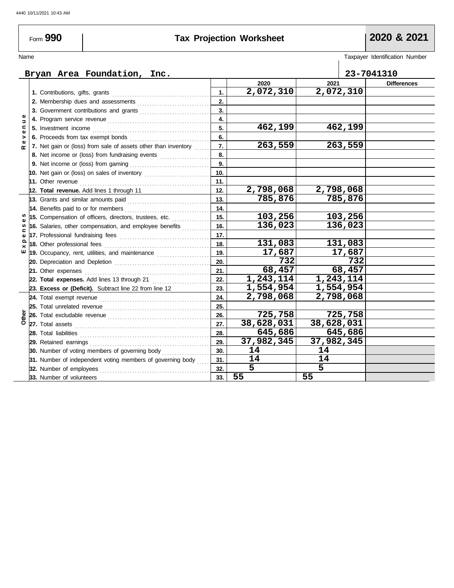Form **990**

# **Tax Projection Worksheet 2020 & 2021**

| Name                      |                                                                                                                        |     |            |                        | Taxpayer Identification Number |
|---------------------------|------------------------------------------------------------------------------------------------------------------------|-----|------------|------------------------|--------------------------------|
|                           |                                                                                                                        |     |            |                        |                                |
|                           | Bryan Area Foundation, Inc.                                                                                            |     |            |                        | 23-7041310                     |
|                           |                                                                                                                        |     | 2020       | 2021                   | <b>Differences</b>             |
|                           | 1. Contributions, gifts, grants                                                                                        | 1.  | 2,072,310  | 2,072,310              |                                |
|                           |                                                                                                                        | 2.  |            |                        |                                |
|                           |                                                                                                                        | 3.  |            |                        |                                |
| $\Rightarrow$             | 4. Program service revenue <b>contract and the service of the service and service</b> and a property of the service of | 4.  |            |                        |                                |
| $\mathbf{C}$<br>$\bullet$ | 5. Investment income                                                                                                   | 5.  | 462,199    | 462,199                |                                |
| >                         | 6. Proceeds from tax exempt bonds                                                                                      | 6.  |            |                        |                                |
| Φ<br>œ                    | 7. Net gain or (loss) from sale of assets other than inventory                                                         | 7.  | 263,559    | 263,559                |                                |
|                           | 8. Net income or (loss) from fundraising events                                                                        | 8.  |            |                        |                                |
|                           |                                                                                                                        | 9.  |            |                        |                                |
|                           | 10. Net gain or (loss) on sales of inventory                                                                           | 10. |            |                        |                                |
|                           | 11. Other revenue                                                                                                      | 11. |            |                        |                                |
|                           | 12. Total revenue. Add lines 1 through 11                                                                              | 12. | 2,798,068  | 2,798,068              |                                |
|                           | 13. Grants and similar amounts paid                                                                                    | 13. | 785,876    | 785,876                |                                |
|                           | 14. Benefits paid to or for members                                                                                    | 14. |            |                        |                                |
|                           | 15. Compensation of officers, directors, trustees, etc.                                                                | 15. | 103,256    | 103,256                |                                |
| ഗ                         | 16. Salaries, other compensation, and employee benefits                                                                | 16. | 136,023    | 136,023                |                                |
| ⊆<br>Ф                    |                                                                                                                        | 17. |            |                        |                                |
| ௨<br>×                    | 18. Other professional fees                                                                                            | 18. | 131,083    | 131,083                |                                |
| ш                         | 19. Occupancy, rent, utilities, and maintenance <i>[19. Occupancy, rent</i> , and                                      | 19. | 17,687     | 17,687                 |                                |
|                           |                                                                                                                        | 20. | 732        | 732                    |                                |
|                           | 21. Other expenses                                                                                                     | 21. | 68,457     | 68,457                 |                                |
|                           | 22. Total expenses. Add lines 13 through 21                                                                            | 22. | 1,243,114  | 1,243,114              |                                |
|                           | 23. Excess or (Deficit). Subtract line 22 from line 12                                                                 | 23. | 1,554,954  | $\overline{1,554,954}$ |                                |
|                           |                                                                                                                        | 24. | 2,798,068  | 2,798,068              |                                |
|                           |                                                                                                                        | 25. |            |                        |                                |
| Other                     |                                                                                                                        | 26. | 725,758    | 725,758                |                                |
|                           |                                                                                                                        | 27. | 38,628,031 | 38,628,031             |                                |
|                           |                                                                                                                        | 28. | 645,686    | 645,686                |                                |
|                           | 29. Retained earnings                                                                                                  | 29. | 37,982,345 | 37,982,345             |                                |
|                           | 30. Number of voting members of governing body                                                                         | 30. | 14         | 14                     |                                |
|                           | 31. Number of independent voting members of governing body                                                             | 31. | 14         | 14                     |                                |
|                           | 32. Number of employees                                                                                                | 32. | 5          | 5                      |                                |
|                           | 33. Number of volunteers                                                                                               | 33. | 55         | 55                     |                                |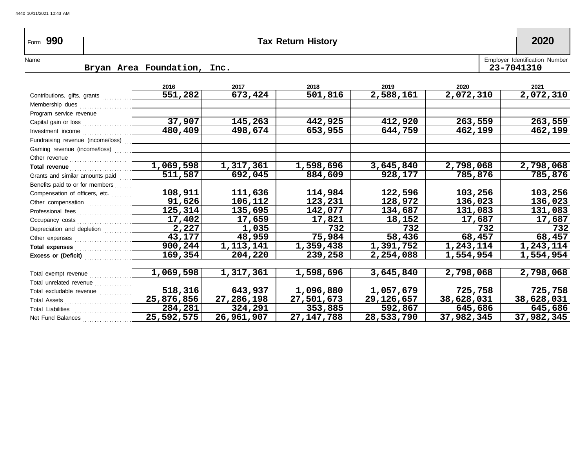| Form 990                                                                                                                                                                                                                       | <b>Tax Return History</b>   |           |           |           |           |                                              |  |  |
|--------------------------------------------------------------------------------------------------------------------------------------------------------------------------------------------------------------------------------|-----------------------------|-----------|-----------|-----------|-----------|----------------------------------------------|--|--|
| Name                                                                                                                                                                                                                           | Bryan Area Foundation, Inc. |           |           |           |           | Employer Identification Number<br>23-7041310 |  |  |
|                                                                                                                                                                                                                                |                             |           |           |           |           |                                              |  |  |
|                                                                                                                                                                                                                                | 2016                        | 2017      | 2018      | 2019      | 2020      | 2021                                         |  |  |
| Contributions, gifts, grants [1] [1] Contributions, and an arts [1] [1] [1] and arts [1] [1] and arts [1] [1] and arts [1] [1] and arts [1] and arts [1] [1] and arts [1] [1] and arts [1] [1] and arts [1] [1] and arts [1] [ | 551,282                     | 673,424   | 501,816   | 2,588,161 | 2,072,310 | 2,072,310                                    |  |  |
|                                                                                                                                                                                                                                |                             |           |           |           |           |                                              |  |  |
| Program service revenue                                                                                                                                                                                                        |                             |           |           |           |           |                                              |  |  |
|                                                                                                                                                                                                                                | 37,907                      | 145,263   | 442,925   | 412,920   | 263,559   | 263,559                                      |  |  |
|                                                                                                                                                                                                                                | 480,409                     | 498,674   | 653,955   | 644,759   | 462,199   | 462,199                                      |  |  |
| Fundraising revenue (income/loss) [11]                                                                                                                                                                                         |                             |           |           |           |           |                                              |  |  |
|                                                                                                                                                                                                                                |                             |           |           |           |           |                                              |  |  |
|                                                                                                                                                                                                                                |                             |           |           |           |           |                                              |  |  |
|                                                                                                                                                                                                                                | 1,069,598                   | 1,317,361 | 1,598,696 | 3,645,840 | 2,798,068 | 2,798,068                                    |  |  |
| Grants and similar amounts paid                                                                                                                                                                                                | 511,587                     | 692,045   | 884,609   | 928,177   | 785,876   | 785,876                                      |  |  |
|                                                                                                                                                                                                                                |                             |           |           |           |           |                                              |  |  |
| Compensation of officers, etc.                                                                                                                                                                                                 | 108,911                     | 111,636   | 114,984   | 122,596   | 103,256   | 103,256                                      |  |  |
|                                                                                                                                                                                                                                | 91,626                      | 106,112   | 123,231   | 128,972   | 136,023   | 136,023                                      |  |  |
|                                                                                                                                                                                                                                | 125, 314                    | 135,695   | 142,077   | 134,687   | 131,083   | 131,083                                      |  |  |
| Occupancy costs                                                                                                                                                                                                                | 17,402                      | 17,659    | 17,821    | 18,152    | 17,687    | 17,687                                       |  |  |
| Depreciation and depletion                                                                                                                                                                                                     | 2,227                       | 1,035     | 732       | 732       | 732       | 732                                          |  |  |

**75,984 1,359,438 239,258**

**58,436 1,391,752 2,254,088**

**68,457 1,243,114 1,554,954**

**68,457 1,243,114 1,554,954**

**2,798,068**

**725,758 38,628,031 645,686 37,982,345**

**2,798,068**

**725,758 38,628,031 645,686 37,982,345**

**3,645,840**

**1,057,679 29,126,657 592,867 28,533,790**

**1,598,696**

**1,096,880 27,501,673 353,885 27,147,788**

**48,959 1,113,141 204,220**

**1,317,361**

**643,937 27,286,198 324,291 26,961,907**

Total excludable revenue Total unrelated revenue Total exempt revenue

Total Assets ..............

Total Liabilities

Net Fund Balances . . . . . . . . . . . . . .

**Total expenses** 

**Excess or (Deficit)** ...................

Other expenses . . . . . . . . . . . . . . . . . . . . . . .

**43,177 900,244 169,354**

**1,069,598**

**518,316 25,876,856 284,281 25,592,575**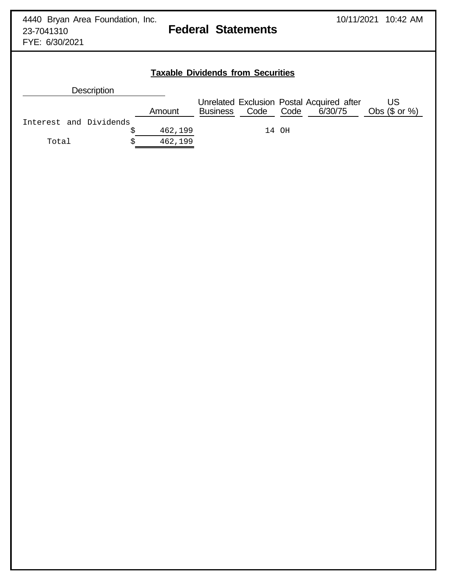FYE: 6/30/2021

# **Taxable Dividends from Securities**

| <b>Description</b>     |         |                 |      |       |                                                      |                        |
|------------------------|---------|-----------------|------|-------|------------------------------------------------------|------------------------|
|                        | Amount  | <b>Business</b> | Code | Code  | Unrelated Exclusion Postal Acquired after<br>6/30/75 | US<br>Obs $(\$$ or $%$ |
| Interest and Dividends |         |                 |      |       |                                                      |                        |
|                        | 462,199 |                 |      | 14 OH |                                                      |                        |
| Total                  | 462,199 |                 |      |       |                                                      |                        |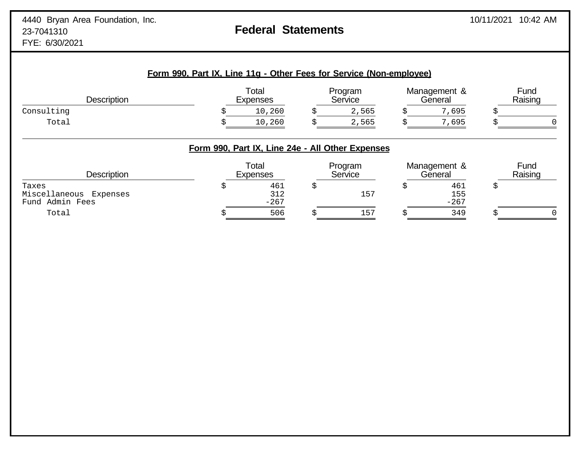| <b>Description</b>                           | Total<br><b>Expenses</b>                         |    | Program<br>Service |   | Management &<br>General |    | Fund<br>Raising |  |
|----------------------------------------------|--------------------------------------------------|----|--------------------|---|-------------------------|----|-----------------|--|
| Consulting                                   | 10,260                                           |    | 2,565              |   | 7,695                   | S  |                 |  |
| Total                                        | 10,260                                           |    | 2,565              |   | 7,695                   |    |                 |  |
|                                              | Form 990, Part IX, Line 24e - All Other Expenses |    |                    |   |                         |    |                 |  |
| <b>Description</b>                           | Total<br><b>Expenses</b>                         |    | Program<br>Service |   | Management &<br>General |    | Fund<br>Raising |  |
| Taxes                                        | \$<br>461                                        | \$ |                    | 5 | 461                     | \$ |                 |  |
| Miscellaneous<br>Expenses<br>Fund Admin Fees | 312<br>$-267$                                    |    | 157                |   | 155<br>$-267$           |    |                 |  |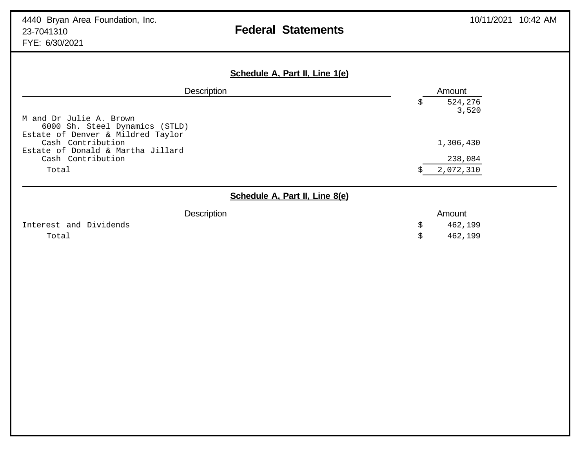| Schedule A, Part II, Line 1(e)                                                              |                       |
|---------------------------------------------------------------------------------------------|-----------------------|
| <b>Description</b>                                                                          | Amount                |
| M and Dr Julie A. Brown<br>6000 Sh. Steel Dynamics (STLD)                                   | 524,276<br>S<br>3,520 |
| Estate of Denver & Mildred Taylor<br>Cash Contribution<br>Estate of Donald & Martha Jillard | 1,306,430             |
| Cash Contribution                                                                           | 238,084               |
| Total                                                                                       | 2,072,310             |
| Schedule A, Part II, Line 8(e)                                                              |                       |
| <b>Description</b>                                                                          | Amount                |
| Interest and Dividends                                                                      | 462,199               |
| Total                                                                                       | 462,199               |